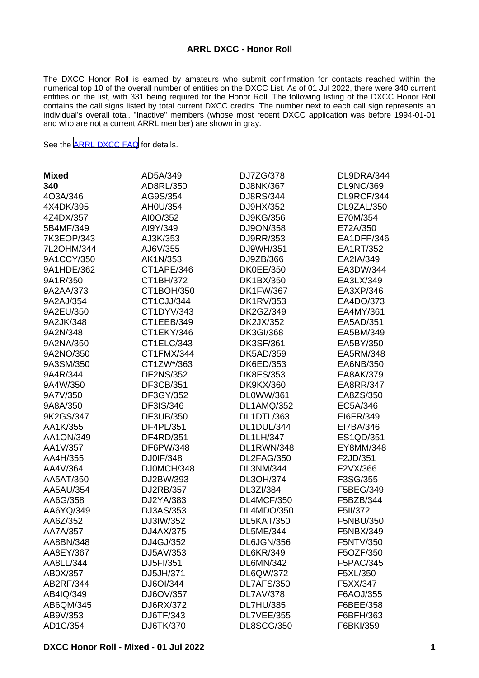#### **ARRL DXCC - Honor Roll**

The DXCC Honor Roll is earned by amateurs who submit confirmation for contacts reached within the numerical top 10 of the overall number of entities on the DXCC List. As of 01 Jul 2022, there were 340 current entities on the list, with 331 being required for the Honor Roll. The following listing of the DXCC Honor Roll contains the call signs listed by total current DXCC credits. The number next to each call sign represents an individual's overall total. "Inactive" members (whose most recent DXCC application was before 1994-01-01 and who are not a current ARRL member) are shown in gray.

See the [ARRL DXCC FAQ](http://www.arrl.org/dxcc-faq/) for details.

| <b>Mixed</b> | AD5A/349         | DJ7ZG/378         | DL9DRA/344       |
|--------------|------------------|-------------------|------------------|
| 340          | AD8RL/350        | DJ8NK/367         | <b>DL9NC/369</b> |
| 4O3A/346     | AG9S/354         | DJ8RS/344         | DL9RCF/344       |
| 4X4DK/395    | AH0U/354         | DJ9HX/352         | DL9ZAL/350       |
| 4Z4DX/357    | AI0O/352         | DJ9KG/356         | E70M/354         |
| 5B4MF/349    | AI9Y/349         | DJ9ON/358         | E72A/350         |
| 7K3EOP/343   | AJ3K/353         | DJ9RR/353         | EA1DFP/346       |
| 7L2OHM/344   | AJ6V/355         | DJ9WH/351         | EA1RT/352        |
| 9A1CCY/350   | AK1N/353         | DJ9ZB/366         | EA2IA/349        |
| 9A1HDE/362   | CT1APE/346       | <b>DK0EE/350</b>  | EA3DW/344        |
| 9A1R/350     | CT1BH/372        | DK1BX/350         | EA3LX/349        |
| 9A2AA/373    | CT1BOH/350       | <b>DK1FW/367</b>  | EA3XP/346        |
| 9A2AJ/354    | CT1CJJ/344       | <b>DK1RV/353</b>  | EA4DO/373        |
| 9A2EU/350    | CT1DYV/343       | DK2GZ/349         | EA4MY/361        |
| 9A2JK/348    | CT1EEB/349       | DK2JX/352         | EA5AD/351        |
| 9A2N/348     | CT1EKY/346       | <b>DK3GI/368</b>  | EA5BM/349        |
| 9A2NA/350    | CT1ELC/343       | <b>DK3SF/361</b>  | EA5BY/350        |
| 9A2NO/350    | CT1FMX/344       | DK5AD/359         | EA5RM/348        |
| 9A3SM/350    | CT1ZW*/363       | DK6ED/353         | EA6NB/350        |
| 9A4R/344     | <b>DF2NS/352</b> | <b>DK8FS/353</b>  | EA8AK/379        |
| 9A4W/350     | DF3CB/351        | <b>DK9KX/360</b>  | <b>EA8RR/347</b> |
| 9A7V/350     | DF3GY/352        | DL0WW/361         | EA8ZS/350        |
| 9A8A/350     | DF3IS/346        | DL1AMQ/352        | EC5A/346         |
| 9K2GS/347    | DF3UB/350        | DL1DTL/363        | EI6FR/349        |
| AA1K/355     | DF4PL/351        | DL1DUL/344        | EI7BA/346        |
| AA1ON/349    | DF4RD/351        | <b>DL1LH/347</b>  | ES1QD/351        |
| AA1V/357     | DF6PW/348        | DL1RWN/348        | EY8MM/348        |
| AA4H/355     | DJ0IF/348        | DL2FAG/350        | F2JD/351         |
| AA4V/364     | DJ0MCH/348       | DL3NM/344         | F2VX/366         |
| AA5AT/350    | DJ2BW/393        | DL3OH/374         | F3SG/355         |
| AA5AU/354    | DJ2RB/357        | DL3ZI/384         | F5BEG/349        |
| AA6G/358     | DJ2YA/383        | DL4MCF/350        | F5BZB/344        |
| AA6YQ/349    | DJ3AS/353        | DL4MDO/350        | F5II/372         |
| AA6Z/352     | DJ3IW/352        | <b>DL5KAT/350</b> | F5NBU/350        |
| AA7A/357     | DJ4AX/375        | DL5ME/344         | F5NBX/349        |
| AA8BN/348    | DJ4GJ/352        | DL6JGN/356        | F5NTV/350        |
| AA8EY/367    | DJ5AV/353        | DL6KR/349         | F5OZF/350        |
| AA8LL/344    | DJ5FI/351        | <b>DL6MN/342</b>  | F5PAC/345        |
| AB0X/357     | DJ5JH/371        | DL6QW/372         | F5XL/350         |
| AB2RF/344    | DJ6OI/344        | DL7AFS/350        | F5XX/347         |
| AB4IQ/349    | DJ6OV/357        | <b>DL7AV/378</b>  | F6AOJ/355        |
| AB6QM/345    | DJ6RX/372        | <b>DL7HU/385</b>  | F6BEE/358        |
| AB9V/353     | DJ6TF/343        | DL7VEE/355        | F6BFH/363        |
| AD1C/354     | DJ6TK/370        | <b>DL8SCG/350</b> | F6BKI/359        |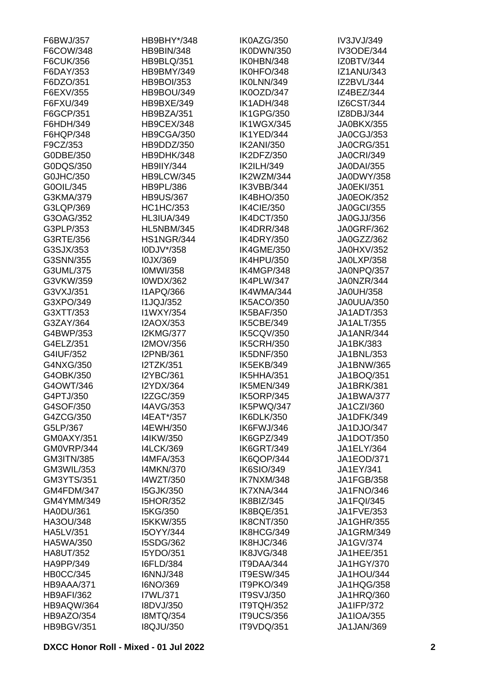| F6BWJ/357         | HB9BHY*/348       | IK0AZG/350        | IV3JVJ/349        |
|-------------------|-------------------|-------------------|-------------------|
| F6COW/348         | <b>HB9BIN/348</b> | IK0DWN/350        | <b>IV3ODE/344</b> |
| F6CUK/356         | <b>HB9BLQ/351</b> | IK0HBN/348        | IZ0BTV/344        |
| F6DAY/353         | HB9BMY/349        | IK0HFO/348        | <b>IZ1ANU/343</b> |
| F6DZO/351         | <b>HB9BOI/353</b> | IK0LNN/349        | IZ2BVL/344        |
| F6EXV/355         | <b>HB9BOU/349</b> | IK0OZD/347        | IZ4BEZ/344        |
| F6FXU/349         | HB9BXE/349        | IK1ADH/348        | IZ6CST/344        |
| F6GCP/351         | HB9BZA/351        | <b>IK1GPG/350</b> | IZ8DBJ/344        |
| F6HDH/349         | HB9CEX/348        | IK1WGX/345        | <b>JA0BKX/355</b> |
| F6HQP/348         | HB9CGA/350        | IK1YED/344        | JA0CGJ/353        |
| F9CZ/353          | HB9DDZ/350        | <b>IK2ANI/350</b> | <b>JA0CRG/351</b> |
| G0DBE/350         | HB9DHK/348        | IK2DFZ/350        | <b>JA0CRI/349</b> |
| G0DQS/350         | <b>HB9IIY/344</b> | <b>IK2ILH/349</b> | <b>JA0DAI/355</b> |
| G0JHC/350         | HB9LCW/345        | IK2WZM/344        | JA0DWY/358        |
| G0OIL/345         | <b>HB9PL/386</b>  | IK3VBB/344        | <b>JA0EKI/351</b> |
| G3KMA/379         | <b>HB9US/367</b>  | IK4BHO/350        | <b>JA0EOK/352</b> |
| G3LQP/369         | <b>HC1HC/353</b>  | IK4CIE/350        | <b>JA0GCI/355</b> |
| G3OAG/352         | <b>HL3IUA/349</b> | IK4DCT/350        | JA0GJJ/356        |
| G3PLP/353         | <b>HL5NBM/345</b> | IK4DRR/348        | <b>JA0GRF/362</b> |
| G3RTE/356         | <b>HS1NGR/344</b> | <b>IK4DRY/350</b> | JA0GZZ/362        |
| G3SJX/353         | I0DJV*/358        | <b>IK4GME/350</b> | JA0HXV/352        |
| G3SNN/355         | I0JX/369          | IK4HPU/350        | JA0LXP/358        |
| G3UML/375         |                   |                   |                   |
|                   | <b>IOMWI/358</b>  | IK4MGP/348        | JA0NPQ/357        |
| G3VKW/359         | <b>I0WDX/362</b>  | IK4PLW/347        | JA0NZR/344        |
| G3VXJ/351         | <b>I1APQ/366</b>  | IK4WMA/344        | <b>JA0UH/358</b>  |
| G3XPO/349         | <b>I1JQJ/352</b>  | IK5ACO/350        | JA0UUA/350        |
| G3XTT/353         | I1WXY/354         | <b>IK5BAF/350</b> | <b>JA1ADT/353</b> |
| G3ZAY/364         | I2AOX/353         | IK5CBE/349        | JA1ALT/355        |
| G4BWP/353         | <b>I2KMG/377</b>  | <b>IK5CQV/350</b> | <b>JA1ANR/344</b> |
| G4ELZ/351         | I2MOV/356         | <b>IK5CRH/350</b> | JA1BK/383         |
| G4IUF/352         | <b>I2PNB/361</b>  | <b>IK5DNF/350</b> | JA1BNL/353        |
| G4NXG/350         | I2TZK/351         | IK5EKB/349        | JA1BNW/365        |
| G4OBK/350         | <b>I2YBC/361</b>  | IK5HHA/351        | JA1BOQ/351        |
| G4OWT/346         | <b>I2YDX/364</b>  | IK5MEN/349        | <b>JA1BRK/381</b> |
| G4PTJ/350         | I2ZGC/359         | <b>IK5ORP/345</b> | JA1BWA/377        |
| G4SOF/350         | <b>I4AVG/353</b>  | IK5PWQ/347        | JA1CZI/360        |
| G4ZCG/350         | I4EAT*/357        | IK6DLK/350        | JA1DFK/349        |
| G5LP/367          | I4EWH/350         | IK6FWJ/346        | JA1DJO/347        |
| GM0AXY/351        | I4IKW/350         | IK6GPZ/349        | <b>JA1DOT/350</b> |
| GM0VRP/344        | <b>I4LCK/369</b>  | IK6GRT/349        | JA1ELY/364        |
| GM3ITN/385        | <b>I4MFA/353</b>  | IK6QOP/344        | <b>JA1EOD/371</b> |
| <b>GM3WIL/353</b> | <b>I4MKN/370</b>  | IK6SIO/349        | JA1EY/341         |
| GM3YTS/351        | I4WZT/350         | IK7NXM/348        | <b>JA1FGB/358</b> |
| GM4FDM/347        | <b>I5GJK/350</b>  | IK7XNA/344        | <b>JA1FNO/346</b> |
| GM4YMM/349        | <b>I5HOR/352</b>  | IK8BIZ/345        | <b>JA1FQI/345</b> |
| <b>HA0DU/361</b>  | I5KG/350          | IK8BQE/351        | JA1FVE/353        |
| HA3OU/348         | <b>I5KKW/355</b>  | <b>IK8CNT/350</b> | <b>JA1GHR/355</b> |
| <b>HA5LV/351</b>  | <b>I5OYY/344</b>  | IK8HCG/349        | <b>JA1GRM/349</b> |
| HA5WA/350         | I5SDG/362         | IK8HJC/346        | <b>JA1GV/374</b>  |
| <b>HA8UT/352</b>  | I5YDO/351         | IK8JVG/348        | JA1HEE/351        |
| HA9PP/349         | <b>I6FLD/384</b>  | IT9DAA/344        | <b>JA1HGY/370</b> |
| <b>HB0CC/345</b>  | <b>I6NNJ/348</b>  | <b>IT9ESW/345</b> | JA1HOU/344        |
| HB9AAA/371        | I6NO/369          | IT9PKO/349        | JA1HQG/358        |
| <b>HB9AFI/362</b> | I7WL/371          | <b>IT9SVJ/350</b> | JA1HRQ/360        |
| HB9AQW/364        | I8DVJ/350         | IT9TQH/352        | <b>JA1IFP/372</b> |
| HB9AZO/354        | <b>I8MTQ/354</b>  | <b>IT9UCS/356</b> | <b>JA1IOA/355</b> |
| <b>HB9BGV/351</b> | <b>I8QJU/350</b>  | IT9VDQ/351        | JA1JAN/369        |
|                   |                   |                   |                   |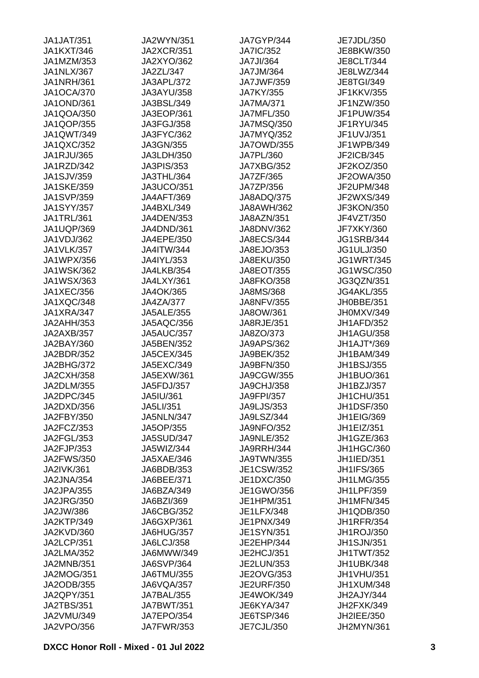| <b>JA1JAT/351</b> | <b>JA2WYN/351</b> | JA7GYP/344        | JE7JDL/350        |
|-------------------|-------------------|-------------------|-------------------|
| <b>JA1KXT/346</b> | <b>JA2XCR/351</b> | <b>JA7IC/352</b>  | JE8BKW/350        |
| JA1MZM/353        | JA2XYO/362        | <b>JA7JI/364</b>  | <b>JE8CLT/344</b> |
| JA1NLX/367        | JA2ZL/347         | JA7JM/364         | JE8LWZ/344        |
| <b>JA1NRH/361</b> | JA3APL/372        | <b>JA7JWF/359</b> | <b>JE8TGI/349</b> |
| <b>JA1OCA/370</b> | JA3AYU/358        | JA7KY/355         | JF1KKV/355        |
| <b>JA1OND/361</b> | JA3BSL/349        | <b>JA7MA/371</b>  | JF1NZW/350        |
| JA1QOA/350        | JA3EOP/361        | JA7MFL/350        | JF1PUW/354        |
| JA1QOP/355        | JA3FGJ/358        | <b>JA7MSQ/350</b> | JF1RYU/345        |
| JA1QWT/349        | JA3FYC/362        | JA7MYQ/352        | JF1UVJ/351        |
| JA1QXC/352        | JA3GN/355         | <b>JA7OWD/355</b> | JF1WPB/349        |
| JA1RJU/365        | JA3LDH/350        | JA7PL/360         | JF2ICB/345        |
| JA1RZD/342        | <b>JA3PIS/353</b> | <b>JA7XBG/352</b> | JF2KOZ/350        |
| <b>JA1SJV/359</b> | JA3THL/364        | JA7ZF/365         | JF2OWA/350        |
| <b>JA1SKE/359</b> | <b>JA3UCO/351</b> | JA7ZP/356         | JF2UPM/348        |
| <b>JA1SVP/359</b> | <b>JA4AFT/369</b> | JA8ADQ/375        | JF2WXS/349        |
| <b>JA1SYY/357</b> | JA4BXL/349        | <b>JA8AWH/362</b> | JF3KON/350        |
| JA1TRL/361        | JA4DEN/353        | <b>JA8AZN/351</b> | JF4VZT/350        |
| JA1UQP/369        | JA4DND/361        | JA8DNV/362        | <b>JF7XKY/360</b> |
|                   |                   |                   |                   |
| JA1VDJ/362        | JA4EPE/350        | <b>JA8ECS/344</b> | <b>JG1SRB/344</b> |
| <b>JA1VLK/357</b> | <b>JA4ITW/344</b> | JA8EJO/353        | <b>JG1ULJ/350</b> |
| JA1WPX/356        | JA4IYL/353        | JA8EKU/350        | <b>JG1WRT/345</b> |
| <b>JA1WSK/362</b> | JA4LKB/354        | JA8EOT/355        | <b>JG1WSC/350</b> |
| JA1WSX/363        | JA4LXY/361        | <b>JA8FKO/358</b> | JG3QZN/351        |
| <b>JA1XEC/356</b> | JA4OK/365         | JA8MS/368         | <b>JG4AKL/355</b> |
| JA1XQC/348        | <b>JA4ZA/377</b>  | <b>JA8NFV/355</b> | JH0BBE/351        |
| JA1XRA/347        | <b>JA5ALE/355</b> | JA8OW/361         | JH0MXV/349        |
| JA2AHH/353        | JA5AQC/356        | JA8RJE/351        | JH1AFD/352        |
| JA2AXB/357        | <b>JA5AUC/357</b> | JA8ZO/373         | <b>JH1AGU/358</b> |
| JA2BAY/360        | JA5BEN/352        | <b>JA9APS/362</b> | JH1AJT*/369       |
| JA2BDR/352        | <b>JA5CEX/345</b> | JA9BEK/352        | JH1BAM/349        |
| JA2BHG/372        | JA5EXC/349        | JA9BFN/350        | <b>JH1BSJ/355</b> |
| <b>JA2CXH/358</b> | JA5EXW/361        | JA9CGW/355        | JH1BUO/361        |
| JA2DLM/355        | JA5FDJ/357        | <b>JA9CHJ/358</b> | JH1BZJ/357        |
| JA2DPC/345        | JA5IU/361         | JA9FPI/357        | JH1CHU/351        |
| JA2DXD/356        | JA5LI/351         | <b>JA9LJS/353</b> | <b>JH1DSF/350</b> |
| JA2FBY/350        | JA5NLN/347        | <b>JA9LSZ/344</b> | <b>JH1EIG/369</b> |
| JA2FCZ/353        | JA5OP/355         | <b>JA9NFO/352</b> | JH1EIZ/351        |
| JA2FGL/353        | <b>JA5SUD/347</b> | <b>JA9NLE/352</b> | JH1GZE/363        |
| JA2FJP/353        | JA5WIZ/344        | JA9RRH/344        | JH1HGC/360        |
| <b>JA2FWS/350</b> | JA5XAE/346        | <b>JA9TWN/355</b> | JH1IED/351        |
| <b>JA2IVK/361</b> | JA6BDB/353        | JE1CSW/352        | <b>JH1IFS/365</b> |
| JA2JNA/354        | JA6BEE/371        | JE1DXC/350        | <b>JH1LMG/355</b> |
| JA2JPA/355        | JA6BZA/349        | JE1GWO/356        | <b>JH1LPF/359</b> |
| <b>JA2JRG/350</b> | JA6BZI/369        | JE1HPM/351        | <b>JH1MFN/345</b> |
| JA2JW/386         | JA6CBG/352        | JE1LFX/348        | JH1QDB/350        |
| JA2KTP/349        | JA6GXP/361        | JE1PNX/349        | <b>JH1RFR/354</b> |
| JA2KVD/360        | JA6HUG/357        | <b>JE1SYN/351</b> | <b>JH1ROJ/350</b> |
| JA2LCP/351        | <b>JA6LCJ/358</b> | JE2EHP/344        | <b>JH1SJN/351</b> |
| <b>JA2LMA/352</b> | JA6MWW/349        | JE2HCJ/351        | JH1TWT/352        |
| JA2MNB/351        | <b>JA6SVP/364</b> | JE2LUN/353        | JH1UBK/348        |
| <b>JA2MOG/351</b> | JA6TMU/355        | JE2OVG/353        | JH1VHU/351        |
| JA2ODB/355        | JA6VQA/357        | <b>JE2URF/350</b> | <b>JH1XUM/348</b> |
| JA2QPY/351        | JA7BAL/355        | <b>JE4WOK/349</b> | JH2AJY/344        |
| <b>JA2TBS/351</b> | <b>JA7BWT/351</b> | JE6KYA/347        | JH2FXK/349        |
| JA2VMU/349        | <b>JA7EPO/354</b> | JE6TSP/346        | JH2IEE/350        |
| <b>JA2VPO/356</b> | <b>JA7FWR/353</b> | JE7CJL/350        | JH2MYN/361        |
|                   |                   |                   |                   |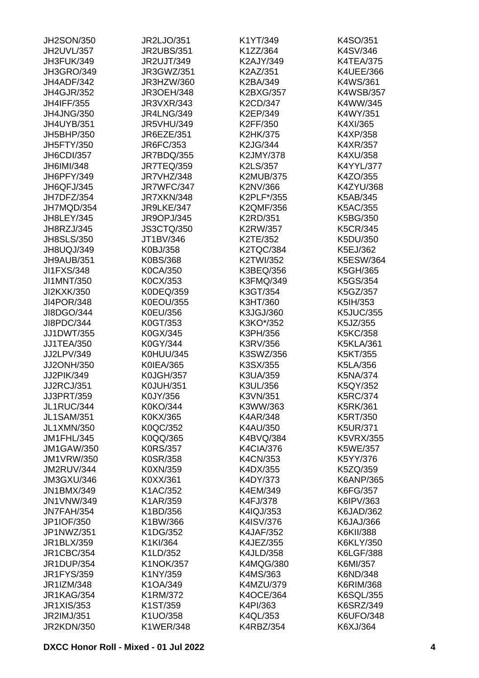| JH2SON/350        | JR2LJO/351        | K1YT/349         | K4SO/351         |
|-------------------|-------------------|------------------|------------------|
| JH2UVL/357        | <b>JR2UBS/351</b> | K1ZZ/364         | K4SV/346         |
| JH3FUK/349        | <b>JR2UJT/349</b> | K2AJY/349        | <b>K4TEA/375</b> |
| <b>JH3GRO/349</b> | JR3GWZ/351        | K2AZ/351         | K4UEE/366        |
| JH4ADF/342        | JR3HZW/360        | K2BA/349         | K4WS/361         |
| <b>JH4GJR/352</b> | <b>JR3OEH/348</b> | K2BXG/357        | <b>K4WSB/357</b> |
| <b>JH4IFF/355</b> | <b>JR3VXR/343</b> | K2CD/347         | K4WW/345         |
| <b>JH4JNG/350</b> | <b>JR4LNG/349</b> | K2EP/349         | K4WY/351         |
| <b>JH4UYB/351</b> | <b>JR5VHU/349</b> | K2FF/350         | K4XI/365         |
| JH5BHP/350        | <b>JR6EZE/351</b> | K2HK/375         | K4XP/358         |
| <b>JH5FTY/350</b> | JR6FC/353         | K2JG/344         | K4XR/357         |
| <b>JH6CDI/357</b> | JR7BDQ/355        | K2JMY/378        | K4XU/358         |
| JH6IMI/348        | <b>JR7TEQ/359</b> | K2LS/357         | K4YYL/377        |
| JH6PFY/349        | JR7VHZ/348        | <b>K2MUB/375</b> | K4ZO/355         |
| JH6QFJ/345        | JR7WFC/347        | K2NV/366         | K4ZYU/368        |
| JH7DFZ/354        | JR7XKN/348        | K2PLF*/355       | K5AB/345         |
| JH7MQD/354        | JR9LKE/347        | <b>K2QMF/356</b> | K5AC/355         |
|                   |                   |                  |                  |
| <b>JH8LEY/345</b> | <b>JR9OPJ/345</b> | K2RD/351         | K5BG/350         |
| JH8RZJ/345        | <b>JS3CTQ/350</b> | K2RW/357         | K5CR/345         |
| <b>JH8SLS/350</b> | JT1BV/346         | K2TE/352         | K5DU/350         |
| JH8UQJ/349        | K0BJ/358          | <b>K2TQC/384</b> | K5EJ/362         |
| JH9AUB/351        | K0BS/368          | K2TWI/352        | K5ESW/364        |
| <b>JI1FXS/348</b> | K0CA/350          | K3BEQ/356        | K5GH/365         |
| JI1MNT/350        | K0CX/353          | K3FMQ/349        | K5GS/354         |
| JI2KXK/350        | K0DEQ/359         | K3GT/354         | K5GZ/357         |
| <b>JI4POR/348</b> | <b>K0EOU/355</b>  | K3HT/360         | K5IH/353         |
| JI8DGO/344        | K0EU/356          | K3JGJ/360        | <b>K5JUC/355</b> |
| JI8PDC/344        | K0GT/353          | K3KO*/352        | K5JZ/355         |
| <b>JJ1DWT/355</b> | K0GX/345          | K3PH/356         | K5KC/358         |
| <b>JJ1TEA/350</b> | K0GY/344          | K3RV/356         | <b>K5KLA/361</b> |
| JJ2LPV/349        | K0HUU/345         | K3SWZ/356        | K5KT/355         |
| JJ2ONH/350        | K0IEA/365         | K3SX/355         | K5LA/356         |
| JJ2PIK/349        | <b>K0JGH/357</b>  | K3UA/359         | K5NA/374         |
| <b>JJ2RCJ/351</b> | <b>K0JUH/351</b>  | K3UL/356         | K5QY/352         |
| JJ3PRT/359        | K0JY/356          | K3VN/351         | K5RC/374         |
| JL1RUC/344        | K0KO/344          | K3WW/363         | K5RK/361         |
| <b>JL1SAM/351</b> | K0KX/365          | <b>K4AR/348</b>  | K5RT/350         |
| <b>JL1XMN/350</b> | K0QC/352          | K4AU/350         | <b>K5UR/371</b>  |
| JM1FHL/345        | K0QQ/365          | K4BVQ/384        | <b>K5VRX/355</b> |
| <b>JM1GAW/350</b> | <b>K0RS/357</b>   | K4CIA/376        | K5WE/357         |
| <b>JM1VRW/350</b> | K0SR/358          | K4CN/353         | K5YY/376         |
| JM2RUV/344        | K0XN/359          | K4DX/355         | K5ZQ/359         |
| JM3GXU/346        | K0XX/361          | K4DY/373         | K6ANP/365        |
| <b>JN1BMX/349</b> | K1AC/352          | K4EM/349         | K6FG/357         |
| <b>JN1VNW/349</b> | K1AR/359          | K4FJ/378         | K6IPV/363        |
| JN7FAH/354        | K1BD/356          | K4IQJ/353        | K6JAD/362        |
| JP1IOF/350        | K1BW/366          | K4ISV/376        | K6JAJ/366        |
| JP1NWZ/351        | K1DG/352          |                  | K6KII/388        |
|                   |                   | <b>K4JAF/352</b> |                  |
| JR1BLX/359        | K1KI/364          | K4JEZ/355        | K6KLY/350        |
| <b>JR1CBC/354</b> | K1LD/352          | <b>K4JLD/358</b> | K6LGF/388        |
| <b>JR1DUP/354</b> | <b>K1NOK/357</b>  | <b>K4MQG/380</b> | K6MI/357         |
| <b>JR1FYS/359</b> | K1NY/359          | K4MS/363         | K6ND/348         |
| JR1IZM/348        | K1OA/349          | K4MZU/379        | K6RIM/368        |
| <b>JR1KAG/354</b> | K1RM/372          | <b>K4OCE/364</b> | K6SQL/355        |
| <b>JR1XIS/353</b> | K1ST/359          | K4PI/363         | K6SRZ/349        |
| JR2IMJ/351        | K1UO/358          | K4QL/353         | K6UFO/348        |
| <b>JR2KDN/350</b> | <b>K1WER/348</b>  | K4RBZ/354        | K6XJ/364         |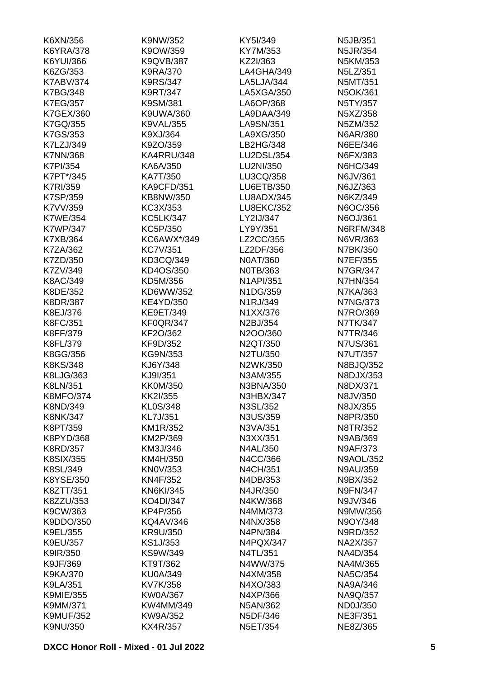| K6XN/356         | K9NW/352          | KY5I/349          | N5JB/351         |
|------------------|-------------------|-------------------|------------------|
| <b>K6YRA/378</b> | K9OW/359          | KY7M/353          | N5JR/354         |
| K6YUI/366        | K9QVB/387         | KZ2I/363          | N5KM/353         |
| K6ZG/353         | K9RA/370          | LA4GHA/349        | N5LZ/351         |
| <b>K7ABV/374</b> | <b>K9RS/347</b>   | LA5LJA/344        | N5MT/351         |
| <b>K7BG/348</b>  | K9RT/347          | LA5XGA/350        | N5OK/361         |
| <b>K7EG/357</b>  | K9SM/381          | LA6OP/368         | N5TY/357         |
| K7GEX/360        | K9UWA/360         | LA9DAA/349        | N5XZ/358         |
| K7GQ/355         | <b>K9VAL/355</b>  | LA9SN/351         | N5ZM/352         |
| K7GS/353         | K9XJ/364          | LA9XG/350         | N6AR/380         |
| K7LZJ/349        | K9ZO/359          | LB2HG/348         | N6EE/346         |
| <b>K7NN/368</b>  | KA4RRU/348        | LU2DSL/354        | N6FX/383         |
| <b>K7PI/354</b>  | KA6A/350          | LU2NI/350         | N6HC/349         |
| K7PT*/345        | KA7T/350          | LU3CQ/358         | N6JV/361         |
| <b>K7RI/359</b>  | <b>KA9CFD/351</b> | <b>LU6ETB/350</b> | N6JZ/363         |
| <b>K7SP/359</b>  | KB8NW/350         | LU8ADX/345        | N6KZ/349         |
|                  |                   | <b>LU8EKC/352</b> |                  |
| K7VV/359         | KC3X/353          |                   | N6OC/356         |
| <b>K7WE/354</b>  | <b>KC5LK/347</b>  | LY2IJ/347         | N6OJ/361         |
| <b>K7WP/347</b>  | KC5P/350          | LY9Y/351          | <b>N6RFM/348</b> |
| K7XB/364         | KC6AWX*/349       | LZ2CC/355         | N6VR/363         |
| K7ZA/362         | <b>KC7V/351</b>   | LZ2DF/356         | N7BK/350         |
| K7ZD/350         | KD3CQ/349         | N0AT/360          | N7EF/355         |
| K7ZV/349         | KD4OS/350         | N0TB/363          | N7GR/347         |
| K8AC/349         | KD5M/356          | <b>N1API/351</b>  | <b>N7HN/354</b>  |
| K8DE/352         | KD6WW/352         | N1DG/359          | N7KA/363         |
| <b>K8DR/387</b>  | <b>KE4YD/350</b>  | N1RJ/349          | <b>N7NG/373</b>  |
| K8EJ/376         | KE9ET/349         | N1XX/376          | N7RO/369         |
| K8FC/351         | <b>KF0QR/347</b>  | N2BJ/354          | N7TK/347         |
| K8FF/379         | KF2O/362          | N2OO/360          | N7TR/346         |
| K8FL/379         | KF9D/352          | N2QT/350          | <b>N7US/361</b>  |
| K8GG/356         | KG9N/353          | N2TU/350          | N7UT/357         |
| K8KS/348         | KJ6Y/348          | N2WK/350          | N8BJQ/352        |
| K8LJG/363        | KJ9I/351          | N3AM/355          | N8DJX/353        |
| K8LN/351         | <b>KK0M/350</b>   | N3BNA/350         | N8DX/371         |
| <b>K8MFO/374</b> | KK2I/355          | <b>N3HBX/347</b>  | N8JV/350         |
| K8ND/349         | KL0S/348          | N3SL/352          | N8JX/355         |
| <b>K8NK/347</b>  | KL7J/351          | N3US/359          | N8PR/350         |
| K8PT/359         | KM1R/352          | N3VA/351          | N8TR/352         |
| K8PYD/368        | KM2P/369          | N3XX/351          | N9AB/369         |
| <b>K8RD/357</b>  | KM3J/346          | N4AL/350          | N9AF/373         |
| <b>K8SIX/355</b> | KM4H/350          | N4CC/366          | <b>N9AOL/352</b> |
| K8SL/349         | KN0V/353          | N4CH/351          | <b>N9AU/359</b>  |
| K8YSE/350        | KN4F/352          | N4DB/353          | N9BX/352         |
| K8ZTT/351        | <b>KN6KI/345</b>  | N4JR/350          | <b>N9FN/347</b>  |
| K8ZZU/353        | KO4DI/347         | N4KW/368          | N9JV/346         |
| K9CW/363         | KP4P/356          | N4MM/373          | N9MW/356         |
| K9DDO/350        | KQ4AV/346         | N4NX/358          | N9OY/348         |
| K9EL/355         | KR9U/350          | N4PN/384          | N9RD/352         |
|                  |                   |                   |                  |
| K9EU/357         | KS1J/353          | N4PQX/347         | NA2X/357         |
| K9IR/350         | KS9W/349          | N4TL/351          | NA4D/354         |
| K9JF/369         | KT9T/362          | N4WW/375          | NA4M/365         |
| <b>K9KA/370</b>  | <b>KU0A/349</b>   | N4XM/358          | <b>NA5C/354</b>  |
| K9LA/351         | KV7K/358          | N4XO/383          | NA9A/346         |
| <b>K9MIE/355</b> | <b>KW0A/367</b>   | N4XP/366          | NA9Q/357         |
| K9MM/371         | KW4MM/349         | N5AN/362          | ND0J/350         |
| <b>K9MUF/352</b> | KW9A/352          | N5DF/346          | <b>NE3F/351</b>  |
| K9NU/350         | KX4R/357          | N5ET/354          | NE8Z/365         |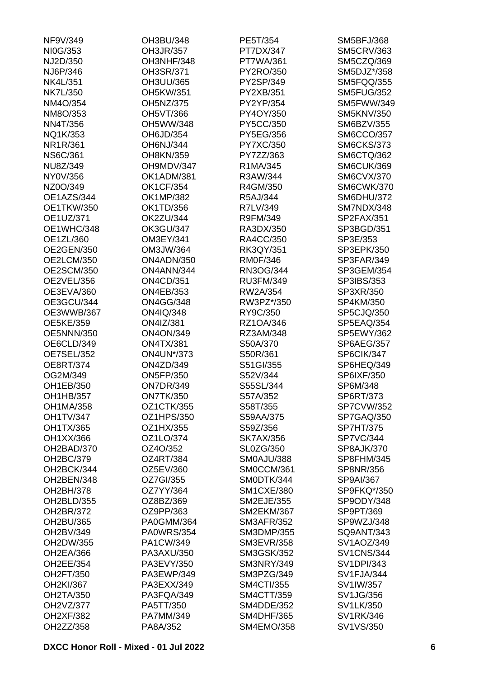| NF9V/349          | OH3BU/348         | PE5T/354          | <b>SM5BFJ/368</b> |
|-------------------|-------------------|-------------------|-------------------|
| NI0G/353          | OH3JR/357         | PT7DX/347         | <b>SM5CRV/363</b> |
| NJ2D/350          | OH3NHF/348        | PT7WA/361         | SM5CZQ/369        |
| NJ6P/346          | OH3SR/371         | PY2RO/350         | SM5DJZ*/358       |
| <b>NK4L/351</b>   | OH3UU/365         | PY2SP/349         | SM5FQQ/355        |
| <b>NK7L/350</b>   | OH5KW/351         | PY2XB/351         | <b>SM5FUG/352</b> |
| NM4O/354          | OH5NZ/375         | PY2YP/354         | SM5FWW/349        |
| NM8O/353          | OH5VT/366         | PY4OY/350         | <b>SM5KNV/350</b> |
| <b>NN4T/356</b>   | OH5WW/348         | PY5CC/350         | <b>SM6BZV/355</b> |
| NQ1K/353          | OH6JD/354         | PY5EG/356         | <b>SM6CCO/357</b> |
| NR1R/361          | <b>OH6NJ/344</b>  | PY7XC/350         | <b>SM6CKS/373</b> |
| <b>NS6C/361</b>   | OH8KN/359         | PY7ZZ/363         | SM6CTQ/362        |
| NU8Z/349          | OH9MDV/347        | R1MA/345          | SM6CUK/369        |
| NY0V/356          | OK1ADM/381        | R3AW/344          | <b>SM6CVX/370</b> |
| NZ0O/349          | <b>OK1CF/354</b>  | R4GM/350          | <b>SM6CWK/370</b> |
| OE1AZS/344        | <b>OK1MP/382</b>  | R5AJ/344          | <b>SM6DHU/372</b> |
| <b>OE1TKW/350</b> | OK1TD/356         | R7LV/349          | SM7NDX/348        |
| OE1UZ/371         | <b>OK2ZU/344</b>  | R9FM/349          | SP2FAX/351        |
| OE1WHC/348        | <b>OK3GU/347</b>  | RA3DX/350         | SP3BGD/351        |
| OE1ZL/360         | OM3EY/341         | RA4CC/350         | SP3E/353          |
| <b>OE2GEN/350</b> | OM3JW/364         | RK3QY/351         | SP3EPK/350        |
| OE2LCM/350        | ON4ADN/350        | <b>RM0F/346</b>   | SP3FAR/349        |
|                   |                   |                   |                   |
| OE2SCM/350        | ON4ANN/344        | RN3OG/344         | SP3GEM/354        |
| OE2VEL/356        | <b>ON4CD/351</b>  | RU3FM/349         | SP3IBS/353        |
| OE3EVA/360        | <b>ON4EB/353</b>  | RW2A/354          | SP3XR/350         |
| OE3GCU/344        | <b>ON4GG/348</b>  | RW3PZ*/350        | SP4KM/350         |
| OE3WWB/367        | <b>ON4IQ/348</b>  | RY9C/350          | SP5CJQ/350        |
| <b>OE5KE/359</b>  | <b>ON4IZ/381</b>  | RZ1OA/346         | SP5EAQ/354        |
| <b>OE5NNN/350</b> | <b>ON4ON/349</b>  | RZ3AM/348         | SP5EWY/362        |
| OE6CLD/349        | <b>ON4TX/381</b>  | S50A/370          | <b>SP6AEG/357</b> |
| OE7SEL/352        | <b>ON4UN*/373</b> | S50R/361          | SP6CIK/347        |
| <b>OE8RT/374</b>  | <b>ON4ZD/349</b>  | S51GI/355         | SP6HEQ/349        |
| OG2M/349          | <b>ON5FP/350</b>  | S52V/344          | SP6IXF/350        |
| OH1EB/350         | <b>ON7DR/349</b>  | S55SL/344         | SP6M/348          |
| OH1HB/357         | <b>ON7TK/350</b>  | S57A/352          | SP6RT/373         |
| OH1MA/358         | OZ1CTK/355        | S58T/355          | <b>SP7CVW/352</b> |
| <b>OH1TV/347</b>  | OZ1HPS/350        | S59AA/375         | SP7GAQ/350        |
| OH1TX/365         | OZ1HX/355         | S59Z/356          | <b>SP7HT/375</b>  |
| OH1XX/366         | OZ1LO/374         | <b>SK7AX/356</b>  | <b>SP7VC/344</b>  |
| OH2BAD/370        | OZ4O/352          | <b>SL0ZG/350</b>  | <b>SP8AJK/370</b> |
| OH2BC/379         | OZ4RT/384         | SM0AJU/388        | SP8FHM/345        |
| OH2BCK/344        | OZ5EV/360         | SM0CCM/361        | SP8NR/356         |
| OH2BEN/348        | OZ7GI/355         | SMODTK/344        | SP9AI/367         |
| OH2BH/378         | OZ7YY/364         | <b>SM1CXE/380</b> | SP9FKQ*/350       |
| OH2BLD/355        | OZ8BZ/369         | <b>SM2EJE/355</b> | SP9ODY/348        |
| OH2BR/372         | OZ9PP/363         | <b>SM2EKM/367</b> | SP9PT/369         |
| OH2BU/365         | PA0GMM/364        | <b>SM3AFR/352</b> | SP9WZJ/348        |
| OH2BV/349         | <b>PA0WRS/354</b> | <b>SM3DMP/355</b> | SQ9ANT/343        |
| OH2DW/355         | PA1CW/349         | <b>SM3EVR/358</b> | SV1AOZ/349        |
| <b>OH2EA/366</b>  | PA3AXU/350        | <b>SM3GSK/352</b> | <b>SV1CNS/344</b> |
| OH2EE/354         | PA3EVY/350        | SM3NRY/349        | <b>SV1DPI/343</b> |
| OH2FT/350         | PA3EWP/349        | SM3PZG/349        | SV1FJA/344        |
| OH2KI/367         | PA3EXX/349        | <b>SM4CTI/355</b> | SV1IW/357         |
| <b>OH2TA/350</b>  | PA3FQA/349        | SM4CTT/359        | SV1JG/356         |
| OH2VZ/377         | PA5TT/350         | <b>SM4DDE/352</b> | SV1LK/350         |
| <b>OH2XF/382</b>  | PA7MM/349         | <b>SM4DHF/365</b> | SV1RK/346         |
| OH2ZZ/358         | PA8A/352          | SM4EMO/358        | SV1VS/350         |
|                   |                   |                   |                   |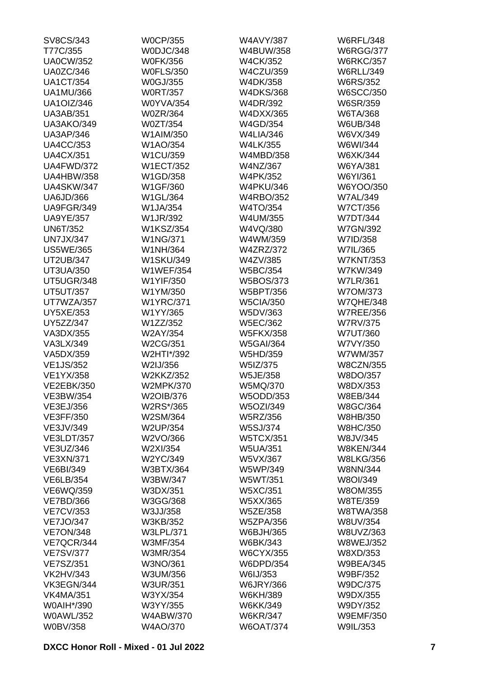| SV8CS/343         | <b>W0CP/355</b>  | <b>W4AVY/387</b> | <b>W6RFL/348</b> |
|-------------------|------------------|------------------|------------------|
| T77C/355          | W0DJC/348        | W4BUW/358        | <b>W6RGG/377</b> |
| <b>UA0CW/352</b>  | <b>W0FK/356</b>  | <b>W4CK/352</b>  | <b>W6RKC/357</b> |
| <b>UA0ZC/346</b>  | <b>W0FLS/350</b> | <b>W4CZU/359</b> | <b>W6RLL/349</b> |
| <b>UA1CT/354</b>  | <b>W0GJ/355</b>  | W4DK/358         | <b>W6RS/352</b>  |
| <b>UA1MU/366</b>  | <b>W0RT/357</b>  | <b>W4DKS/368</b> | <b>W6SCC/350</b> |
| <b>UA1OIZ/346</b> | <b>W0YVA/354</b> | W4DR/392         | W6SR/359         |
| <b>UA3AB/351</b>  | <b>W0ZR/364</b>  | W4DXX/365        | W6TA/368         |
| UA3AKO/349        | W0ZT/354         | W4GD/354         | W6UB/348         |
| <b>UA3AP/346</b>  | W1AIM/350        | <b>W4LIA/346</b> | W6VX/349         |
| <b>UA4CC/353</b>  | W1AO/354         | <b>W4LK/355</b>  | W6WI/344         |
| <b>UA4CX/351</b>  | W1CU/359         | W4MBD/358        | W6XK/344         |
| UA4FWD/372        | <b>W1ECT/352</b> | W4NZ/367         | W6YA/381         |
| <b>UA4HBW/358</b> | W1GD/358         | <b>W4PK/352</b>  | W6YI/361         |
| <b>UA4SKW/347</b> | W1GF/360         | <b>W4PKU/346</b> | W6YOO/350        |
| UA6JD/366         | W1GL/364         | <b>W4RBO/352</b> | <b>W7AL/349</b>  |
| UA9FGR/349        | W1JA/354         | W4TO/354         | <b>W7CT/356</b>  |
| <b>UA9YE/357</b>  | W1JR/392         | W4UM/355         | <b>W7DT/344</b>  |
| <b>UN6T/352</b>   | <b>W1KSZ/354</b> | W4VQ/380         | <b>W7GN/392</b>  |
| <b>UN7JX/347</b>  | <b>W1NG/371</b>  | W4WM/359         | W7ID/358         |
| <b>US5WE/365</b>  | W1NH/364         | <b>W4ZRZ/372</b> | W7IL/365         |
| <b>UT2UB/347</b>  | <b>W1SKU/349</b> | W4ZV/385         | <b>W7KNT/353</b> |
| UT3UA/350         | <b>W1WEF/354</b> | <b>W5BC/354</b>  | W7KW/349         |
| UT5UGR/348        | W1YIF/350        | <b>W5BOS/373</b> | <b>W7LR/361</b>  |
|                   |                  |                  |                  |
| <b>UT5UT/357</b>  | W1YM/350         | W5BPT/356        | W7OM/373         |
| UT7WZA/357        | <b>W1YRC/371</b> | <b>W5CIA/350</b> | <b>W7QHE/348</b> |
| <b>UY5XE/353</b>  | W1YY/365         | W5DV/363         | <b>W7REE/356</b> |
| UY5ZZ/347         | W1ZZ/352         | <b>W5EC/362</b>  | <b>W7RV/375</b>  |
| VA3DX/355         | W2AY/354         | <b>W5FKX/358</b> | <b>W7UT/360</b>  |
| VA3LX/349         | W2CG/351         | <b>W5GAI/364</b> | W7VY/350         |
| VA5DX/359         | W2HTI*/392       | W5HD/359         | W7WM/357         |
| <b>VE1JS/352</b>  | W2IJ/356         | W5IZ/375         | <b>W8CZN/355</b> |
| <b>VE1YX/358</b>  | <b>W2KKZ/352</b> | W5JE/358         | W8DO/357         |
| <b>VE2EBK/350</b> | <b>W2MPK/370</b> | W5MQ/370         | W8DX/353         |
| <b>VE3BW/354</b>  | W2OIB/376        | W5ODD/353        | W8EB/344         |
| VE3EJ/356         | W2RS*/365        | W5OZI/349        | W8GC/364         |
| <b>VE3FF/350</b>  | W2SM/364         | W5RZ/356         | W8HB/350         |
| VE3JV/349         | <b>W2UP/354</b>  | <b>W5SJ/374</b>  | <b>W8HC/350</b>  |
| <b>VE3LDT/357</b> | W2VO/366         | <b>W5TCX/351</b> | W8JV/345         |
| VE3UZ/346         | W2XI/354         | <b>W5UA/351</b>  | <b>W8KEN/344</b> |
| <b>VE3XN/371</b>  | W2YC/349         | W5VX/367         | <b>W8LKG/356</b> |
| <b>VE6BI/349</b>  | W3BTX/364        | W5WP/349         | <b>W8NN/344</b>  |
| VE6LB/354         | W3BW/347         | W5WT/351         | W8OI/349         |
| VE6WQ/359         | W3DX/351         | W5XC/351         | W8OM/355         |
| <b>VE7BD/366</b>  | W3GG/368         | W5XX/365         | W8TE/359         |
| <b>VE7CV/353</b>  | W3JJ/358         | <b>W5ZE/358</b>  | <b>W8TWA/358</b> |
| <b>VE7JO/347</b>  | W3KB/352         | <b>W5ZPA/356</b> | W8UV/354         |
| <b>VE7ON/348</b>  | <b>W3LPL/371</b> | W6BJH/365        | W8UVZ/363        |
| VE7QCR/344        | W3MF/354         | W6BK/343         | <b>W8WEJ/352</b> |
| <b>VE7SV/377</b>  | W3MR/354         | <b>W6CYX/355</b> | W8XD/353         |
| <b>VE7SZ/351</b>  | W3NO/361         | W6DPD/354        | <b>W9BEA/345</b> |
| <b>VK2HV/343</b>  | W3UM/356         | W6IJ/353         | W9BF/352         |
| VK3EGN/344        | <b>W3UR/351</b>  | <b>W6JRY/366</b> | W9DC/375         |
| <b>VK4MA/351</b>  | W3YX/354         | W6KH/389         | W9DX/355         |
| W0AIH*/390        | W3YY/355         | W6KK/349         | W9DY/352         |
| <b>W0AWL/352</b>  | <b>W4ABW/370</b> | <b>W6KR/347</b>  | <b>W9EMF/350</b> |
| <b>W0BV/358</b>   | W4AO/370         | <b>W6OAT/374</b> | W9IL/353         |
|                   |                  |                  |                  |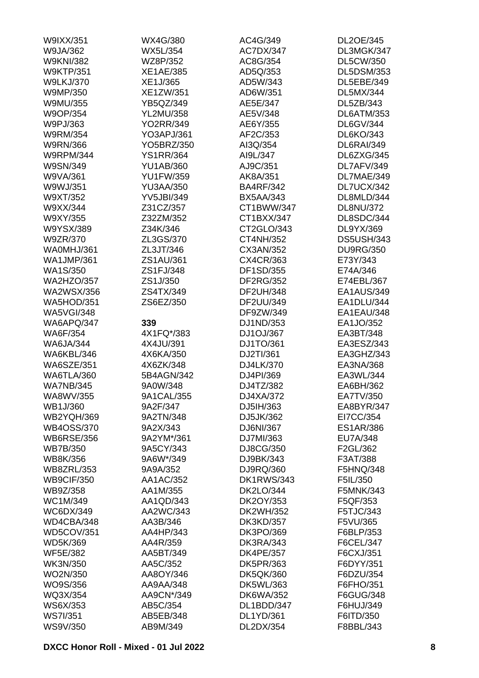| W9IXX/351         | WX4G/380          | AC4G/349          | DL2OE/345         |
|-------------------|-------------------|-------------------|-------------------|
| W9JA/362          | <b>WX5L/354</b>   | AC7DX/347         | DL3MGK/347        |
| <b>W9KNI/382</b>  | WZ8P/352          | AC8G/354          | <b>DL5CW/350</b>  |
| <b>W9KTP/351</b>  | <b>XE1AE/385</b>  | AD5Q/353          | <b>DL5DSM/353</b> |
| <b>W9LKJ/370</b>  | XE1J/365          | AD5W/343          | DL5EBE/349        |
| W9MP/350          | XE1ZW/351         | AD6W/351          | <b>DL5MX/344</b>  |
| W9MU/355          | YB5QZ/349         | AE5E/347          | DL5ZB/343         |
| W9OP/354          | <b>YL2MU/358</b>  | AE5V/348          | DL6ATM/353        |
| W9PJ/363          | <b>YO2RR/349</b>  | AE6Y/355          | DL6GV/344         |
| W9RM/354          | YO3APJ/361        | AF2C/353          | <b>DL6KO/343</b>  |
| <b>W9RN/366</b>   | YO5BRZ/350        | AI3Q/354          | <b>DL6RAI/349</b> |
| <b>W9RPM/344</b>  | <b>YS1RR/364</b>  | AI9L/347          | DL6ZXG/345        |
| W9SN/349          | <b>YU1AB/360</b>  | AJ9C/351          | DL7AFV/349        |
| W9VA/361          | <b>YU1FW/359</b>  | AK8A/351          | DL7MAE/349        |
| W9WJ/351          | <b>YU3AA/350</b>  | <b>BA4RF/342</b>  | DL7UCX/342        |
| W9XT/352          | <b>YV5JBI/349</b> | <b>BX5AA/343</b>  | DL8MLD/344        |
| W9XX/344          | Z31CZ/357         | CT1BWW/347        | <b>DL8NU/372</b>  |
| W9XY/355          |                   | CT1BXX/347        | DL8SDC/344        |
|                   | Z32ZM/352         |                   |                   |
| W9YSX/389         | Z34K/346          | CT2GLO/343        | DL9YX/369         |
| W9ZR/370          | ZL3GS/370         | CT4NH/352         | <b>DS5USH/343</b> |
| WA0MHJ/361        | ZL3JT/346         | CX3AN/352         | <b>DU9RG/350</b>  |
| <b>WA1JMP/361</b> | ZS1AU/361         | CX4CR/363         | E73Y/343          |
| <b>WA1S/350</b>   | ZS1FJ/348         | DF1SD/355         | E74A/346          |
| <b>WA2HZO/357</b> | ZS1J/350          | DF2RG/352         | E74EBL/367        |
| <b>WA2WSX/356</b> | ZS4TX/349         | DF2UH/348         | EA1AUS/349        |
| <b>WA5HOD/351</b> | ZS6EZ/350         | DF2UU/349         | EA1DLU/344        |
| <b>WA5VGI/348</b> |                   | DF9ZW/349         | EA1EAU/348        |
| WA6APQ/347        | 339               | DJ1ND/353         | EA1JO/352         |
| <b>WA6F/354</b>   | 4X1FQ*/383        | DJ1OJ/367         | EA3BT/348         |
| <b>WA6JA/344</b>  | 4X4JU/391         | DJ1TO/361         | EA3ESZ/343        |
| WA6KBL/346        | 4X6KA/350         | DJ2TI/361         | EA3GHZ/343        |
| <b>WA6SZE/351</b> | 4X6ZK/348         | DJ4LK/370         | EA3NA/368         |
| <b>WA6TLA/360</b> | 5B4AGN/342        | DJ4PI/369         | EA3WL/344         |
| <b>WA7NB/345</b>  | 9A0W/348          | DJ4TZ/382         | EA6BH/362         |
| WA8WV/355         | 9A1CAL/355        | DJ4XA/372         | EA7TV/350         |
| WB1J/360          | 9A2F/347          | DJ5IH/363         | EA8BYR/347        |
| <b>WB2YQH/369</b> | 9A2TN/348         | DJ5JK/362         | EI7CC/354         |
| <b>WB4OSS/370</b> | 9A2X/343          | DJ6NI/367         | <b>ES1AR/386</b>  |
| <b>WB6RSE/356</b> | 9A2YM*/361        | DJ7MI/363         | EU7A/348          |
| <b>WB7B/350</b>   | 9A5CY/343         | DJ8CG/350         | F2GL/362          |
| WB8K/356          | 9A6W*/349         | DJ9BK/343         | F3AT/388          |
| <b>WB8ZRL/353</b> | 9A9A/352          | DJ9RQ/360         | F5HNQ/348         |
| <b>WB9CIF/350</b> | AA1AC/352         | <b>DK1RWS/343</b> | F5IL/350          |
| WB9Z/358          | AA1M/355          | <b>DK2LO/344</b>  | F5MNK/343         |
| WC1M/349          | AA1QD/343         | DK2OY/353         | F5QF/353          |
| WC6DX/349         | AA2WC/343         | DK2WH/352         | F5TJC/343         |
| WD4CBA/348        | AA3B/346          | <b>DK3KD/357</b>  | F5VU/365          |
| <b>WD5COV/351</b> | AA4HP/343         | DK3PO/369         | F6BLP/353         |
| <b>WD5K/369</b>   | AA4R/359          | <b>DK3RA/343</b>  | F6CEL/347         |
| <b>WF5E/382</b>   | AA5BT/349         | <b>DK4PE/357</b>  | F6CXJ/351         |
|                   |                   |                   |                   |
| WK3N/350          | AA5C/352          | <b>DK5PR/363</b>  | F6DYY/351         |
| WO2N/350          | AA8OY/346         | <b>DK5QK/360</b>  | F6DZU/354         |
| WO9S/356          | AA9AA/348         | DK5WL/363         | F6FHO/351         |
| WQ3X/354          | AA9CN*/349        | <b>DK6WA/352</b>  | F6GUG/348         |
| WS6X/353          | AB5C/354          | DL1BDD/347        | F6HUJ/349         |
| <b>WS7I/351</b>   | AB5EB/348         | DL1YD/361         | F6ITD/350         |
| WS9V/350          | AB9M/349          | DL2DX/354         | F8BBL/343         |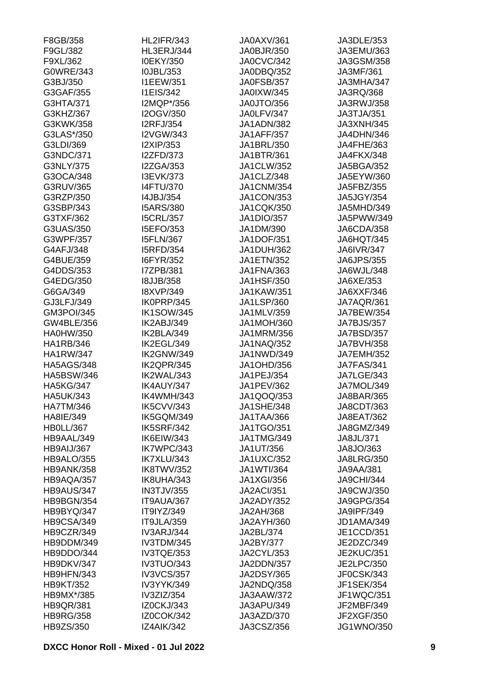| F8GB/358          | <b>HL2IFR/343</b> | JA0AXV/361        | JA3DLE/353        |
|-------------------|-------------------|-------------------|-------------------|
| F9GL/382          | HL3ERJ/344        | JA0BJR/350        | JA3EMU/363        |
| F9XL/362          | I0EKY/350         | JA0CVC/342        | JA3GSM/358        |
| G0WRE/343         | I0JBL/353         | JA0DBQ/352        | JA3MF/361         |
| G3BJ/350          | <b>I1EEW/351</b>  | JA0FSB/357        | JA3MHA/347        |
| G3GAF/355         | <b>I1EIS/342</b>  | <b>JA0IXW/345</b> | JA3RQ/368         |
| G3HTA/371         | I2MQP*/356        | JA0JTO/356        | JA3RWJ/358        |
| G3KHZ/367         | I2OGV/350         | JA0LFV/347        | JA3TJA/351        |
| G3KWK/358         | <b>I2RFJ/354</b>  | JA1ADN/382        | JA3XNH/345        |
| G3LAS*/350        | I2VGW/343         | <b>JA1AFF/357</b> | JA4DHN/346        |
| G3LDI/369         | I2XIP/353         | JA1BRL/350        | JA4FHE/363        |
| G3NDC/371         | <b>I2ZFD/373</b>  | JA1BTR/361        | JA4FKX/348        |
| G3NLY/375         | <b>I2ZGA/353</b>  | JA1CLW/352        | <b>JA5BGA/352</b> |
| G3OCA/348         | I3EVK/373         | JA1CLZ/348        | JA5EYW/360        |
| G3RUV/365         | <b>I4FTU/370</b>  | <b>JA1CNM/354</b> | JA5FBZ/355        |
| G3RZP/350         | I4JBJ/354         | <b>JA1CON/353</b> | <b>JA5JGY/354</b> |
| G3SBP/343         | <b>I5ARS/380</b>  | <b>JA1CQK/350</b> | JA5MHD/349        |
| G3TXF/362         | <b>I5CRL/357</b>  | <b>JA1DIO/357</b> | JA5PWW/349        |
| G3UAS/350         | I5EFO/353         | JA1DM/390         | JA6CDA/358        |
| G3WPF/357         | <b>I5FLN/367</b>  | <b>JA1DOF/351</b> | JA6HQT/345        |
|                   | <b>I5RFD/354</b>  | <b>JA1DUH/362</b> |                   |
| G4AFJ/348         |                   |                   | <b>JA6IVR/347</b> |
| G4BUE/359         | I6FYR/352         | <b>JA1ETN/352</b> | <b>JA6JPS/355</b> |
| G4DDS/353         | I7ZPB/381         | <b>JA1FNA/363</b> | JA6WJL/348        |
| G4EDG/350         | <b>I8JJB/358</b>  | <b>JA1HSF/350</b> | JA6XE/353         |
| G6GA/349          | <b>I8XVP/349</b>  | <b>JA1KAW/351</b> | JA6XXF/346        |
| GJ3LFJ/349        | IK0PRP/345        | <b>JA1LSP/360</b> | JA7AQR/361        |
| <b>GM3POI/345</b> | <b>IK1SOW/345</b> | JA1MLV/359        | <b>JA7BEW/354</b> |
| GW4BLE/356        | IK2ABJ/349        | <b>JA1MOH/360</b> | JA7BJS/357        |
| <b>HA0HW/350</b>  | IK2BLA/349        | JA1MRM/356        | JA7BSD/357        |
| HA1RB/346         | IK2EGL/349        | <b>JA1NAQ/352</b> | <b>JA7BVH/358</b> |
| <b>HA1RW/347</b>  | IK2GNW/349        | JA1NWD/349        | <b>JA7EMH/352</b> |
| <b>HA5AGS/348</b> | IK2QPR/345        | JA1OHD/356        | <b>JA7FAS/341</b> |
| <b>HA5BSW/346</b> | IK2WAL/343        | JA1PEJ/354        | <b>JA7LGE/343</b> |
| <b>HA5KG/347</b>  | IK4AUY/347        | JA1PEV/362        | JA7MOL/349        |
| <b>HA5UK/343</b>  | IK4WMH/343        | JA1QOQ/353        | JA8BAR/365        |
| <b>HA7TM/346</b>  | IK5CVV/343        | <b>JA1SHE/348</b> | JA8CDT/363        |
| HA8IE/349         | IK5GQM/349        | JA1TAA/366        | JA8EAT/362        |
| <b>HB0LL/367</b>  | <b>IK5SRF/342</b> | <b>JA1TGO/351</b> | JA8GMZ/349        |
| HB9AAL/349        | IK6EIW/343        | <b>JA1TMG/349</b> | JA8JL/371         |
| HB9AIJ/367        | IK7WPC/343        | JA1UT/356         | JA8JO/363         |
| HB9ALO/355        | IK7XLU/343        | <b>JA1UXC/352</b> | <b>JA8LRG/350</b> |
| <b>HB9ANK/358</b> | IK8TWV/352        | <b>JA1WTI/364</b> | <b>JA9AA/381</b>  |
| HB9AQA/357        | IK8UHA/343        | <b>JA1XGI/356</b> | <b>JA9CHI/344</b> |
| HB9AUS/347        | <b>IN3TJV/355</b> | <b>JA2ACI/351</b> | <b>JA9CWJ/350</b> |
| HB9BGN/354        | IT9AUA/367        | <b>JA2ADY/352</b> | <b>JA9GPG/354</b> |
| HB9BYQ/347        | IT9IYZ/349        | <b>JA2AH/368</b>  | <b>JA9IPF/349</b> |
| HB9CSA/349        | IT9JLA/359        | JA2AYH/360        | JD1AMA/349        |
| HB9CZR/349        | <b>IV3ARJ/344</b> | JA2BL/374         | JE1CCD/351        |
| HB9DDM/349        | IV3TDM/345        | JA2BY/377         | JE2DZC/349        |
| HB9DDO/344        | IV3TQE/353        | JA2CYL/353        | <b>JE2KUC/351</b> |
| HB9DKV/347        | IV3TUO/343        | JA2DDN/357        | <b>JE2LPC/350</b> |
| HB9HFN/343        | <b>IV3VCS/357</b> | <b>JA2DSY/365</b> | JF0CSK/343        |
| <b>HB9KT/352</b>  | IV3YYK/349        | JA2NDQ/358        | <b>JF1SEK/354</b> |
| HB9MX*/385        | IV3ZIZ/354        | JA3AAW/372        | JF1WQC/351        |
| <b>HB9QR/381</b>  | IZ0CKJ/343        | JA3APU/349        | JF2MBF/349        |
| <b>HB9RG/358</b>  | <b>IZ0COK/342</b> | JA3AZD/370        | JF2XGF/350        |
| HB9ZS/350         | <b>IZ4AIK/342</b> | JA3CSZ/356        | <b>JG1WNO/350</b> |
|                   |                   |                   |                   |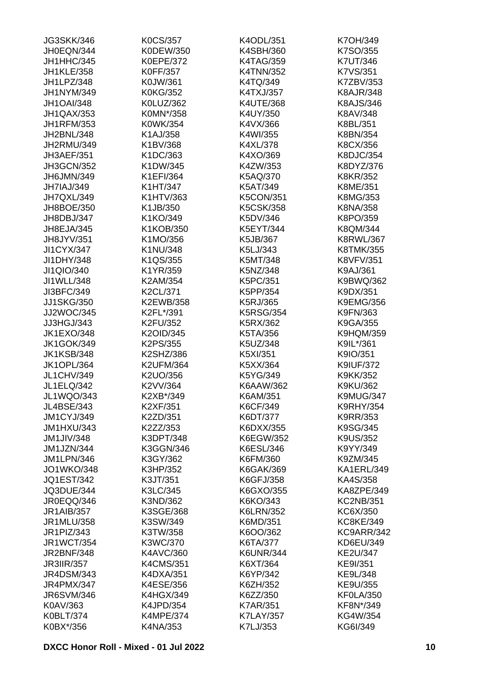| <b>JG3SKK/346</b> | K0CS/357         | K4ODL/351        | K7OH/349         |
|-------------------|------------------|------------------|------------------|
| JH0EQN/344        | K0DEW/350        | K4SBH/360        | K7SO/355         |
| JH1HHC/345        | <b>K0EPE/372</b> | <b>K4TAG/359</b> | <b>K7UT/346</b>  |
| <b>JH1KLE/358</b> | <b>K0FF/357</b>  | <b>K4TNN/352</b> | K7VS/351         |
| JH1LPZ/348        | K0JW/361         | K4TQ/349         | K7ZBV/353        |
| JH1NYM/349        | <b>K0KG/352</b>  | K4TXJ/357        | <b>K8AJR/348</b> |
| <b>JH1OAI/348</b> | K0LUZ/362        | <b>K4UTE/368</b> | <b>K8AJS/346</b> |
| JH1QAX/353        | K0MN*/358        | K4UY/350         | K8AV/348         |
| <b>JH1RFM/353</b> | K0WK/354         | K4VX/366         | K8BL/351         |
| JH2BNL/348        | K1AJ/358         | K4WI/355         | K8BN/354         |
| JH2RMU/349        | K1BV/368         | K4XL/378         | K8CX/356         |
| JH3AEF/351        | K1DC/363         | K4XO/369         | K8DJC/354        |
| <b>JH3GCN/352</b> | K1DW/345         | K4ZW/353         | K8DYZ/376        |
| JH6JMN/349        | K1EFI/364        | K5AQ/370         | <b>K8KR/352</b>  |
| JH7IAJ/349        | K1HT/347         | K5AT/349         | K8ME/351         |
| JH7QXL/349        | K1HTV/363        | <b>K5CON/351</b> | K8MG/353         |
| JH8BOE/350        | K1JB/350         | <b>K5CSK/358</b> | K8NA/358         |
| JH8DBJ/347        | K1KO/349         | K5DV/346         | K8PO/359         |
| JH8EJA/345        | K1KOB/350        | K5EYT/344        | K8QM/344         |
| JH8JYV/351        | K1MO/356         | K5JB/367         | <b>K8RWL/367</b> |
|                   |                  |                  |                  |
| <b>JI1CYX/347</b> | K1NU/348         | K5LJ/343         | K8TMK/355        |
| JI1DHY/348        | K1QS/355         | K5MT/348         | <b>K8VFV/351</b> |
| JI1QIO/340        | K1YR/359         | K5NZ/348         | K9AJ/361         |
| JI1WLL/348        | K2AM/354         | K5PC/351         | K9BWQ/362        |
| JI3BFC/349        | K2CL/371         | K5PP/354         | K9DX/351         |
| <b>JJ1SKG/350</b> | K2EWB/358        | K5RJ/365         | <b>K9EMG/356</b> |
| JJ2WOC/345        | K2FL*/391        | <b>K5RSG/354</b> | K9FN/363         |
| JJ3HGJ/343        | K2FU/352         | K5RX/362         | K9GA/355         |
| <b>JK1EXO/348</b> | K2OID/345        | K5TA/356         | <b>K9HQM/359</b> |
| <b>JK1GOK/349</b> | K2PS/355         | K5UZ/348         | K9IL*/361        |
| <b>JK1KSB/348</b> | K2SHZ/386        | K5XI/351         | K9IO/351         |
| <b>JK1OPL/364</b> | <b>K2UFM/364</b> | K5XX/364         | <b>K9IUF/372</b> |
| <b>JL1CHV/349</b> | K2UO/356         | K5YG/349         | K9KK/352         |
| <b>JL1ELQ/342</b> | K2VV/364         | K6AAW/362        | K9KU/362         |
| JL1WQO/343        | K2XB*/349        | K6AM/351         | K9MUG/347        |
| JL4BSE/343        | K2XF/351         | K6CF/349         | <b>K9RHY/354</b> |
| <b>JM1CYJ/349</b> | K2ZD/351         | K6DT/377         | K9RR/353         |
| <b>JM1HXU/343</b> | K2ZZ/353         | K6DXX/355        | K9SG/345         |
| <b>JM1JIV/348</b> | K3DPT/348        | K6EGW/352        | <b>K9US/352</b>  |
| JM1JZN/344        | K3GGN/346        | K6ESL/346        | K9YY/349         |
| <b>JM1LPN/346</b> | K3GY/362         | K6FM/360         | K9ZM/345         |
| <b>JO1WKO/348</b> | K3HP/352         | <b>K6GAK/369</b> | KA1ERL/349       |
| <b>JQ1EST/342</b> | K3JT/351         | K6GFJ/358        | KA4S/358         |
| JQ3DUE/344        | K3LC/345         | K6GXO/355        | KA8ZPE/349       |
| JR0EQQ/346        | K3ND/362         | K6KO/343         | <b>KC2NB/351</b> |
| <b>JR1AIB/357</b> | K3SGE/368        | <b>K6LRN/352</b> | KC6X/350         |
| JR1MLU/358        | K3SW/349         | K6MD/351         | <b>KC8KE/349</b> |
| JR1PIZ/343        | K3TW/358         | K6OO/362         | KC9ARR/342       |
| <b>JR1WCT/354</b> | K3WC/370         | K6TA/377         | KD6EU/349        |
| <b>JR2BNF/348</b> | K4AVC/360        | <b>K6UNR/344</b> | KE2U/347         |
| <b>JR3IIR/357</b> | <b>K4CMS/351</b> | K6XT/364         | KE9I/351         |
| <b>JR4DSM/343</b> | K4DXA/351        | K6YP/342         | KE9L/348         |
| <b>JR4PMX/347</b> | K4ESE/356        | K6ZH/352         | KE9U/355         |
| <b>JR6SVM/346</b> | <b>K4HGX/349</b> | K6ZZ/350         | KF0LA/350        |
| K0AV/363          | <b>K4JPD/354</b> | <b>K7AR/351</b>  | KF8N*/349        |
| K0BLT/374         | <b>K4MPE/374</b> | <b>K7LAY/357</b> | KG4W/354         |
| K0BX*/356         | K4NA/353         | K7LJ/353         | KG6I/349         |
|                   |                  |                  |                  |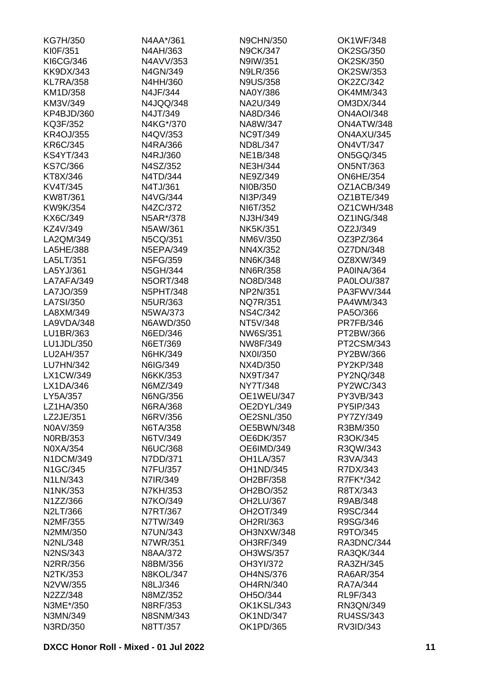| KG7H/350         | N4AA*/361        | <b>N9CHN/350</b>  | OK1WF/348         |
|------------------|------------------|-------------------|-------------------|
| KI0F/351         | N4AH/363         | <b>N9CK/347</b>   | OK2SG/350         |
| KI6CG/346        | N4AVV/353        | N9IW/351          | OK2SK/350         |
| <b>KK9DX/343</b> | N4GN/349         | <b>N9LR/356</b>   | OK2SW/353         |
| <b>KL7RA/358</b> | N4HH/360         | <b>N9US/358</b>   | OK2ZC/342         |
| KM1D/358         | N4JF/344         | NA0Y/386          | OK4MM/343         |
| KM3V/349         | N4JQQ/348        | NA2U/349          | OM3DX/344         |
| KP4BJD/360       | N4JT/349         | NA8D/346          | <b>ON4AOI/348</b> |
| KQ3F/352         | N4KG*/370        | NA8W/347          | ON4ATW/348        |
| <b>KR4OJ/355</b> | N4QV/353         | <b>NC9T/349</b>   | ON4AXU/345        |
| KR6C/345         | N4RA/366         | ND8L/347          | <b>ON4VT/347</b>  |
| <b>KS4YT/343</b> | N4RJ/360         | <b>NE1B/348</b>   | <b>ON5GQ/345</b>  |
| <b>KS7C/366</b>  | N4SZ/352         | <b>NE3H/344</b>   | <b>ON5NT/363</b>  |
| KT8X/346         | N4TD/344         | NE9Z/349          | <b>ON6HE/354</b>  |
| KV4T/345         | N4TJ/361         | NI0B/350          | OZ1ACB/349        |
| KW8T/361         | N4VG/344         | NI3P/349          | OZ1BTE/349        |
| KW9K/354         | N4ZC/372         | NI6T/352          | OZ1CWH/348        |
| KX6C/349         | N5AR*/378        | NJ3H/349          | <b>OZ1ING/348</b> |
| KZ4V/349         | N5AW/361         | <b>NK5K/351</b>   | OZ2J/349          |
| LA2QM/349        | N5CQ/351         | NM6V/350          | OZ3PZ/364         |
| LA5HE/388        | <b>N5EPA/349</b> | NN4X/352          | OZ7DN/348         |
| LA5LT/351        | N5FG/359         | <b>NN6K/348</b>   | OZ8XW/349         |
| LA5YJ/361        | N5GH/344         | <b>NN6R/358</b>   | PA0INA/364        |
| LA7AFA/349       | <b>N5ORT/348</b> | NO8D/348          | PA0LOU/387        |
| LA7JO/359        | <b>N5PHT/348</b> | NP2N/351          | PA3FWV/344        |
| LA7SI/350        | <b>N5UR/363</b>  | <b>NQ7R/351</b>   | PA4WM/343         |
| LA8XM/349        | N5WA/373         | <b>NS4C/342</b>   | PA5O/366          |
| LA9VDA/348       | N6AWD/350        | NT5V/348          | <b>PR7FB/346</b>  |
| LU1BR/363        | N6ED/346         | NW6S/351          | PT2BW/366         |
| LU1JDL/350       | N6ET/369         | NW8F/349          | PT2CSM/343        |
| LU2AH/357        | N6HK/349         | NX0I/350          | PY2BW/366         |
| LU7HN/342        | N6IG/349         | NX4D/350          | PY2KP/348         |
| LX1CW/349        | N6KK/353         | NX9T/347          | PY2NQ/348         |
| LX1DA/346        | N6MZ/349         | <b>NY7T/348</b>   | PY2WC/343         |
| LY5A/357         | <b>N6NG/356</b>  | OE1WEU/347        | PY3VB/343         |
| LZ1HA/350        | N6RA/368         | OE2DYL/349        | PY5IP/343         |
| LZ2JE/351        | N6RV/356         | <b>OE2SNL/350</b> | PY7ZY/349         |
| N0AV/359         | N6TA/358         | OE5BWN/348        | R3BM/350          |
| <b>NORB/353</b>  | N6TV/349         | <b>OE6DK/357</b>  | R3OK/345          |
| N0XA/354         | <b>N6UC/368</b>  | OE6IMD/349        | R3QW/343          |
| N1DCM/349        | N7DD/371         | <b>OH1LA/357</b>  | R3VA/343          |
| N1GC/345         | <b>N7FU/357</b>  | <b>OH1ND/345</b>  | R7DX/343          |
| N1LN/343         | N7IR/349         | OH2BF/358         | R7FK*/342         |
| N1NK/353         | N7KH/353         | OH2BO/352         | R8TX/343          |
| N1ZZ/366         | N7KO/349         | OH2LU/367         | R9AB/348          |
| N2LT/366         | N7RT/367         | OH2OT/349         | R9SC/344          |
| N2MF/355         | N7TW/349         | OH2RI/363         | R9SG/346          |
| N2MM/350         | <b>N7UN/343</b>  | OH3NXW/348        | R9TO/345          |
| <b>N2NL/348</b>  | N7WR/351         | <b>OH3RF/349</b>  | RA3DNC/344        |
| N2NS/343         | <b>N8AA/372</b>  | <b>OH3WS/357</b>  | RA3QK/344         |
| N2RR/356         | N8BM/356         | OH3YI/372         | RA3ZH/345         |
| N2TK/353         | <b>N8KOL/347</b> | <b>OH4NS/376</b>  | <b>RA6AR/354</b>  |
| N2VW/355         | N8LJ/346         | <b>OH4RN/340</b>  | <b>RA7A/344</b>   |
| N2ZZ/348         | N8MZ/352         | OH5O/344          | RL9F/343          |
| N3ME*/350        | N8RF/353         | OK1KSL/343        | RN3QN/349         |
| N3MN/349         | <b>N8SNM/343</b> | <b>OK1ND/347</b>  | RU4SS/343         |
| N3RD/350         | N8TT/357         | OK1PD/365         | RV3ID/343         |
|                  |                  |                   |                   |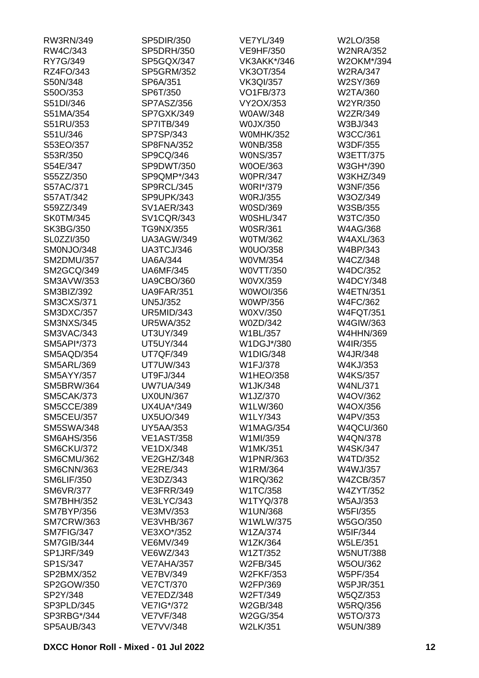| RW3RN/349         | SP5DIR/350        | <b>VE7YL/349</b> | W2LO/358         |
|-------------------|-------------------|------------------|------------------|
| RW4C/343          | SP5DRH/350        | <b>VE9HF/350</b> | <b>W2NRA/352</b> |
| RY7G/349          | SP5GQX/347        | VK3AKK*/346      | W2OKM*/394       |
| RZ4FO/343         | <b>SP5GRM/352</b> | <b>VK3OT/354</b> | <b>W2RA/347</b>  |
| S50N/348          | SP6A/351          | <b>VK3QI/357</b> | W2SY/369         |
| S50O/353          | SP6T/350          | <b>VO1FB/373</b> | W2TA/360         |
| S51DI/346         | SP7ASZ/356        | VY2OX/353        | W2YR/350         |
| S51MA/354         | SP7GXK/349        | W0AW/348         | W2ZR/349         |
| S51RU/353         | SP7ITB/349        | W0JX/350         | W3BJ/343         |
| S51U/346          | SP7SP/343         | <b>W0MHK/352</b> | W3CC/361         |
| S53EO/357         | SP8FNA/352        | <b>WONB/358</b>  | W3DF/355         |
| S53R/350          | SP9CQ/346         | <b>WONS/357</b>  | W3ETT/375        |
| S54E/347          | SP9DWT/350        | W0OE/363         | W3GH*/390        |
| S55ZZ/350         | SP9QMP*/343       | <b>W0PR/347</b>  | W3KHZ/349        |
| S57AC/371         | SP9RCL/345        | W0RI*/379        | <b>W3NF/356</b>  |
| S57AT/342         | SP9UPK/343        | <b>W0RJ/355</b>  | W3OZ/349         |
| S59ZZ/349         | <b>SV1AER/343</b> | W0SD/369         | W3SB/355         |
| <b>SK0TM/345</b>  | <b>SV1CQR/343</b> | <b>W0SHL/347</b> | W3TC/350         |
|                   |                   |                  |                  |
| SK3BG/350         | TG9NX/355         | <b>W0SR/361</b>  | <b>W4AG/368</b>  |
| <b>SL0ZZI/350</b> | <b>UA3AGW/349</b> | <b>W0TM/362</b>  | <b>W4AXL/363</b> |
| SM0NJO/348        | UA3TCJ/346        | W0UO/358         | W4BP/343         |
| <b>SM2DMU/357</b> | <b>UA6A/344</b>   | W0VM/354         | W4CZ/348         |
| SM2GCQ/349        | <b>UA6MF/345</b>  | W0VTT/350        | W4DC/352         |
| <b>SM3AVW/353</b> | <b>UA9CBO/360</b> | W0VX/359         | <b>W4DCY/348</b> |
| SM3BIZ/392        | <b>UA9FAR/351</b> | W0WOI/356        | <b>W4ETN/351</b> |
| <b>SM3CXS/371</b> | <b>UN5J/352</b>   | <b>W0WP/356</b>  | W4FC/362         |
| <b>SM3DXC/357</b> | <b>UR5MID/343</b> | W0XV/350         | <b>W4FQT/351</b> |
| <b>SM3NXS/345</b> | <b>UR5WA/352</b>  | W0ZD/342         | W4GIW/363        |
| SM3VAC/343        | UT3UY/349         | W1BL/357         | <b>W4HHN/369</b> |
| SM5API*/373       | <b>UT5UY/344</b>  | W1DGJ*/380       | W4IR/355         |
| SM5AQD/354        | <b>UT7QF/349</b>  | <b>W1DIG/348</b> | W4JR/348         |
| <b>SM5ARL/369</b> | <b>UT7UW/343</b>  | W1FJ/378         | W4KJ/353         |
| <b>SM5AYY/357</b> | UT9FJ/344         | <b>W1HEO/358</b> | <b>W4KS/357</b>  |
| <b>SM5BRW/364</b> | <b>UW7UA/349</b>  | W1JK/348         | <b>W4NL/371</b>  |
| <b>SM5CAK/373</b> | <b>UX0UN/367</b>  | W1JZ/370         | W4OV/362         |
| <b>SM5CCE/389</b> | UX4UA*/349        | W1LW/360         | W4OX/356         |
| <b>SM5CEU/357</b> | <b>UX5UO/349</b>  | W1LY/343         | W4PV/353         |
| <b>SM5SWA/348</b> | <b>UY5AA/353</b>  | <b>W1MAG/354</b> | <b>W4QCU/360</b> |
| <b>SM6AHS/356</b> | <b>VE1AST/358</b> | W1MI/359         | <b>W4QN/378</b>  |
| SM6CKU/372        | <b>VE1DX/348</b>  | W1MK/351         | <b>W4SK/347</b>  |
| SM6CMU/362        | VE2GHZ/348        | <b>W1PNR/363</b> | W4TD/352         |
| <b>SM6CNN/363</b> | <b>VE2RE/343</b>  | W1RM/364         | W4WJ/357         |
| <b>SM6LIF/350</b> | VE3DZ/343         | W1RQ/362         | <b>W4ZCB/357</b> |
| <b>SM6VR/377</b>  | VE3FRR/349        | W1TC/358         | <b>W4ZYT/352</b> |
| <b>SM7BHH/352</b> | <b>VE3LYC/343</b> | W1TYQ/378        | <b>W5AJ/353</b>  |
| <b>SM7BYP/356</b> | VE3MV/353         | W1UN/368         | W5FI/355         |
| <b>SM7CRW/363</b> | <b>VE3VHB/367</b> | W1WLW/375        | W5GO/350         |
| SM7FIG/347        | VE3XO*/352        | <b>W1ZA/374</b>  | W5IF/344         |
| SM7GIB/344        | VE6MV/349         | W1ZK/364         | <b>W5LE/351</b>  |
| <b>SP1JRF/349</b> | VE6WZ/343         | W1ZT/352         | <b>W5NUT/388</b> |
| SP1S/347          | VE7AHA/357        | W2FB/345         | <b>W5OU/362</b>  |
| SP2BMX/352        | <b>VE7BV/349</b>  | <b>W2FKF/353</b> | W5PF/354         |
| SP2GOW/350        | <b>VE7CT/370</b>  | W2FP/369         | <b>W5PJR/351</b> |
| SP2Y/348          | VE7EDZ/348        | W2FT/349         |                  |
|                   |                   |                  | W5QZ/353         |
| SP3PLD/345        | VE7IG*/372        | W2GB/348         | <b>W5RQ/356</b>  |
| SP3RBG*/344       | <b>VE7VF/348</b>  | W2GG/354         | W5TO/373         |
| <b>SP5AUB/343</b> | <b>VE7VV/348</b>  | W2LK/351         | <b>W5UN/389</b>  |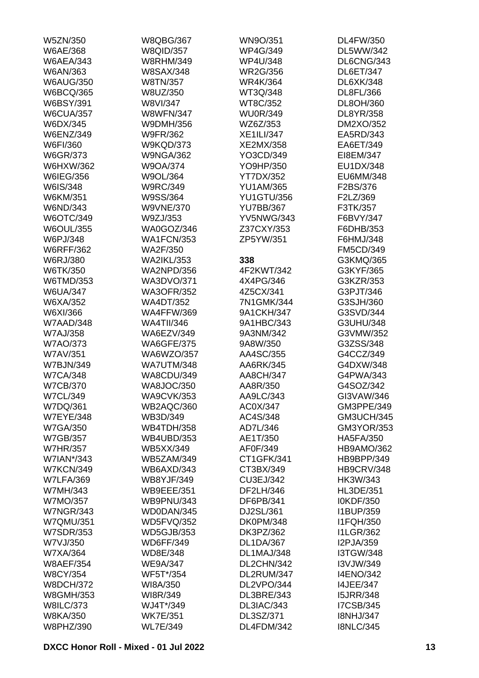| W5ZN/350                     | <b>W8QBG/367</b>  | WN9O/351          | DL4FW/350         |
|------------------------------|-------------------|-------------------|-------------------|
| W6AE/368                     | <b>W8QID/357</b>  | <b>WP4G/349</b>   | DL5WW/342         |
| <b>W6AEA/343</b>             | <b>W8RHM/349</b>  | <b>WP4U/348</b>   | DL6CNG/343        |
| W6AN/363                     | <b>W8SAX/348</b>  | <b>WR2G/356</b>   | <b>DL6ET/347</b>  |
| <b>W6AUG/350</b>             | W8TN/357          | <b>WR4K/364</b>   | DL6XK/348         |
| <b>W6BCQ/365</b>             | W8UZ/350          | WT3Q/348          | DL8FL/366         |
| <b>W6BSY/391</b>             | W8VI/347          | WT8C/352          | DL8OH/360         |
| <b>W6CUA/357</b>             | <b>W8WFN/347</b>  | <b>WU0R/349</b>   | DL8YR/358         |
| W6DX/345                     | W9DMH/356         | WZ6Z/353          | DM2XO/352         |
| <b>W6ENZ/349</b>             | <b>W9FR/362</b>   | <b>XE1ILI/347</b> | EA5RD/343         |
| W6FI/360                     | <b>W9KQD/373</b>  | XE2MX/358         | EA6ET/349         |
| W6GR/373                     | <b>W9NGA/362</b>  | YO3CD/349         | EI8EM/347         |
| <b>W6HXW/362</b>             | W9OA/374          | YO9HP/350         | EU1DX/348         |
| W6IEG/356                    | W9OL/364          | <b>YT7DX/352</b>  | EU6MM/348         |
| W6IS/348                     | <b>W9RC/349</b>   | <b>YU1AM/365</b>  | F2BS/376          |
| W6KM/351                     | W9SS/364          | <b>YU1GTU/356</b> | F2LZ/369          |
| W6ND/343                     | <b>W9VNE/370</b>  | <b>YU7BB/367</b>  | F3TK/357          |
| W6OTC/349                    | W9ZJ/353          | <b>YV5NWG/343</b> | F6BVY/347         |
| <b>W6OUL/355</b>             | WA0GOZ/346        | Z37CXY/353        | F6DHB/353         |
|                              | <b>WA1FCN/353</b> | ZP5YW/351         | F6HMJ/348         |
| W6PJ/348                     |                   |                   |                   |
| <b>W6RFF/362</b><br>W6RJ/380 | WA2F/350          |                   | <b>FM5CD/349</b>  |
|                              | <b>WA2IKL/353</b> | 338               | G3KMQ/365         |
| W6TK/350                     | <b>WA2NPD/356</b> | 4F2KWT/342        | G3KYF/365         |
| W6TMD/353                    | <b>WA3DVO/371</b> | 4X4PG/346         | G3KZR/353         |
| <b>W6UA/347</b>              | <b>WA3OFR/352</b> | 4Z5CX/341         | G3PJT/346         |
| W6XA/352                     | <b>WA4DT/352</b>  | 7N1GMK/344        | G3SJH/360         |
| W6XI/366                     | <b>WA4FFW/369</b> | 9A1CKH/347        | G3SVD/344         |
| W7AAD/348                    | <b>WA4TII/346</b> | 9A1HBC/343        | G3UHU/348         |
| <b>W7AJ/358</b>              | WA6EZV/349        | 9A3NM/342         | G3VMW/352         |
| <b>W7AO/373</b>              | <b>WA6GFE/375</b> | 9A8W/350          | G3ZSS/348         |
| W7AV/351                     | WA6WZO/357        | AA4SC/355         | G4CCZ/349         |
| <b>W7BJN/349</b>             | <b>WA7UTM/348</b> | AA6RK/345         | G4DXW/348         |
| <b>W7CA/348</b>              | <b>WA8CDU/349</b> | AA8CH/347         | G4PWA/343         |
| <b>W7CB/370</b>              | <b>WA8JOC/350</b> | AA8R/350          | G4SOZ/342         |
| <b>W7CL/349</b>              | <b>WA9CVK/353</b> | AA9LC/343         | GI3VAW/346        |
| W7DQ/361                     | WB2AQC/360        | AC0X/347          | GM3PPE/349        |
| <b>W7EYE/348</b>             | WB3D/349          | AC4S/348          | <b>GM3UCH/345</b> |
| <b>W7GA/350</b>              | <b>WB4TDH/358</b> | AD7L/346          | GM3YOR/353        |
| <b>W7GB/357</b>              | <b>WB4UBD/353</b> | AE1T/350          | <b>HA5FA/350</b>  |
| <b>W7HR/357</b>              | <b>WB5XX/349</b>  | AF0F/349          | HB9AMO/362        |
| W7IAN*/343                   | <b>WB5ZAM/349</b> | CT1GFK/341        | HB9BPP/349        |
| <b>W7KCN/349</b>             | WB6AXD/343        | CT3BX/349         | <b>HB9CRV/348</b> |
| <b>W7LFA/369</b>             | <b>WB8YJF/349</b> | CU3EJ/342         | HK3W/343          |
| W7MH/343                     | <b>WB9EEE/351</b> | DF2LH/346         | <b>HL3DE/351</b>  |
| W7MO/357                     | <b>WB9PNU/343</b> | DF6PB/341         | I0KDF/350         |
| <b>W7NGR/343</b>             | WD0DAN/345        | DJ2SL/361         | I1BUP/359         |
| <b>W7QMU/351</b>             | <b>WD5FVQ/352</b> | <b>DK0PM/348</b>  | <b>I1FQH/350</b>  |
| <b>W7SDR/353</b>             | <b>WD5GJB/353</b> | DK3PZ/362         | <b>I1LGR/362</b>  |
| W7VJ/350                     | <b>WD6FF/349</b>  | <b>DL1DA/367</b>  | I2PJA/359         |
| W7XA/364                     | WD8E/348          | DL1MAJ/348        | <b>I3TGW/348</b>  |
| <b>W8AEF/354</b>             | <b>WE9A/347</b>   | DL2CHN/342        | I3VJW/349         |
| <b>W8CY/354</b>              | WF5T*/354         | DL2RUM/347        | <b>I4ENO/342</b>  |
| <b>W8DCH/372</b>             | WI8A/350          | DL2VPO/344        | <b>I4JEE/347</b>  |
| <b>W8GMH/353</b>             | WI8R/349          | DL3BRE/343        | <b>I5JRR/348</b>  |
| <b>W8ILC/373</b>             | WJ4T*/349         | DL3IAC/343        | <b>I7CSB/345</b>  |
| <b>W8KA/350</b>              | <b>WK7E/351</b>   | DL3SZ/371         | <b>I8NHJ/347</b>  |
| W8PHZ/390                    | <b>WL7E/349</b>   | DL4FDM/342        | <b>I8NLC/345</b>  |
|                              |                   |                   |                   |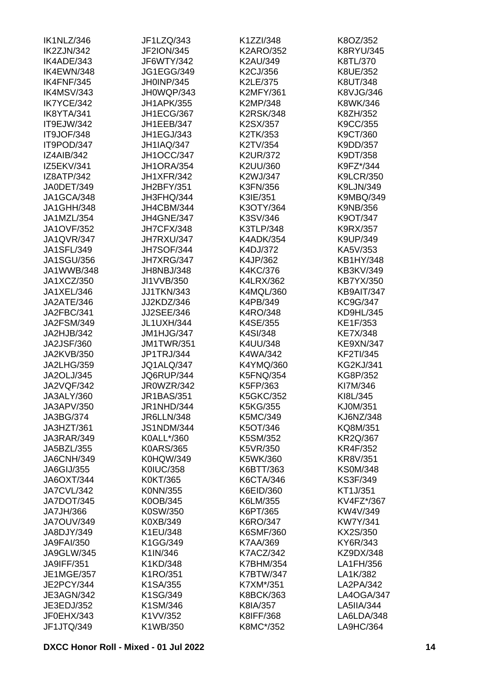| IK1NLZ/346        | JF1LZQ/343        | K1ZZI/348        | K8OZ/352         |
|-------------------|-------------------|------------------|------------------|
| IK2ZJN/342        | <b>JF2ION/345</b> | <b>K2ARO/352</b> | <b>K8RYU/345</b> |
| IK4ADE/343        | JF6WTY/342        | K2AU/349         | K8TL/370         |
| IK4EWN/348        | <b>JG1EGG/349</b> | K2CJ/356         | K8UE/352         |
| IK4FNF/345        | JH0INP/345        | K2LE/375         | K8UT/348         |
| IK4MSV/343        | JH0WQP/343        | <b>K2MFY/361</b> | K8VJG/346        |
| IK7YCE/342        | <b>JH1APK/355</b> | K2MP/348         | K8WK/346         |
| IK8YTA/341        | JH1ECG/367        | <b>K2RSK/348</b> | K8ZH/352         |
| IT9EJW/342        | JH1EEB/347        | K2SX/357         | K9CC/355         |
| IT9JOF/348        | JH1EGJ/343        | K2TK/353         | K9CT/360         |
| IT9POD/347        | <b>JH1IAQ/347</b> | K2TV/354         | K9DD/357         |
| IZ4AIB/342        | <b>JH1OCC/347</b> | <b>K2UR/372</b>  | K9DT/358         |
| IZ5EKV/341        | <b>JH1ORA/354</b> | K2UU/360         | K9FZ*/344        |
| IZ8ATP/342        | JH1XFR/342        | K2WJ/347         | <b>K9LCR/350</b> |
| JA0DET/349        | JH2BFY/351        | K3FN/356         | K9LJN/349        |
| JA1GCA/348        | JH3FHQ/344        | K3IE/351         | K9MBQ/349        |
| JA1GHH/348        | JH4CBM/344        | K3OTY/364        | K9NB/356         |
| JA1MZL/354        | <b>JH4GNE/347</b> | K3SV/346         | K9OT/347         |
| <b>JA1OVF/352</b> | JH7CFX/348        | K3TLP/348        | K9RX/357         |
| JA1QVR/347        | JH7RXU/347        | <b>K4ADK/354</b> | K9UP/349         |
| <b>JA1SFL/349</b> |                   | K4DJ/372         |                  |
|                   | <b>JH7SOF/344</b> |                  | KA5V/353         |
| <b>JA1SGU/356</b> | JH7XRG/347        | K4JP/362         | KB1HY/348        |
| JA1WWB/348        | JH8NBJ/348        | K4KC/376         | KB3KV/349        |
| JA1XCZ/350        | JI1VVB/350        | <b>K4LRX/362</b> | KB7YX/350        |
| JA1XEL/346        | <b>JJ1TKN/343</b> | K4MQL/360        | KB9AIT/347       |
| JA2ATE/346        | JJ2KDZ/346        | K4PB/349         | KC9G/347         |
| JA2FBC/341        | <b>JJ2SEE/346</b> | K4RO/348         | KD9HL/345        |
| <b>JA2FSM/349</b> | <b>JL1UXH/344</b> | K4SE/355         | KE1F/353         |
| JA2HJB/342        | JM1HJG/347        | K4SI/348         | <b>KE7X/348</b>  |
| <b>JA2JSF/360</b> | <b>JM1TWR/351</b> | K4UU/348         | <b>KE9XN/347</b> |
| <b>JA2KVB/350</b> | JP1TRJ/344        | K4WA/342         | <b>KF2TI/345</b> |
| <b>JA2LHG/359</b> | JQ1ALQ/347        | K4YMQ/360        | <b>KG2KJ/341</b> |
| JA2OLJ/345        | JQ6RUP/344        | <b>K5FNQ/354</b> | KG8P/352         |
| <b>JA2VQF/342</b> | JR0WZR/342        | K5FP/363         | KI7M/346         |
| JA3ALY/360        | JR1BAS/351        | <b>K5GKC/352</b> | KI8L/345         |
| JA3APV/350        | JR1NHD/344        | K5KG/355         | KJ0M/351         |
| JA3BG/374         | <b>JR6LLN/348</b> | K5MC/349         | <b>KJ6NZ/348</b> |
| JA3HZT/361        | <b>JS1NDM/344</b> | K5OT/346         | KQ8M/351         |
| <b>JA3RAR/349</b> | K0ALL*/360        | K5SM/352         | <b>KR2Q/367</b>  |
| JA5BZL/355        | <b>K0ARS/365</b>  | K5VR/350         | <b>KR4F/352</b>  |
| <b>JA6CNH/349</b> | <b>K0HQW/349</b>  | K5WK/360         | <b>KR8V/351</b>  |
| JA6GIJ/355        | <b>K0IUC/358</b>  | K6BTT/363        | <b>KS0M/348</b>  |
| <b>JA6OXT/344</b> | K0KT/365          | K6CTA/346        | KS3F/349         |
| JA7CVL/342        | K0NN/355          | K6EID/360        | KT1J/351         |
| <b>JA7DOT/345</b> | K0OB/345          | K6LM/355         | KV4FZ*/367       |
| JA7JH/366         | K0SW/350          | K6PT/365         | KW4V/349         |
| <b>JA7OUV/349</b> | K0XB/349          | K6RO/347         | <b>KW7Y/341</b>  |
| JA8DJY/349        | K1EU/348          | <b>K6SMF/360</b> | KX2S/350         |
| <b>JA9FAI/350</b> | K1GG/349          | K7AA/369         | KY6R/343         |
| <b>JA9GLW/345</b> | K1IN/346          | <b>K7ACZ/342</b> | KZ9DX/348        |
| <b>JA9IFF/351</b> | K1KD/348          | <b>K7BHM/354</b> | LA1FH/356        |
| <b>JE1MGE/357</b> | K1RO/351          | <b>K7BTW/347</b> | LA1K/382         |
| JE2PCY/344        | K1SA/355          | K7XM*/351        | LA2PA/342        |
| <b>JE3AGN/342</b> | K1SG/349          | <b>K8BCK/363</b> | LA4OGA/347       |
| JE3EDJ/352        | K1SM/346          | K8IA/357         | LA5IIA/344       |
| JF0EHX/343        | K1VV/352          | K8IFF/368        | LA6LDA/348       |
| JF1JTQ/349        | K1WB/350          | K8MC*/352        | LA9HC/364        |
|                   |                   |                  |                  |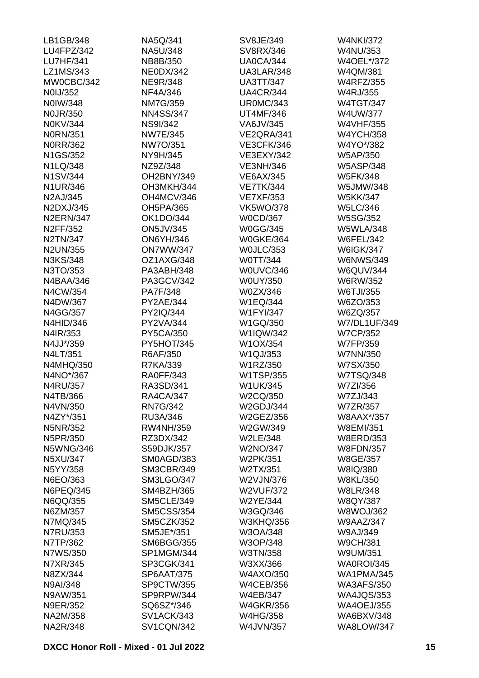| LB1GB/348        | NA5Q/341          | SV8JE/349         | <b>W4NKI/372</b>  |
|------------------|-------------------|-------------------|-------------------|
| LU4FPZ/342       | NA5U/348          | SV8RX/346         | <b>W4NU/353</b>   |
| <b>LU7HF/341</b> | NB8B/350          | <b>UA0CA/344</b>  | W4OEL*/372        |
| LZ1MS/343        | <b>NE0DX/342</b>  | UA3LAR/348        | W4QM/381          |
| MW0CBC/342       | <b>NE9R/348</b>   | <b>UA3TT/347</b>  | <b>W4RFZ/355</b>  |
| N0IJ/352         | NF4A/346          | <b>UA4CR/344</b>  | <b>W4RJ/355</b>   |
| N0IW/348         | <b>NM7G/359</b>   | <b>UR0MC/343</b>  | <b>W4TGT/347</b>  |
| <b>NOJR/350</b>  | <b>NN4SS/347</b>  | <b>UT4MF/346</b>  | W4UW/377          |
| N0KV/344         | <b>NS9I/342</b>   | VA6JV/345         | <b>W4VHF/355</b>  |
| <b>N0RN/351</b>  | <b>NW7E/345</b>   | VE2QRA/341        | <b>W4YCH/358</b>  |
| <b>N0RR/362</b>  | NW7O/351          | <b>VE3CFK/346</b> | W4YO*/382         |
| N1GS/352         | NY9H/345          | VE3EXY/342        | W5AP/350          |
| N1LQ/348         | NZ9Z/348          | <b>VE3NH/346</b>  | <b>W5ASP/348</b>  |
| <b>N1SV/344</b>  | OH2BNY/349        | <b>VE6AX/345</b>  | <b>W5FK/348</b>   |
| N1UR/346         | OH3MKH/344        | <b>VE7TK/344</b>  | W5JMW/348         |
| N2AJ/345         | OH4MCV/346        | <b>VE7XF/353</b>  | <b>W5KK/347</b>   |
| N2DXJ/345        | OH5PA/365         | <b>VK5WO/378</b>  | <b>W5LC/346</b>   |
| <b>N2ERN/347</b> | <b>OK1DO/344</b>  | <b>W0CD/367</b>   | <b>W5SG/352</b>   |
| N2FF/352         | <b>ON5JV/345</b>  | <b>W0GG/345</b>   | <b>W5WLA/348</b>  |
| N2TN/347         | <b>ON6YH/346</b>  | <b>W0GKE/364</b>  | <b>W6FEL/342</b>  |
| N2UN/355         | <b>ON7WW/347</b>  | <b>WOJLC/353</b>  | <b>W6IGK/347</b>  |
| N3KS/348         | OZ1AXG/348        | W0TT/344          | <b>W6NWS/349</b>  |
| N3TO/353         | PA3ABH/348        | W0UVC/346         | <b>W6QUV/344</b>  |
| N4BAA/346        | PA3GCV/342        | W0UY/350          | W6RW/352          |
| N4CW/354         | PA7F/348          | W0ZX/346          | W6TJI/355         |
| N4DW/367         | PY2AE/344         | W1EQ/344          | W6ZO/353          |
| N4GG/357         | PY2IQ/344         | <b>W1FYI/347</b>  | W6ZQ/357          |
| N4HID/346        | PY2VA/344         | W1GQ/350          | W7/DL1UF/349      |
| N4IR/353         | PY5CA/350         | W1IQW/342         | <b>W7CP/352</b>   |
| N4JJ*/359        | PY5HOT/345        | W1OX/354          | W7FP/359          |
| N4LT/351         | R6AF/350          | W1QJ/353          | W7NN/350          |
| N4MHQ/350        | R7KA/339          | W1RZ/350          | W7SX/350          |
| N4NO*/367        | RA0FF/343         | W1TSP/355         | <b>W7TSQ/348</b>  |
| N4RU/357         | RA3SD/341         | <b>W1UK/345</b>   | W7ZI/356          |
| N4TB/366         | <b>RA4CA/347</b>  | W2CQ/350          | W7ZJ/343          |
| N4VN/350         | <b>RN7G/342</b>   | W2GDJ/344         | <b>W7ZR/357</b>   |
| N4ZY*/351        | RU3A/346          | W2GEZ/356         | W8AAX*/357        |
| N5NR/352         | <b>RW4NH/359</b>  | W2GW/349          | W8EMI/351         |
| N5PR/350         | RZ3DX/342         | W2LE/348          | <b>W8ERD/353</b>  |
| <b>N5WNG/346</b> | S59DJK/357        | W2NO/347          | <b>W8FDN/357</b>  |
| N5XU/347         | SM0AGD/383        | W2PK/351          | W8GE/357          |
| N5YY/358         | <b>SM3CBR/349</b> | W2TX/351          | W8IQ/380          |
| N6EO/363         | <b>SM3LGO/347</b> | W2VJN/376         | <b>W8KL/350</b>   |
| N6PEQ/345        | <b>SM4BZH/365</b> | <b>W2VUF/372</b>  | <b>W8LR/348</b>   |
| N6QQ/355         | <b>SM5CLE/349</b> | W2YE/344          | <b>W8QY/387</b>   |
| N6ZM/357         | <b>SM5CSS/354</b> | W3GQ/346          | <b>W8WOJ/362</b>  |
| N7MQ/345         | <b>SM5CZK/352</b> | <b>W3KHQ/356</b>  | <b>W9AAZ/347</b>  |
| <b>N7RU/353</b>  | SM5JE*/351        | W3OA/348          | W9AJ/349          |
| N7TP/362         | <b>SM6BGG/355</b> | W3OP/348          | <b>W9CH/381</b>   |
| N7WS/350         | SP1MGM/344        | W3TN/358          | W9UM/351          |
| N7XR/345         | SP3CGK/341        | W3XX/366          | WA0ROI/345        |
| N8ZX/344         | <b>SP6AAT/375</b> | <b>W4AXO/350</b>  | <b>WA1PMA/345</b> |
| N9AI/348         | SP9CTW/355        | <b>W4CEB/356</b>  | <b>WA3AFS/350</b> |
| N9AW/351         | SP9RPW/344        | <b>W4EB/347</b>   | <b>WA4JQS/353</b> |
| <b>N9ER/352</b>  | SQ6SZ*/346        | <b>W4GKR/356</b>  | <b>WA4OEJ/355</b> |
| NA2M/358         | <b>SV1ACK/343</b> | <b>W4HG/358</b>   | <b>WA6BXV/348</b> |
| <b>NA2R/348</b>  | <b>SV1CQN/342</b> | <b>W4JVN/357</b>  | WA8LOW/347        |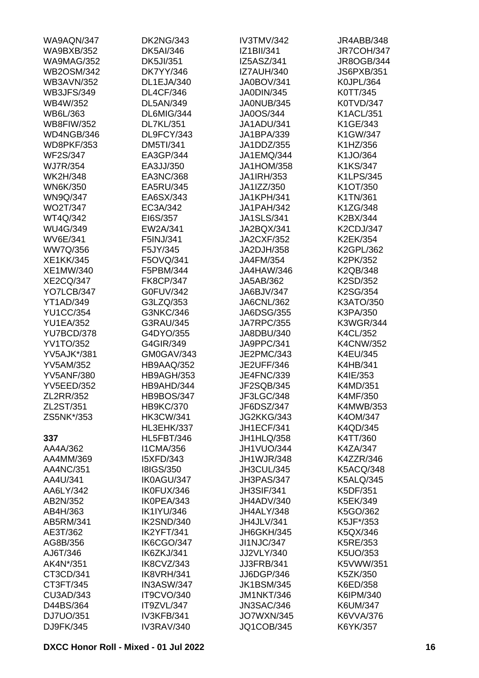| WA9AQN/347         | <b>DK2NG/343</b>  | IV3TMV/342        | JR4ABB/348        |
|--------------------|-------------------|-------------------|-------------------|
| <b>WA9BXB/352</b>  | <b>DK5AI/346</b>  | IZ1BII/341        | <b>JR7COH/347</b> |
| <b>WA9MAG/352</b>  | <b>DK5JI/351</b>  | IZ5ASZ/341        | JR8OGB/344        |
| <b>WB2OSM/342</b>  | <b>DK7YY/346</b>  | <b>IZ7AUH/340</b> | <b>JS6PXB/351</b> |
| <b>WB3AVN/352</b>  | DL1EJA/340        | <b>JA0BOV/341</b> | K0JPL/364         |
| <b>WB3JFS/349</b>  | <b>DL4CF/346</b>  | JA0DIN/345        | K0TT/345          |
| WB4W/352           | <b>DL5AN/349</b>  | JA0NUB/345        | K0TVD/347         |
| WB6L/363           | DL6MIG/344        | JA0OS/344         | <b>K1ACL/351</b>  |
| <b>WB8FIW/352</b>  | <b>DL7KL/351</b>  | JA1ADU/341        | K1GE/343          |
| WD4NGB/346         | DL9FCY/343        | JA1BPA/339        | K1GW/347          |
| <b>WD8PKF/353</b>  | <b>DM5TI/341</b>  | JA1DDZ/355        | K1HZ/356          |
| <b>WF2S/347</b>    | EA3GP/344         | JA1EMQ/344        | K1JO/364          |
| <b>WJ7R/354</b>    | EA3JJ/350         | <b>JA1HOM/358</b> | K1KS/347          |
| <b>WK2H/348</b>    | EA3NC/368         | JA1IRH/353        | K1LPS/345         |
| <b>WN6K/350</b>    | EA5RU/345         | JA1IZZ/350        | K1OT/350          |
| <b>WN9Q/347</b>    | EA6SX/343         | <b>JA1KPH/341</b> | K1TN/361          |
| <b>WO2T/347</b>    | EC3A/342          | <b>JA1PAH/342</b> | K1ZG/348          |
|                    |                   |                   |                   |
| WT4Q/342           | EI6S/357          | <b>JA1SLS/341</b> | K2BX/344          |
| <b>WU4G/349</b>    | EW2A/341          | JA2BQX/341        | K2CDJ/347         |
| <b>WV6E/341</b>    | F5INJ/341         | <b>JA2CXF/352</b> | K2EK/354          |
| WW7Q/356           | F5JY/345          | JA2DJH/358        | K2GPL/362         |
| <b>XE1KK/345</b>   | F5OVQ/341         | JA4FM/354         | K2PK/352          |
| XE1MW/340          | F5PBM/344         | JA4HAW/346        | K2QB/348          |
| <b>XE2CQ/347</b>   | <b>FK8CP/347</b>  | JA5AB/362         | K2SD/352          |
| YO7LCB/347         | G0FUV/342         | JA6BJV/347        | K2SG/354          |
| <b>YT1AD/349</b>   | G3LZQ/353         | JA6CNL/362        | K3ATO/350         |
| <b>YU1CC/354</b>   | G3NKC/346         | <b>JA6DSG/355</b> | K3PA/350          |
| <b>YU1EA/352</b>   | G3RAU/345         | <b>JA7RPC/355</b> | <b>K3WGR/344</b>  |
| YU7BCD/378         | G4DYO/355         | JA8DBU/340        | K4CL/352          |
| <b>YV1TO/352</b>   | G4GIR/349         | JA9PPC/341        | <b>K4CNW/352</b>  |
| <b>YV5AJK*/381</b> | GM0GAV/343        | JE2PMC/343        | K4EU/345          |
| <b>YV5AM/352</b>   | HB9AAQ/352        | <b>JE2UFF/346</b> | K4HB/341          |
| <b>YV5ANF/380</b>  | HB9AGH/353        | <b>JE4FNC/339</b> | K4IE/353          |
| <b>YV5EED/352</b>  | HB9AHD/344        | JF2SQB/345        | K4MD/351          |
| ZL2RR/352          | <b>HB9BOS/347</b> | JF3LGC/348        | K4MF/350          |
| ZL2ST/351          | <b>HB9KC/370</b>  | JF6DSZ/347        | K4MWB/353         |
| ZS5NK*/353         | <b>HK3CW/341</b>  | JG2KKG/343        | K4OM/347          |
|                    | HL3EHK/337        | <b>JH1ECF/341</b> | K4QD/345          |
| 337                | <b>HL5FBT/346</b> | JH1HLQ/358        | K4TT/360          |
| AA4A/362           | <b>I1CMA/356</b>  | JH1VUO/344        | K4ZA/347          |
| AA4MM/369          | <b>I5XFD/343</b>  | <b>JH1WJR/348</b> | K4ZZR/346         |
| AA4NC/351          | <b>I8IGS/350</b>  | JH3CUL/345        | <b>K5ACQ/348</b>  |
| AA4U/341           | IK0AGU/347        | JH3PAS/347        | <b>K5ALQ/345</b>  |
| AA6LY/342          | IK0FUX/346        | <b>JH3SIF/341</b> | K5DF/351          |
| AB2N/352           | IK0PEA/343        | JH4ADV/340        | K5EK/349          |
| AB4H/363           | <b>IK1IYU/346</b> | JH4ALY/348        | K5GO/362          |
| AB5RM/341          | IK2SND/340        | JH4JLV/341        | K5JF*/353         |
|                    | IK2YFT/341        |                   |                   |
| AE3T/362           |                   | JH6GKH/345        | K5QX/346          |
| AG8B/356           | IK6CGO/347        | <b>JI1NJC/347</b> | K5RE/353          |
| AJ6T/346           | IK6ZKJ/341        | JJ2VLY/340        | K5UO/353          |
| AK4N*/351          | IK8CVZ/343        | <b>JJ3FRB/341</b> | K5VWW/351         |
| CT3CD/341          | IK8VRH/341        | JJ6DGP/346        | K5ZK/350          |
| CT3FT/345          | IN3ASW/347        | <b>JK1BSM/345</b> | K6ED/358          |
| CU3AD/343          | <b>IT9CVO/340</b> | <b>JM1NKT/346</b> | K6IPM/340         |
| D44BS/364          | IT9ZVL/347        | <b>JN3SAC/346</b> | K6UM/347          |
| DJ7UO/351          | IV3KFB/341        | <b>JO7WXN/345</b> | K6VVA/376         |
| DJ9FK/345          | IV3RAV/340        | JQ1COB/345        | K6YK/357          |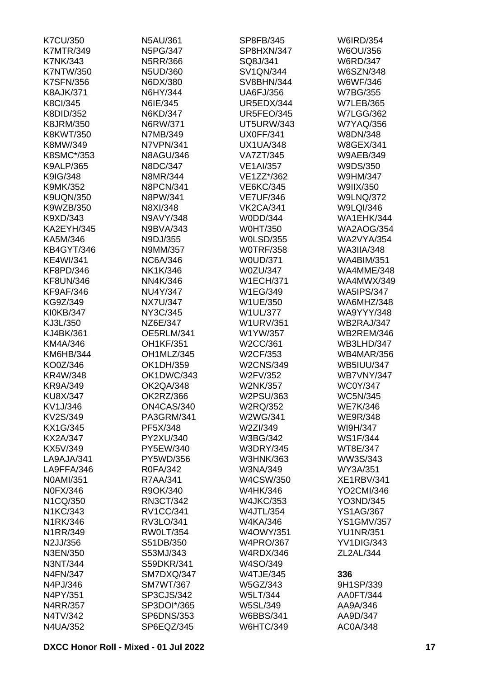| <b>K7CU/350</b>   | N5AU/361         | SP8FB/345         | <b>W6IRD/354</b>  |
|-------------------|------------------|-------------------|-------------------|
| <b>K7MTR/349</b>  | <b>N5PG/347</b>  | SP8HXN/347        | W6OU/356          |
| <b>K7NK/343</b>   | N5RR/366         | SQ8J/341          | <b>W6RD/347</b>   |
| <b>K7NTW/350</b>  | N5UD/360         | <b>SV1QN/344</b>  | <b>W6SZN/348</b>  |
| <b>K7SFN/356</b>  | N6DX/380         | <b>SV8BHN/344</b> | W6WF/346          |
| <b>K8AJK/371</b>  | N6HY/344         | <b>UA6FJ/356</b>  | <b>W7BG/355</b>   |
| <b>K8CI/345</b>   | N6IE/345         | UR5EDX/344        | <b>W7LEB/365</b>  |
| K8DID/352         | N6KD/347         | <b>UR5FEO/345</b> | <b>W7LGG/362</b>  |
| K8JRM/350         | N6RW/371         | <b>UT5URW/343</b> | <b>W7YAQ/356</b>  |
| K8KWT/350         | N7MB/349         | <b>UX0FF/341</b>  | W8DN/348          |
| K8MW/349          | N7VPN/341        | <b>UX1UA/348</b>  | <b>W8GEX/341</b>  |
| K8SMC*/353        | <b>N8AGU/346</b> | <b>VA7ZT/345</b>  | <b>W9AEB/349</b>  |
| <b>K9ALP/365</b>  | N8DC/347         | <b>VE1AI/357</b>  | W9DS/350          |
| K9IG/348          | N8MR/344         | VE1ZZ*/362        | W9HM/347          |
| K9MK/352          | <b>N8PCN/341</b> | <b>VE6KC/345</b>  | W9IIX/350         |
| <b>K9UQN/350</b>  | N8PW/341         | <b>VE7UF/346</b>  | <b>W9LNQ/372</b>  |
| K9WZB/350         | N8XI/348         | <b>VK2CA/341</b>  | W9LQI/346         |
| K9XD/343          | N9AVY/348        | W0DD/344          | <b>WA1EHK/344</b> |
|                   |                  |                   |                   |
| <b>KA2EYH/345</b> | N9BVA/343        | <b>W0HT/350</b>   | <b>WA2AOG/354</b> |
| KA5M/346          | N9DJ/355         | <b>W0LSD/355</b>  | <b>WA2VYA/354</b> |
| <b>KB4GYT/346</b> | N9MM/357         | <b>WOTRF/358</b>  | <b>WA3IIA/348</b> |
| <b>KE4WI/341</b>  | <b>NC6A/346</b>  | <b>W0UD/371</b>   | <b>WA4BIM/351</b> |
| KF8PD/346         | NK1K/346         | W0ZU/347          | WA4MME/348        |
| <b>KF8UN/346</b>  | NN4K/346         | <b>W1ECH/371</b>  | <b>WA4MWX/349</b> |
| <b>KF9AF/346</b>  | NU4Y/347         | W1EG/349          | <b>WA5IPS/347</b> |
| KG9Z/349          | <b>NX7U/347</b>  | W1UE/350          | WA6MHZ/348        |
| KI0KB/347         | NY3C/345         | <b>W1UL/377</b>   | <b>WA9YYY/348</b> |
| KJ3L/350          | NZ6E/347         | <b>W1URV/351</b>  | WB2RAJ/347        |
| KJ4BK/361         | OE5RLM/341       | W1YW/357          | <b>WB2REM/346</b> |
| KM4A/346          | <b>OH1KF/351</b> | W2CC/361          | WB3LHD/347        |
| KM6HB/344         | OH1MLZ/345       | W2CF/353          | <b>WB4MAR/356</b> |
| KO0Z/346          | OK1DH/359        | <b>W2CNS/349</b>  | <b>WB5IUU/347</b> |
| KR4W/348          | OK1DWC/343       | W2FV/352          | <b>WB7VNY/347</b> |
| <b>KR9A/349</b>   | OK2QA/348        | <b>W2NK/357</b>   | <b>WC0Y/347</b>   |
| KU8X/347          | OK2RZ/366        | W2PSU/363         | <b>WC5N/345</b>   |
| KV1J/346          | ON4CAS/340       | W2RQ/352          | <b>WE7K/346</b>   |
| KV2S/349          | PA3GRM/341       | W2WG/341          | <b>WE9R/348</b>   |
| KX1G/345          | PF5X/348         | W2ZI/349          | WI9H/347          |
| <b>KX2A/347</b>   | PY2XU/340        | W3BG/342          | <b>WS1F/344</b>   |
| KX5V/349          | PY5EW/340        | <b>W3DRY/345</b>  | WT8E/347          |
| LA9AJA/341        | PY5WD/356        | W3HNK/363         | WW3S/343          |
| LA9FFA/346        | R0FA/342         | W3NA/349          | WY3A/351          |
| N0AMI/351         | R7AA/341         | W4CSW/350         | <b>XE1RBV/341</b> |
| <b>N0FX/346</b>   | R9OK/340         | W4HK/346          | YO2CMI/346        |
| N1CQ/350          | RN3CT/342        | <b>W4JKC/353</b>  | YO3ND/345         |
| N1KC/343          | <b>RV1CC/341</b> | <b>W4JTL/354</b>  | <b>YS1AG/367</b>  |
| N1RK/346          | RV3LO/341        | W4KA/346          | <b>YS1GMV/357</b> |
| N1RR/349          | <b>RW0LT/354</b> | <b>W4OWY/351</b>  | <b>YU1NR/351</b>  |
| N2JJ/356          | S51DB/350        | <b>W4PRO/367</b>  | YV1DIG/343        |
| N3EN/350          | S53MJ/343        | <b>W4RDX/346</b>  | ZL2AL/344         |
|                   | S59DKR/341       |                   |                   |
| N3NT/344          |                  | W4SO/349          |                   |
| N4FN/347          | SM7DXQ/347       | <b>W4TJE/345</b>  | 336               |
| N4PJ/346          | <b>SM7WT/367</b> | W5GZ/343          | 9H1SP/339         |
| N4PY/351          | SP3CJS/342       | <b>W5LT/344</b>   | AA0FT/344         |
| N4RR/357          | SP3DOI*/365      | <b>W5SL/349</b>   | AA9A/346          |
| N4TV/342          | SP6DNS/353       | <b>W6BBS/341</b>  | AA9D/347          |
| N4UA/352          | SP6EQZ/345       | <b>W6HTC/349</b>  | AC0A/348          |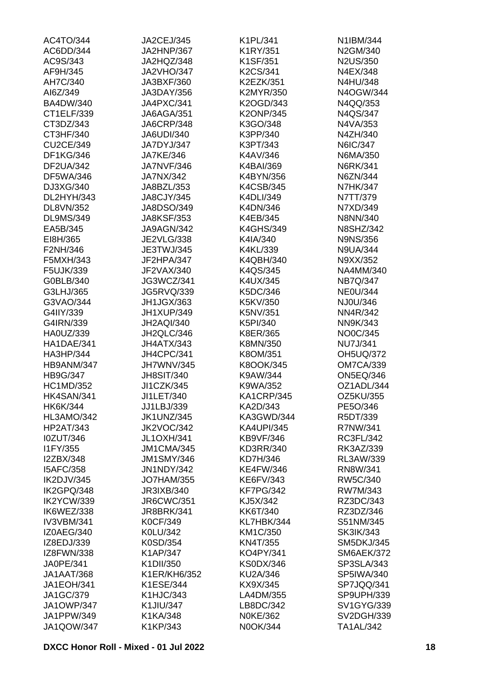| JA2HNP/367<br>N2US/350<br>AC9S/343<br>JA2HQZ/348<br>K1SF/351<br>AF9H/345<br>K2CS/341<br>N4EX/348<br><b>JA2VHO/347</b><br>AH7C/340<br>N4HU/348<br>JA3BXF/360<br>K2EZK/351<br>AI6Z/349<br>JA3DAY/356<br>K2MYR/350<br>N4OGW/344<br><b>BA4DW/340</b><br>JA4PXC/341<br>K2OGD/343<br>N4QQ/353<br><b>K2ONP/345</b><br>N4QS/347<br>CT1ELF/339<br>JA6AGA/351<br>CT3DZ/343<br><b>JA6CRP/348</b><br>K3GO/348<br>N4VA/353<br>CT3HF/340<br>K3PP/340<br>N4ZH/340<br><b>JA6UDI/340</b><br>K3PT/343<br>N6IC/347<br><b>CU2CE/349</b><br>JA7DYJ/347<br>DF1KG/346<br><b>JA7KE/346</b><br>K4AV/346<br>N6MA/350<br><b>DF2UA/342</b><br><b>JA7NVF/346</b><br>K4BAI/369<br>N6RK/341<br>N6ZN/344<br>DF5WA/346<br>JA7NX/342<br>K4BYN/356<br>DJ3XG/340<br>K4CSB/345<br><b>N7HK/347</b><br>JA8BZL/353<br>DL2HYH/343<br><b>JA8CJY/345</b><br>K4DLI/349<br>N7TT/379<br>DL8VN/352<br>JA8DSO/349<br>K4DN/346<br>N7XD/349<br><b>JA8KSF/353</b><br>K4EB/345<br><b>DL9MS/349</b><br>N8NN/340<br><b>N8SHZ/342</b><br>EA5B/345<br>JA9AGN/342<br><b>K4GHS/349</b><br><b>JE2VLG/338</b><br>EI8H/365<br>K4IA/340<br><b>N9NS/356</b><br>F2NH/346<br>K4KL/339<br>JE3TWJ/345<br><b>N9UA/344</b><br>F5MXH/343<br>JF2HPA/347<br>K4QBH/340<br>N9XX/352<br>F5UJK/339<br>JF2VAX/340<br>K4QS/345<br>NA4MM/340<br><b>NB7Q/347</b><br>G0BLB/340<br>JG3WCZ/341<br>K4UX/345<br>G3LHJ/365<br><b>JG5RVQ/339</b><br>K5DC/346<br><b>NE0U/344</b><br>NJ0U/346<br>G3VAO/344<br>JH1JGX/363<br>K5KV/350<br>G4IIY/339<br>JH1XUP/349<br>K5NV/351<br>NN4R/342<br>G4IRN/339<br><b>JH2AQI/340</b><br>K5PI/340<br>NN9K/343<br>NO0C/345<br>HA0UZ/339<br>JH2QLC/346<br>K8ER/365<br><b>NU7J/341</b><br>HA1DAE/341<br>JH4ATX/343<br>K8MN/350<br>JH4CPC/341<br>HA3HP/344<br>K8OM/351<br><b>OH5UQ/372</b><br>JH7WNV/345<br><b>OM7CA/339</b><br>HB9ANM/347<br>K8OOK/345<br>HB9G/347<br>K9AW/344<br><b>ON5EQ/346</b><br><b>JH8SIT/340</b><br>K9WA/352<br><b>HC1MD/352</b><br>JI1CZK/345<br>OZ1ADL/344<br><b>OZ5KU/355</b><br>JI1LET/340<br>KA1CRP/345<br><b>HK4SAN/341</b><br>HK6K/344<br>JJ1LBJ/339<br>KA2D/343<br>PE5O/346<br>HL3AMO/342<br><b>JK1UNZ/345</b><br>KA3GWD/344<br>R5DT/339<br><b>HP2AT/343</b><br>JK2VOC/342<br><b>KA4UPI/345</b><br>R7NW/341<br><b>I0ZUT/346</b><br><b>JL1OXH/341</b><br><b>KB9VF/346</b><br>RC3FL/342<br>I1FY/355<br>JM1CMA/345<br>KD3RR/340<br>RK3AZ/339<br>I2ZBX/348<br><b>JM1SMY/346</b><br>KD7H/346<br>RL3AW/339<br><b>I5AFC/358</b><br><b>JN1NDY/342</b><br><b>KE4FW/346</b><br>RN8W/341<br>IK2DJV/345<br><b>JO7HAM/355</b><br>KE6FV/343<br>RW5C/340<br>IK2GPQ/348<br>JR3IXB/340<br><b>KF7PG/342</b><br>RW7M/343<br>IK2YCW/339<br><b>JR6CWC/351</b><br>KJ5X/342<br>RZ3DC/343<br>IK6WEZ/338<br><b>JR8BRK/341</b><br>KK6T/340<br>RZ3DZ/346<br><b>IV3VBM/341</b><br><b>K0CF/349</b><br>KL7HBK/344<br>S51NM/345<br>IZ0AEG/340<br>K0LU/342<br>KM1C/350<br><b>SK3IK/343</b><br>IZ8EDJ/339<br>K0SD/354<br><b>KN4T/355</b><br><b>SM5DKJ/345</b><br>IZ8FWN/338<br>K1AP/347<br>KO4PY/341<br><b>SM6AEK/372</b><br>JA0PE/341<br>K1DII/350<br><b>KS0DX/346</b><br>SP3SLA/343<br><b>SP5IWA/340</b><br>JA1AAT/368<br>K1ER/KH6/352<br>KU2A/346<br><b>JA1EOH/341</b><br>K1ESE/344<br>KX9X/345<br>SP7JQQ/341<br>JA1GC/379<br><b>K1HJC/343</b><br>LA4DM/355<br>SP9UPH/339<br><b>JA1OWP/347</b><br>K1JIU/347<br>LB8DC/342<br>JA1PPW/349<br>K1KA/348<br><b>N0KE/362</b><br><b>JA1QOW/347</b><br>K1KP/343<br>N0OK/344<br>TA1AL/342 | AC4TO/344 | JA2CEJ/345 | K1PL/341 | N1IBM/344         |
|--------------------------------------------------------------------------------------------------------------------------------------------------------------------------------------------------------------------------------------------------------------------------------------------------------------------------------------------------------------------------------------------------------------------------------------------------------------------------------------------------------------------------------------------------------------------------------------------------------------------------------------------------------------------------------------------------------------------------------------------------------------------------------------------------------------------------------------------------------------------------------------------------------------------------------------------------------------------------------------------------------------------------------------------------------------------------------------------------------------------------------------------------------------------------------------------------------------------------------------------------------------------------------------------------------------------------------------------------------------------------------------------------------------------------------------------------------------------------------------------------------------------------------------------------------------------------------------------------------------------------------------------------------------------------------------------------------------------------------------------------------------------------------------------------------------------------------------------------------------------------------------------------------------------------------------------------------------------------------------------------------------------------------------------------------------------------------------------------------------------------------------------------------------------------------------------------------------------------------------------------------------------------------------------------------------------------------------------------------------------------------------------------------------------------------------------------------------------------------------------------------------------------------------------------------------------------------------------------------------------------------------------------------------------------------------------------------------------------------------------------------------------------------------------------------------------------------------------------------------------------------------------------------------------------------------------------------------------------------------------------------------------------------------------------------------------------------------------------------------------------------------------------------------------------------------------------------------------------------------------------------------------------------------------------------------------------------------------------------------------------|-----------|------------|----------|-------------------|
|                                                                                                                                                                                                                                                                                                                                                                                                                                                                                                                                                                                                                                                                                                                                                                                                                                                                                                                                                                                                                                                                                                                                                                                                                                                                                                                                                                                                                                                                                                                                                                                                                                                                                                                                                                                                                                                                                                                                                                                                                                                                                                                                                                                                                                                                                                                                                                                                                                                                                                                                                                                                                                                                                                                                                                                                                                                                                                                                                                                                                                                                                                                                                                                                                                                                                                                                                                          | AC6DD/344 |            | K1RY/351 | N2GM/340          |
|                                                                                                                                                                                                                                                                                                                                                                                                                                                                                                                                                                                                                                                                                                                                                                                                                                                                                                                                                                                                                                                                                                                                                                                                                                                                                                                                                                                                                                                                                                                                                                                                                                                                                                                                                                                                                                                                                                                                                                                                                                                                                                                                                                                                                                                                                                                                                                                                                                                                                                                                                                                                                                                                                                                                                                                                                                                                                                                                                                                                                                                                                                                                                                                                                                                                                                                                                                          |           |            |          |                   |
|                                                                                                                                                                                                                                                                                                                                                                                                                                                                                                                                                                                                                                                                                                                                                                                                                                                                                                                                                                                                                                                                                                                                                                                                                                                                                                                                                                                                                                                                                                                                                                                                                                                                                                                                                                                                                                                                                                                                                                                                                                                                                                                                                                                                                                                                                                                                                                                                                                                                                                                                                                                                                                                                                                                                                                                                                                                                                                                                                                                                                                                                                                                                                                                                                                                                                                                                                                          |           |            |          |                   |
|                                                                                                                                                                                                                                                                                                                                                                                                                                                                                                                                                                                                                                                                                                                                                                                                                                                                                                                                                                                                                                                                                                                                                                                                                                                                                                                                                                                                                                                                                                                                                                                                                                                                                                                                                                                                                                                                                                                                                                                                                                                                                                                                                                                                                                                                                                                                                                                                                                                                                                                                                                                                                                                                                                                                                                                                                                                                                                                                                                                                                                                                                                                                                                                                                                                                                                                                                                          |           |            |          |                   |
|                                                                                                                                                                                                                                                                                                                                                                                                                                                                                                                                                                                                                                                                                                                                                                                                                                                                                                                                                                                                                                                                                                                                                                                                                                                                                                                                                                                                                                                                                                                                                                                                                                                                                                                                                                                                                                                                                                                                                                                                                                                                                                                                                                                                                                                                                                                                                                                                                                                                                                                                                                                                                                                                                                                                                                                                                                                                                                                                                                                                                                                                                                                                                                                                                                                                                                                                                                          |           |            |          |                   |
|                                                                                                                                                                                                                                                                                                                                                                                                                                                                                                                                                                                                                                                                                                                                                                                                                                                                                                                                                                                                                                                                                                                                                                                                                                                                                                                                                                                                                                                                                                                                                                                                                                                                                                                                                                                                                                                                                                                                                                                                                                                                                                                                                                                                                                                                                                                                                                                                                                                                                                                                                                                                                                                                                                                                                                                                                                                                                                                                                                                                                                                                                                                                                                                                                                                                                                                                                                          |           |            |          |                   |
|                                                                                                                                                                                                                                                                                                                                                                                                                                                                                                                                                                                                                                                                                                                                                                                                                                                                                                                                                                                                                                                                                                                                                                                                                                                                                                                                                                                                                                                                                                                                                                                                                                                                                                                                                                                                                                                                                                                                                                                                                                                                                                                                                                                                                                                                                                                                                                                                                                                                                                                                                                                                                                                                                                                                                                                                                                                                                                                                                                                                                                                                                                                                                                                                                                                                                                                                                                          |           |            |          |                   |
|                                                                                                                                                                                                                                                                                                                                                                                                                                                                                                                                                                                                                                                                                                                                                                                                                                                                                                                                                                                                                                                                                                                                                                                                                                                                                                                                                                                                                                                                                                                                                                                                                                                                                                                                                                                                                                                                                                                                                                                                                                                                                                                                                                                                                                                                                                                                                                                                                                                                                                                                                                                                                                                                                                                                                                                                                                                                                                                                                                                                                                                                                                                                                                                                                                                                                                                                                                          |           |            |          |                   |
|                                                                                                                                                                                                                                                                                                                                                                                                                                                                                                                                                                                                                                                                                                                                                                                                                                                                                                                                                                                                                                                                                                                                                                                                                                                                                                                                                                                                                                                                                                                                                                                                                                                                                                                                                                                                                                                                                                                                                                                                                                                                                                                                                                                                                                                                                                                                                                                                                                                                                                                                                                                                                                                                                                                                                                                                                                                                                                                                                                                                                                                                                                                                                                                                                                                                                                                                                                          |           |            |          |                   |
|                                                                                                                                                                                                                                                                                                                                                                                                                                                                                                                                                                                                                                                                                                                                                                                                                                                                                                                                                                                                                                                                                                                                                                                                                                                                                                                                                                                                                                                                                                                                                                                                                                                                                                                                                                                                                                                                                                                                                                                                                                                                                                                                                                                                                                                                                                                                                                                                                                                                                                                                                                                                                                                                                                                                                                                                                                                                                                                                                                                                                                                                                                                                                                                                                                                                                                                                                                          |           |            |          |                   |
|                                                                                                                                                                                                                                                                                                                                                                                                                                                                                                                                                                                                                                                                                                                                                                                                                                                                                                                                                                                                                                                                                                                                                                                                                                                                                                                                                                                                                                                                                                                                                                                                                                                                                                                                                                                                                                                                                                                                                                                                                                                                                                                                                                                                                                                                                                                                                                                                                                                                                                                                                                                                                                                                                                                                                                                                                                                                                                                                                                                                                                                                                                                                                                                                                                                                                                                                                                          |           |            |          |                   |
|                                                                                                                                                                                                                                                                                                                                                                                                                                                                                                                                                                                                                                                                                                                                                                                                                                                                                                                                                                                                                                                                                                                                                                                                                                                                                                                                                                                                                                                                                                                                                                                                                                                                                                                                                                                                                                                                                                                                                                                                                                                                                                                                                                                                                                                                                                                                                                                                                                                                                                                                                                                                                                                                                                                                                                                                                                                                                                                                                                                                                                                                                                                                                                                                                                                                                                                                                                          |           |            |          |                   |
|                                                                                                                                                                                                                                                                                                                                                                                                                                                                                                                                                                                                                                                                                                                                                                                                                                                                                                                                                                                                                                                                                                                                                                                                                                                                                                                                                                                                                                                                                                                                                                                                                                                                                                                                                                                                                                                                                                                                                                                                                                                                                                                                                                                                                                                                                                                                                                                                                                                                                                                                                                                                                                                                                                                                                                                                                                                                                                                                                                                                                                                                                                                                                                                                                                                                                                                                                                          |           |            |          |                   |
|                                                                                                                                                                                                                                                                                                                                                                                                                                                                                                                                                                                                                                                                                                                                                                                                                                                                                                                                                                                                                                                                                                                                                                                                                                                                                                                                                                                                                                                                                                                                                                                                                                                                                                                                                                                                                                                                                                                                                                                                                                                                                                                                                                                                                                                                                                                                                                                                                                                                                                                                                                                                                                                                                                                                                                                                                                                                                                                                                                                                                                                                                                                                                                                                                                                                                                                                                                          |           |            |          |                   |
|                                                                                                                                                                                                                                                                                                                                                                                                                                                                                                                                                                                                                                                                                                                                                                                                                                                                                                                                                                                                                                                                                                                                                                                                                                                                                                                                                                                                                                                                                                                                                                                                                                                                                                                                                                                                                                                                                                                                                                                                                                                                                                                                                                                                                                                                                                                                                                                                                                                                                                                                                                                                                                                                                                                                                                                                                                                                                                                                                                                                                                                                                                                                                                                                                                                                                                                                                                          |           |            |          |                   |
|                                                                                                                                                                                                                                                                                                                                                                                                                                                                                                                                                                                                                                                                                                                                                                                                                                                                                                                                                                                                                                                                                                                                                                                                                                                                                                                                                                                                                                                                                                                                                                                                                                                                                                                                                                                                                                                                                                                                                                                                                                                                                                                                                                                                                                                                                                                                                                                                                                                                                                                                                                                                                                                                                                                                                                                                                                                                                                                                                                                                                                                                                                                                                                                                                                                                                                                                                                          |           |            |          |                   |
|                                                                                                                                                                                                                                                                                                                                                                                                                                                                                                                                                                                                                                                                                                                                                                                                                                                                                                                                                                                                                                                                                                                                                                                                                                                                                                                                                                                                                                                                                                                                                                                                                                                                                                                                                                                                                                                                                                                                                                                                                                                                                                                                                                                                                                                                                                                                                                                                                                                                                                                                                                                                                                                                                                                                                                                                                                                                                                                                                                                                                                                                                                                                                                                                                                                                                                                                                                          |           |            |          |                   |
|                                                                                                                                                                                                                                                                                                                                                                                                                                                                                                                                                                                                                                                                                                                                                                                                                                                                                                                                                                                                                                                                                                                                                                                                                                                                                                                                                                                                                                                                                                                                                                                                                                                                                                                                                                                                                                                                                                                                                                                                                                                                                                                                                                                                                                                                                                                                                                                                                                                                                                                                                                                                                                                                                                                                                                                                                                                                                                                                                                                                                                                                                                                                                                                                                                                                                                                                                                          |           |            |          |                   |
|                                                                                                                                                                                                                                                                                                                                                                                                                                                                                                                                                                                                                                                                                                                                                                                                                                                                                                                                                                                                                                                                                                                                                                                                                                                                                                                                                                                                                                                                                                                                                                                                                                                                                                                                                                                                                                                                                                                                                                                                                                                                                                                                                                                                                                                                                                                                                                                                                                                                                                                                                                                                                                                                                                                                                                                                                                                                                                                                                                                                                                                                                                                                                                                                                                                                                                                                                                          |           |            |          |                   |
|                                                                                                                                                                                                                                                                                                                                                                                                                                                                                                                                                                                                                                                                                                                                                                                                                                                                                                                                                                                                                                                                                                                                                                                                                                                                                                                                                                                                                                                                                                                                                                                                                                                                                                                                                                                                                                                                                                                                                                                                                                                                                                                                                                                                                                                                                                                                                                                                                                                                                                                                                                                                                                                                                                                                                                                                                                                                                                                                                                                                                                                                                                                                                                                                                                                                                                                                                                          |           |            |          |                   |
|                                                                                                                                                                                                                                                                                                                                                                                                                                                                                                                                                                                                                                                                                                                                                                                                                                                                                                                                                                                                                                                                                                                                                                                                                                                                                                                                                                                                                                                                                                                                                                                                                                                                                                                                                                                                                                                                                                                                                                                                                                                                                                                                                                                                                                                                                                                                                                                                                                                                                                                                                                                                                                                                                                                                                                                                                                                                                                                                                                                                                                                                                                                                                                                                                                                                                                                                                                          |           |            |          |                   |
|                                                                                                                                                                                                                                                                                                                                                                                                                                                                                                                                                                                                                                                                                                                                                                                                                                                                                                                                                                                                                                                                                                                                                                                                                                                                                                                                                                                                                                                                                                                                                                                                                                                                                                                                                                                                                                                                                                                                                                                                                                                                                                                                                                                                                                                                                                                                                                                                                                                                                                                                                                                                                                                                                                                                                                                                                                                                                                                                                                                                                                                                                                                                                                                                                                                                                                                                                                          |           |            |          |                   |
|                                                                                                                                                                                                                                                                                                                                                                                                                                                                                                                                                                                                                                                                                                                                                                                                                                                                                                                                                                                                                                                                                                                                                                                                                                                                                                                                                                                                                                                                                                                                                                                                                                                                                                                                                                                                                                                                                                                                                                                                                                                                                                                                                                                                                                                                                                                                                                                                                                                                                                                                                                                                                                                                                                                                                                                                                                                                                                                                                                                                                                                                                                                                                                                                                                                                                                                                                                          |           |            |          |                   |
|                                                                                                                                                                                                                                                                                                                                                                                                                                                                                                                                                                                                                                                                                                                                                                                                                                                                                                                                                                                                                                                                                                                                                                                                                                                                                                                                                                                                                                                                                                                                                                                                                                                                                                                                                                                                                                                                                                                                                                                                                                                                                                                                                                                                                                                                                                                                                                                                                                                                                                                                                                                                                                                                                                                                                                                                                                                                                                                                                                                                                                                                                                                                                                                                                                                                                                                                                                          |           |            |          |                   |
|                                                                                                                                                                                                                                                                                                                                                                                                                                                                                                                                                                                                                                                                                                                                                                                                                                                                                                                                                                                                                                                                                                                                                                                                                                                                                                                                                                                                                                                                                                                                                                                                                                                                                                                                                                                                                                                                                                                                                                                                                                                                                                                                                                                                                                                                                                                                                                                                                                                                                                                                                                                                                                                                                                                                                                                                                                                                                                                                                                                                                                                                                                                                                                                                                                                                                                                                                                          |           |            |          |                   |
|                                                                                                                                                                                                                                                                                                                                                                                                                                                                                                                                                                                                                                                                                                                                                                                                                                                                                                                                                                                                                                                                                                                                                                                                                                                                                                                                                                                                                                                                                                                                                                                                                                                                                                                                                                                                                                                                                                                                                                                                                                                                                                                                                                                                                                                                                                                                                                                                                                                                                                                                                                                                                                                                                                                                                                                                                                                                                                                                                                                                                                                                                                                                                                                                                                                                                                                                                                          |           |            |          |                   |
|                                                                                                                                                                                                                                                                                                                                                                                                                                                                                                                                                                                                                                                                                                                                                                                                                                                                                                                                                                                                                                                                                                                                                                                                                                                                                                                                                                                                                                                                                                                                                                                                                                                                                                                                                                                                                                                                                                                                                                                                                                                                                                                                                                                                                                                                                                                                                                                                                                                                                                                                                                                                                                                                                                                                                                                                                                                                                                                                                                                                                                                                                                                                                                                                                                                                                                                                                                          |           |            |          |                   |
|                                                                                                                                                                                                                                                                                                                                                                                                                                                                                                                                                                                                                                                                                                                                                                                                                                                                                                                                                                                                                                                                                                                                                                                                                                                                                                                                                                                                                                                                                                                                                                                                                                                                                                                                                                                                                                                                                                                                                                                                                                                                                                                                                                                                                                                                                                                                                                                                                                                                                                                                                                                                                                                                                                                                                                                                                                                                                                                                                                                                                                                                                                                                                                                                                                                                                                                                                                          |           |            |          |                   |
|                                                                                                                                                                                                                                                                                                                                                                                                                                                                                                                                                                                                                                                                                                                                                                                                                                                                                                                                                                                                                                                                                                                                                                                                                                                                                                                                                                                                                                                                                                                                                                                                                                                                                                                                                                                                                                                                                                                                                                                                                                                                                                                                                                                                                                                                                                                                                                                                                                                                                                                                                                                                                                                                                                                                                                                                                                                                                                                                                                                                                                                                                                                                                                                                                                                                                                                                                                          |           |            |          |                   |
|                                                                                                                                                                                                                                                                                                                                                                                                                                                                                                                                                                                                                                                                                                                                                                                                                                                                                                                                                                                                                                                                                                                                                                                                                                                                                                                                                                                                                                                                                                                                                                                                                                                                                                                                                                                                                                                                                                                                                                                                                                                                                                                                                                                                                                                                                                                                                                                                                                                                                                                                                                                                                                                                                                                                                                                                                                                                                                                                                                                                                                                                                                                                                                                                                                                                                                                                                                          |           |            |          |                   |
|                                                                                                                                                                                                                                                                                                                                                                                                                                                                                                                                                                                                                                                                                                                                                                                                                                                                                                                                                                                                                                                                                                                                                                                                                                                                                                                                                                                                                                                                                                                                                                                                                                                                                                                                                                                                                                                                                                                                                                                                                                                                                                                                                                                                                                                                                                                                                                                                                                                                                                                                                                                                                                                                                                                                                                                                                                                                                                                                                                                                                                                                                                                                                                                                                                                                                                                                                                          |           |            |          |                   |
|                                                                                                                                                                                                                                                                                                                                                                                                                                                                                                                                                                                                                                                                                                                                                                                                                                                                                                                                                                                                                                                                                                                                                                                                                                                                                                                                                                                                                                                                                                                                                                                                                                                                                                                                                                                                                                                                                                                                                                                                                                                                                                                                                                                                                                                                                                                                                                                                                                                                                                                                                                                                                                                                                                                                                                                                                                                                                                                                                                                                                                                                                                                                                                                                                                                                                                                                                                          |           |            |          |                   |
|                                                                                                                                                                                                                                                                                                                                                                                                                                                                                                                                                                                                                                                                                                                                                                                                                                                                                                                                                                                                                                                                                                                                                                                                                                                                                                                                                                                                                                                                                                                                                                                                                                                                                                                                                                                                                                                                                                                                                                                                                                                                                                                                                                                                                                                                                                                                                                                                                                                                                                                                                                                                                                                                                                                                                                                                                                                                                                                                                                                                                                                                                                                                                                                                                                                                                                                                                                          |           |            |          |                   |
|                                                                                                                                                                                                                                                                                                                                                                                                                                                                                                                                                                                                                                                                                                                                                                                                                                                                                                                                                                                                                                                                                                                                                                                                                                                                                                                                                                                                                                                                                                                                                                                                                                                                                                                                                                                                                                                                                                                                                                                                                                                                                                                                                                                                                                                                                                                                                                                                                                                                                                                                                                                                                                                                                                                                                                                                                                                                                                                                                                                                                                                                                                                                                                                                                                                                                                                                                                          |           |            |          |                   |
|                                                                                                                                                                                                                                                                                                                                                                                                                                                                                                                                                                                                                                                                                                                                                                                                                                                                                                                                                                                                                                                                                                                                                                                                                                                                                                                                                                                                                                                                                                                                                                                                                                                                                                                                                                                                                                                                                                                                                                                                                                                                                                                                                                                                                                                                                                                                                                                                                                                                                                                                                                                                                                                                                                                                                                                                                                                                                                                                                                                                                                                                                                                                                                                                                                                                                                                                                                          |           |            |          |                   |
|                                                                                                                                                                                                                                                                                                                                                                                                                                                                                                                                                                                                                                                                                                                                                                                                                                                                                                                                                                                                                                                                                                                                                                                                                                                                                                                                                                                                                                                                                                                                                                                                                                                                                                                                                                                                                                                                                                                                                                                                                                                                                                                                                                                                                                                                                                                                                                                                                                                                                                                                                                                                                                                                                                                                                                                                                                                                                                                                                                                                                                                                                                                                                                                                                                                                                                                                                                          |           |            |          |                   |
|                                                                                                                                                                                                                                                                                                                                                                                                                                                                                                                                                                                                                                                                                                                                                                                                                                                                                                                                                                                                                                                                                                                                                                                                                                                                                                                                                                                                                                                                                                                                                                                                                                                                                                                                                                                                                                                                                                                                                                                                                                                                                                                                                                                                                                                                                                                                                                                                                                                                                                                                                                                                                                                                                                                                                                                                                                                                                                                                                                                                                                                                                                                                                                                                                                                                                                                                                                          |           |            |          |                   |
|                                                                                                                                                                                                                                                                                                                                                                                                                                                                                                                                                                                                                                                                                                                                                                                                                                                                                                                                                                                                                                                                                                                                                                                                                                                                                                                                                                                                                                                                                                                                                                                                                                                                                                                                                                                                                                                                                                                                                                                                                                                                                                                                                                                                                                                                                                                                                                                                                                                                                                                                                                                                                                                                                                                                                                                                                                                                                                                                                                                                                                                                                                                                                                                                                                                                                                                                                                          |           |            |          |                   |
|                                                                                                                                                                                                                                                                                                                                                                                                                                                                                                                                                                                                                                                                                                                                                                                                                                                                                                                                                                                                                                                                                                                                                                                                                                                                                                                                                                                                                                                                                                                                                                                                                                                                                                                                                                                                                                                                                                                                                                                                                                                                                                                                                                                                                                                                                                                                                                                                                                                                                                                                                                                                                                                                                                                                                                                                                                                                                                                                                                                                                                                                                                                                                                                                                                                                                                                                                                          |           |            |          |                   |
|                                                                                                                                                                                                                                                                                                                                                                                                                                                                                                                                                                                                                                                                                                                                                                                                                                                                                                                                                                                                                                                                                                                                                                                                                                                                                                                                                                                                                                                                                                                                                                                                                                                                                                                                                                                                                                                                                                                                                                                                                                                                                                                                                                                                                                                                                                                                                                                                                                                                                                                                                                                                                                                                                                                                                                                                                                                                                                                                                                                                                                                                                                                                                                                                                                                                                                                                                                          |           |            |          |                   |
|                                                                                                                                                                                                                                                                                                                                                                                                                                                                                                                                                                                                                                                                                                                                                                                                                                                                                                                                                                                                                                                                                                                                                                                                                                                                                                                                                                                                                                                                                                                                                                                                                                                                                                                                                                                                                                                                                                                                                                                                                                                                                                                                                                                                                                                                                                                                                                                                                                                                                                                                                                                                                                                                                                                                                                                                                                                                                                                                                                                                                                                                                                                                                                                                                                                                                                                                                                          |           |            |          |                   |
|                                                                                                                                                                                                                                                                                                                                                                                                                                                                                                                                                                                                                                                                                                                                                                                                                                                                                                                                                                                                                                                                                                                                                                                                                                                                                                                                                                                                                                                                                                                                                                                                                                                                                                                                                                                                                                                                                                                                                                                                                                                                                                                                                                                                                                                                                                                                                                                                                                                                                                                                                                                                                                                                                                                                                                                                                                                                                                                                                                                                                                                                                                                                                                                                                                                                                                                                                                          |           |            |          |                   |
|                                                                                                                                                                                                                                                                                                                                                                                                                                                                                                                                                                                                                                                                                                                                                                                                                                                                                                                                                                                                                                                                                                                                                                                                                                                                                                                                                                                                                                                                                                                                                                                                                                                                                                                                                                                                                                                                                                                                                                                                                                                                                                                                                                                                                                                                                                                                                                                                                                                                                                                                                                                                                                                                                                                                                                                                                                                                                                                                                                                                                                                                                                                                                                                                                                                                                                                                                                          |           |            |          |                   |
|                                                                                                                                                                                                                                                                                                                                                                                                                                                                                                                                                                                                                                                                                                                                                                                                                                                                                                                                                                                                                                                                                                                                                                                                                                                                                                                                                                                                                                                                                                                                                                                                                                                                                                                                                                                                                                                                                                                                                                                                                                                                                                                                                                                                                                                                                                                                                                                                                                                                                                                                                                                                                                                                                                                                                                                                                                                                                                                                                                                                                                                                                                                                                                                                                                                                                                                                                                          |           |            |          |                   |
|                                                                                                                                                                                                                                                                                                                                                                                                                                                                                                                                                                                                                                                                                                                                                                                                                                                                                                                                                                                                                                                                                                                                                                                                                                                                                                                                                                                                                                                                                                                                                                                                                                                                                                                                                                                                                                                                                                                                                                                                                                                                                                                                                                                                                                                                                                                                                                                                                                                                                                                                                                                                                                                                                                                                                                                                                                                                                                                                                                                                                                                                                                                                                                                                                                                                                                                                                                          |           |            |          |                   |
|                                                                                                                                                                                                                                                                                                                                                                                                                                                                                                                                                                                                                                                                                                                                                                                                                                                                                                                                                                                                                                                                                                                                                                                                                                                                                                                                                                                                                                                                                                                                                                                                                                                                                                                                                                                                                                                                                                                                                                                                                                                                                                                                                                                                                                                                                                                                                                                                                                                                                                                                                                                                                                                                                                                                                                                                                                                                                                                                                                                                                                                                                                                                                                                                                                                                                                                                                                          |           |            |          |                   |
|                                                                                                                                                                                                                                                                                                                                                                                                                                                                                                                                                                                                                                                                                                                                                                                                                                                                                                                                                                                                                                                                                                                                                                                                                                                                                                                                                                                                                                                                                                                                                                                                                                                                                                                                                                                                                                                                                                                                                                                                                                                                                                                                                                                                                                                                                                                                                                                                                                                                                                                                                                                                                                                                                                                                                                                                                                                                                                                                                                                                                                                                                                                                                                                                                                                                                                                                                                          |           |            |          |                   |
|                                                                                                                                                                                                                                                                                                                                                                                                                                                                                                                                                                                                                                                                                                                                                                                                                                                                                                                                                                                                                                                                                                                                                                                                                                                                                                                                                                                                                                                                                                                                                                                                                                                                                                                                                                                                                                                                                                                                                                                                                                                                                                                                                                                                                                                                                                                                                                                                                                                                                                                                                                                                                                                                                                                                                                                                                                                                                                                                                                                                                                                                                                                                                                                                                                                                                                                                                                          |           |            |          |                   |
|                                                                                                                                                                                                                                                                                                                                                                                                                                                                                                                                                                                                                                                                                                                                                                                                                                                                                                                                                                                                                                                                                                                                                                                                                                                                                                                                                                                                                                                                                                                                                                                                                                                                                                                                                                                                                                                                                                                                                                                                                                                                                                                                                                                                                                                                                                                                                                                                                                                                                                                                                                                                                                                                                                                                                                                                                                                                                                                                                                                                                                                                                                                                                                                                                                                                                                                                                                          |           |            |          |                   |
|                                                                                                                                                                                                                                                                                                                                                                                                                                                                                                                                                                                                                                                                                                                                                                                                                                                                                                                                                                                                                                                                                                                                                                                                                                                                                                                                                                                                                                                                                                                                                                                                                                                                                                                                                                                                                                                                                                                                                                                                                                                                                                                                                                                                                                                                                                                                                                                                                                                                                                                                                                                                                                                                                                                                                                                                                                                                                                                                                                                                                                                                                                                                                                                                                                                                                                                                                                          |           |            |          |                   |
|                                                                                                                                                                                                                                                                                                                                                                                                                                                                                                                                                                                                                                                                                                                                                                                                                                                                                                                                                                                                                                                                                                                                                                                                                                                                                                                                                                                                                                                                                                                                                                                                                                                                                                                                                                                                                                                                                                                                                                                                                                                                                                                                                                                                                                                                                                                                                                                                                                                                                                                                                                                                                                                                                                                                                                                                                                                                                                                                                                                                                                                                                                                                                                                                                                                                                                                                                                          |           |            |          |                   |
|                                                                                                                                                                                                                                                                                                                                                                                                                                                                                                                                                                                                                                                                                                                                                                                                                                                                                                                                                                                                                                                                                                                                                                                                                                                                                                                                                                                                                                                                                                                                                                                                                                                                                                                                                                                                                                                                                                                                                                                                                                                                                                                                                                                                                                                                                                                                                                                                                                                                                                                                                                                                                                                                                                                                                                                                                                                                                                                                                                                                                                                                                                                                                                                                                                                                                                                                                                          |           |            |          |                   |
|                                                                                                                                                                                                                                                                                                                                                                                                                                                                                                                                                                                                                                                                                                                                                                                                                                                                                                                                                                                                                                                                                                                                                                                                                                                                                                                                                                                                                                                                                                                                                                                                                                                                                                                                                                                                                                                                                                                                                                                                                                                                                                                                                                                                                                                                                                                                                                                                                                                                                                                                                                                                                                                                                                                                                                                                                                                                                                                                                                                                                                                                                                                                                                                                                                                                                                                                                                          |           |            |          |                   |
|                                                                                                                                                                                                                                                                                                                                                                                                                                                                                                                                                                                                                                                                                                                                                                                                                                                                                                                                                                                                                                                                                                                                                                                                                                                                                                                                                                                                                                                                                                                                                                                                                                                                                                                                                                                                                                                                                                                                                                                                                                                                                                                                                                                                                                                                                                                                                                                                                                                                                                                                                                                                                                                                                                                                                                                                                                                                                                                                                                                                                                                                                                                                                                                                                                                                                                                                                                          |           |            |          |                   |
|                                                                                                                                                                                                                                                                                                                                                                                                                                                                                                                                                                                                                                                                                                                                                                                                                                                                                                                                                                                                                                                                                                                                                                                                                                                                                                                                                                                                                                                                                                                                                                                                                                                                                                                                                                                                                                                                                                                                                                                                                                                                                                                                                                                                                                                                                                                                                                                                                                                                                                                                                                                                                                                                                                                                                                                                                                                                                                                                                                                                                                                                                                                                                                                                                                                                                                                                                                          |           |            |          |                   |
|                                                                                                                                                                                                                                                                                                                                                                                                                                                                                                                                                                                                                                                                                                                                                                                                                                                                                                                                                                                                                                                                                                                                                                                                                                                                                                                                                                                                                                                                                                                                                                                                                                                                                                                                                                                                                                                                                                                                                                                                                                                                                                                                                                                                                                                                                                                                                                                                                                                                                                                                                                                                                                                                                                                                                                                                                                                                                                                                                                                                                                                                                                                                                                                                                                                                                                                                                                          |           |            |          | <b>SV1GYG/339</b> |
|                                                                                                                                                                                                                                                                                                                                                                                                                                                                                                                                                                                                                                                                                                                                                                                                                                                                                                                                                                                                                                                                                                                                                                                                                                                                                                                                                                                                                                                                                                                                                                                                                                                                                                                                                                                                                                                                                                                                                                                                                                                                                                                                                                                                                                                                                                                                                                                                                                                                                                                                                                                                                                                                                                                                                                                                                                                                                                                                                                                                                                                                                                                                                                                                                                                                                                                                                                          |           |            |          | <b>SV2DGH/339</b> |
|                                                                                                                                                                                                                                                                                                                                                                                                                                                                                                                                                                                                                                                                                                                                                                                                                                                                                                                                                                                                                                                                                                                                                                                                                                                                                                                                                                                                                                                                                                                                                                                                                                                                                                                                                                                                                                                                                                                                                                                                                                                                                                                                                                                                                                                                                                                                                                                                                                                                                                                                                                                                                                                                                                                                                                                                                                                                                                                                                                                                                                                                                                                                                                                                                                                                                                                                                                          |           |            |          |                   |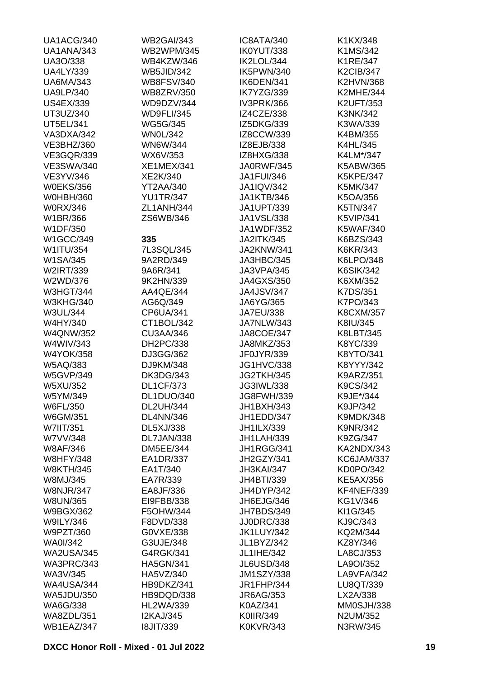| UA1ACG/340        | <b>WB2GAI/343</b> | IC8ATA/340        | K1KX/348         |
|-------------------|-------------------|-------------------|------------------|
| UA1ANA/343        | <b>WB2WPM/345</b> | IK0YUT/338        | K1MS/342         |
| UA3O/338          | WB4KZW/346        | IK2LOL/344        | K1RE/347         |
| <b>UA4LY/339</b>  | <b>WB5JID/342</b> | IK5PWN/340        | <b>K2CIB/347</b> |
| <b>UA6MA/343</b>  | <b>WB8FSV/340</b> | IK6DEN/341        | <b>K2HVN/368</b> |
| <b>UA9LP/340</b>  | <b>WB8ZRV/350</b> | IK7YZG/339        | <b>K2MHE/344</b> |
| <b>US4EX/339</b>  | WD9DZV/344        | IV3PRK/366        | <b>K2UFT/353</b> |
| UT3UZ/340         | <b>WD9FLI/345</b> | IZ4CZE/338        | K3NK/342         |
| <b>UT5EL/341</b>  | <b>WG5G/345</b>   | IZ5DKG/339        | K3WA/339         |
| VA3DXA/342        | <b>WN0L/342</b>   | IZ8CCW/339        | K4BM/355         |
| VE3BHZ/360        | <b>WN6W/344</b>   | IZ8EJB/338        | K4HL/345         |
| <b>VE3GQR/339</b> | WX6V/353          | IZ8HXG/338        | K4LM*/347        |
| <b>VE3SWA/340</b> | <b>XE1MEX/341</b> | JA0RWF/345        | K5ABW/365        |
| VE3YV/346         | XE2K/340          | <b>JA1FUI/346</b> | <b>K5KPE/347</b> |
| <b>W0EKS/356</b>  | YT2AA/340         | <b>JA1IQV/342</b> | K5MK/347         |
| <b>W0HBH/360</b>  | <b>YU1TR/347</b>  | <b>JA1KTB/346</b> | K5OA/356         |
|                   |                   |                   |                  |
| <b>W0RX/346</b>   | ZL1ANH/344        | JA1UPT/339        | K5TN/347         |
| W1BR/366          | ZS6WB/346         | JA1VSL/338        | <b>K5VIP/341</b> |
| W1DF/350          |                   | JA1WDF/352        | <b>K5WAF/340</b> |
| W1GCC/349         | 335               | <b>JA2ITK/345</b> | K6BZS/343        |
| W1ITU/354         | 7L3SQL/345        | JA2KNW/341        | K6KR/343         |
| W1SA/345          | 9A2RD/349         | JA3HBC/345        | K6LPO/348        |
| W2IRT/339         | 9A6R/341          | JA3VPA/345        | <b>K6SIK/342</b> |
| W2WD/376          | 9K2HN/339         | <b>JA4GXS/350</b> | K6XM/352         |
| <b>W3HGT/344</b>  | AA4QE/344         | <b>JA4JSV/347</b> | K7DS/351         |
| <b>W3KHG/340</b>  | AG6Q/349          | JA6YG/365         | K7PO/343         |
| W3UL/344          | CP6UA/341         | <b>JA7EU/338</b>  | <b>K8CXM/357</b> |
| W4HY/340          | CT1BOL/342        | JA7NLW/343        | K8IU/345         |
| <b>W4QNW/352</b>  | <b>CU3AA/346</b>  | <b>JA8COE/347</b> | K8LBT/345        |
| W4WIV/343         | DH2PC/338         | JA8MKZ/353        | K8YC/339         |
| <b>W4YOK/358</b>  | DJ3GG/362         | JF0JYR/339        | K8YTO/341        |
| W5AQ/383          | DJ9KM/348         | <b>JG1HVC/338</b> | K8YYY/342        |
| <b>W5GVP/349</b>  | <b>DK3DG/343</b>  | JG2TKH/345        | <b>K9ARZ/351</b> |
| W5XU/352          | <b>DL1CF/373</b>  | JG3IWL/338        | K9CS/342         |
| W5YM/349          | DL1DUO/340        | JG8FWH/339        | K9JE*/344        |
| W6FL/350          | <b>DL2UH/344</b>  | JH1BXH/343        | K9JP/342         |
| W6GM/351          | <b>DL4NN/346</b>  | JH1EDD/347        | <b>K9MDK/348</b> |
| <b>W7IIT/351</b>  | DL5XJ/338         | JH1ILX/339        | <b>K9NR/342</b>  |
| W7VV/348          | DL7JAN/338        | <b>JH1LAH/339</b> | K9ZG/347         |
| <b>W8AF/346</b>   | <b>DM5EE/344</b>  | JH1RGG/341        | KA2NDX/343       |
| <b>W8HFY/348</b>  | EA1DR/337         | JH2GZY/341        | KC6JAM/337       |
| <b>W8KTH/345</b>  | EA1T/340          | JH3KAI/347        | KD0PO/342        |
| W8MJ/345          | EA7R/339          | JH4BTI/339        | <b>KE5AX/356</b> |
| <b>W8NJR/347</b>  | EA8JF/336         | JH4DYP/342        | KF4NEF/339       |
| <b>W8UN/365</b>   | EI9FBB/338        | JH6EJG/346        | KG1V/346         |
| W9BGX/362         | F5OHW/344         | JH7BDS/349        | KI1G/345         |
| <b>W9ILY/346</b>  |                   |                   |                  |
|                   | F8DVD/338         | <b>JJ0DRC/338</b> | KJ9C/343         |
| W9PZT/360         | G0VXE/338         | <b>JK1LUY/342</b> | KQ2M/344         |
| <b>WA0I/342</b>   | G3UJE/348         | JL1BYZ/342        | KZ8Y/346         |
| <b>WA2USA/345</b> | G4RGK/341         | JL1IHE/342        | LA8CJ/353        |
| WA3PRC/343        | <b>HA5GN/341</b>  | JL6USD/348        | LA9OI/352        |
| WA3V/345          | HA5VZ/340         | <b>JM1SZY/338</b> | LA9VFA/342       |
| <b>WA4USA/344</b> | HB9DKZ/341        | <b>JR1FHP/344</b> | LU8QT/339        |
| <b>WA5JDU/350</b> | HB9DQD/338        | JR6AG/353         | LX2A/338         |
| WA6G/338          | <b>HL2WA/339</b>  | K0AZ/341          | MM0SJH/338       |
| <b>WA8ZDL/351</b> | <b>I2KAJ/345</b>  | K0IIR/349         | N2UM/352         |
| WB1EAZ/347        | <b>I8JIT/339</b>  | <b>K0KVR/343</b>  | N3RW/345         |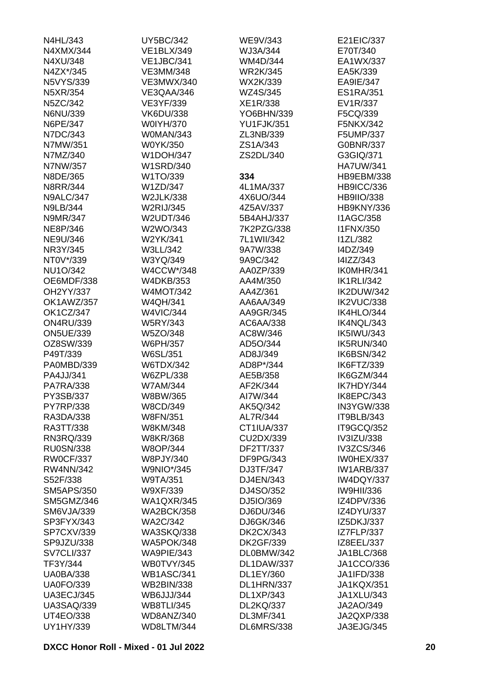| N4HL/343          | <b>UY5BC/342</b>  | WE9V/343          | E21EIC/337        |
|-------------------|-------------------|-------------------|-------------------|
| N4XMX/344         | <b>VE1BLX/349</b> | WJ3A/344          | E70T/340          |
| N4XU/348          | <b>VE1JBC/341</b> | WM4D/344          | EA1WX/337         |
| N4ZX*/345         | <b>VE3MM/348</b>  | <b>WR2K/345</b>   | EA5K/339          |
| <b>N5VYS/339</b>  | <b>VE3MWX/340</b> | WX2K/339          | EA9IE/347         |
| N5XR/354          | VE3QAA/346        | WZ4S/345          | <b>ES1RA/351</b>  |
| N5ZC/342          | VE3YF/339         | XE1R/338          | EV1R/337          |
| N6NU/339          | <b>VK6DU/338</b>  | YO6BHN/339        | F5CQ/339          |
| N6PE/347          | <b>W0IYH/370</b>  | <b>YU1FJK/351</b> | F5NKX/342         |
| N7DC/343          | W0MAN/343         | ZL3NB/339         | F5UMP/337         |
| N7MW/351          | W0YK/350          | ZS1A/343          | G0BNR/337         |
| N7MZ/340          | <b>W1DOH/347</b>  | ZS2DL/340         | G3GIQ/371         |
| N7NW/357          | <b>W1SRD/340</b>  |                   | <b>HA7UW/341</b>  |
| N8DE/365          | W1TO/339          | 334               | <b>HB9EBM/338</b> |
| <b>N8RR/344</b>   | W1ZD/347          | 4L1MA/337         | <b>HB9ICC/336</b> |
| <b>N9ALC/347</b>  | <b>W2JLK/338</b>  | 4X6UO/344         | <b>HB9IIO/338</b> |
| <b>N9LB/344</b>   | <b>W2RIJ/345</b>  | 4Z5AV/337         | HB9KNY/336        |
| N9MR/347          | W2UDT/346         | 5B4AHJ/337        | <b>I1AGC/358</b>  |
|                   |                   | 7K2PZG/338        |                   |
| NE8P/346          | W2WO/343          |                   | <b>I1FNX/350</b>  |
| NE9U/346          | W2YK/341          | 7L1WII/342        | <b>I1ZL/382</b>   |
| NR3Y/345          | W3LL/342          | 9A7W/338          | I4DZ/349          |
| NT0V*/339         | W3YQ/349          | 9A9C/342          | I4IZZ/343         |
| <b>NU1O/342</b>   | W4CCW*/348        | AA0ZP/339         | IK0MHR/341        |
| OE6MDF/338        | <b>W4DKB/353</b>  | AA4M/350          | <b>IK1RLI/342</b> |
| OH2YY/337         | <b>W4MOT/342</b>  | AA4Z/361          | IK2DUW/342        |
| OK1AWZ/357        | <b>W4QH/341</b>   | AA6AA/349         | IK2VUC/338        |
| <b>OK1CZ/347</b>  | <b>W4VIC/344</b>  | AA9GR/345         | IK4HLO/344        |
| <b>ON4RU/339</b>  | <b>W5RY/343</b>   | AC6AA/338         | IK4NQL/343        |
| <b>ON5UE/339</b>  | W5ZO/348          | AC8W/346          | <b>IK5IWU/343</b> |
| OZ8SW/339         | W6PH/357          | AD5O/344          | IK5RUN/340        |
| P49T/339          | W6SL/351          | AD8J/349          | IK6BSN/342        |
| PA0MBD/339        | <b>W6TDX/342</b>  | AD8P*/344         | IK6FTZ/339        |
| PA4JJ/341         | W6ZPL/338         | AE5B/358          | IK6GZM/344        |
| <b>PA7RA/338</b>  | <b>W7AM/344</b>   | AF2K/344          | IK7HDY/344        |
| PY3SB/337         | W8BW/365          | AI7W/344          | IK8EPC/343        |
| <b>PY7RP/338</b>  | W8CD/349          | AK5Q/342          | IN3YGW/338        |
| RA3DA/338         | <b>W8FN/351</b>   | AL7R/344          | IT9BLB/343        |
| RA3TT/338         | W8KM/348          | CT1IUA/337        | IT9GCQ/352        |
| RN3RQ/339         | <b>W8KR/368</b>   | CU2DX/339         | IV3IZU/338        |
| <b>RU0SN/338</b>  | <b>W8OP/344</b>   | DF2TT/337         | IV3ZCS/346        |
| <b>RW0CF/337</b>  | W8PJY/340         | DF9PG/343         | IW0HEX/337        |
| <b>RW4NN/342</b>  | <b>W9NIO*/345</b> | DJ3TF/347         | <b>IW1ARB/337</b> |
| S52F/338          | <b>W9TA/351</b>   | DJ4EN/343         | IW4DQY/337        |
| <b>SM5APS/350</b> | W9XF/339          | DJ4SO/352         | <b>IW9HII/336</b> |
| SM5GMZ/346        | <b>WA1QXR/345</b> | DJ5IO/369         | IZ4DPV/336        |
| <b>SM6VJA/339</b> | <b>WA2BCK/358</b> | DJ6DU/346         | IZ4DYU/337        |
| SP3FYX/343        | <b>WA2C/342</b>   | DJ6GK/346         | IZ5DKJ/337        |
| <b>SP7CXV/339</b> | <b>WA3SKQ/338</b> | <b>DK2CX/343</b>  | IZ7FLP/337        |
| SP9JZU/338        | <b>WA5POK/348</b> | <b>DK2GF/339</b>  | IZ8EEL/337        |
| <b>SV7CLI/337</b> | WA9PIE/343        | DL0BMW/342        | JA1BLC/368        |
| TF3Y/344          | WB0TVY/345        | DL1DAW/337        | JA1CCO/336        |
| <b>UA0BA/338</b>  | <b>WB1ASC/341</b> | DL1EY/360         | JA1IFD/338        |
| <b>UA0FO/339</b>  | <b>WB2BIN/338</b> | DL1HRN/337        | <b>JA1KQX/351</b> |
| <b>UA3ECJ/345</b> | WB6JJJ/344        | <b>DL1XP/343</b>  | JA1XLU/343        |
| <b>UA3SAQ/339</b> | <b>WB8TLI/345</b> | <b>DL2KQ/337</b>  | JA2AO/349         |
| <b>UT4EO/338</b>  | WD8ANZ/340        | <b>DL3MF/341</b>  | JA2QXP/338        |
|                   |                   |                   |                   |
| UY1HY/339         | WD8LTM/344        | DL6MRS/338        | JA3EJG/345        |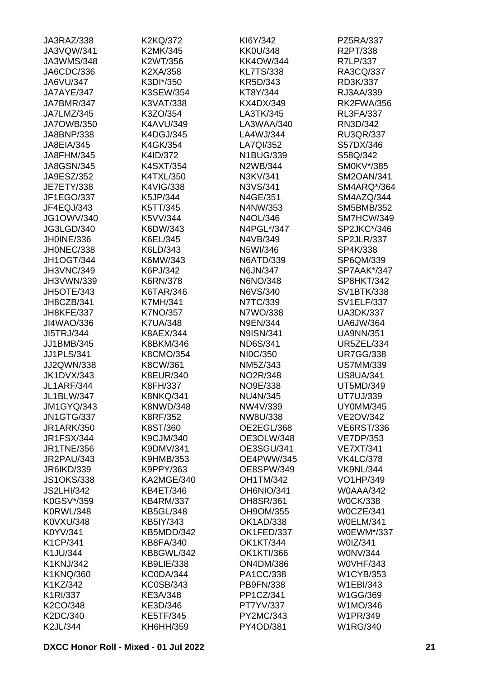| JA3RAZ/338        | K2KQ/372          | KI6Y/342          | PZ5RA/337         |
|-------------------|-------------------|-------------------|-------------------|
| JA3VQW/341        | K2MK/345          | <b>KK0U/348</b>   | R2PT/338          |
| JA3WMS/348        | K2WT/356          | <b>KK4OW/344</b>  | R7LP/337          |
| JA6CDC/336        | K2XA/358          | <b>KL7TS/338</b>  | RA3CQ/337         |
| JA6VU/347         | K3DI*/350         | KR5D/343          | RD3K/337          |
| JA7AYE/347        | K3SEW/354         | KT8Y/344          | RJ3AA/339         |
| JA7BMR/347        | K3VAT/338         | KX4DX/349         | <b>RK2FWA/356</b> |
| JA7LMZ/345        | K3ZO/354          | LA3TK/345         | <b>RL3FA/337</b>  |
| <b>JA7OWB/350</b> | K4AVU/349         | LA3WAA/340        | RN3D/342          |
| JA8BNP/338        | K4DGJ/345         | LA4WJ/344         | <b>RU3QR/337</b>  |
| JA8EIA/345        | K4GK/354          | LA7QI/352         | S57DX/346         |
| JA8FHM/345        | K4ID/372          | N1BUG/339         | S58Q/342          |
| JA8GSN/345        | K4SXT/354         | N2WB/344          | SM0KV*/385        |
| JA9ESZ/352        | K4TXL/350         | N3KV/341          | <b>SM2OAN/341</b> |
| <b>JE7ETY/338</b> | K4VIG/338         | N3VS/341          | SM4ARQ*/364       |
| JF1EGO/337        | K5JP/344          | N4GE/351          | SM4AZQ/344        |
| JF4EQJ/343        | K5TT/345          | N4NW/353          | SM5BMB/352        |
| <b>JG1OWV/340</b> | K5VV/344          | N4OL/346          | SM7HCW/349        |
|                   |                   |                   |                   |
| JG3LGD/340        | K6DW/343          | N4PGL*/347        | SP2JKC*/346       |
| JH0INE/336        | K6EL/345          | N4VB/349          | SP2JLR/337        |
| JH0NEC/338        | K6LD/343          | N5WI/346          | SP4K/338          |
| <b>JH1OGT/344</b> | K6MW/343          | N6ATD/339         | SP6QM/339         |
| <b>JH3VNC/349</b> | K6PJ/342          | N6JN/347          | SP7AAK*/347       |
| JH3VWN/339        | <b>K6RN/378</b>   | N6NO/348          | SP8HKT/342        |
| JH5OTE/343        | K6TAR/346         | N6VS/340          | SV1BTK/338        |
| JH8CZB/341        | <b>K7MH/341</b>   | N7TC/339          | <b>SV1ELF/337</b> |
| JH8KFE/337        | K7NO/357          | N7WO/338          | <b>UA3DK/337</b>  |
| JI4WAO/336        | <b>K7UA/348</b>   | <b>N9EN/344</b>   | <b>UA6JW/364</b>  |
| <b>JI5TRJ/344</b> | K8AEX/344         | <b>N9ISN/341</b>  | <b>UA9NN/351</b>  |
| JJ1BMB/345        | K8BKM/346         | <b>ND6S/341</b>   | <b>UR5ZEL/334</b> |
| <b>JJ1PLS/341</b> | K8CMO/354         | NI0C/350          | <b>UR7GG/338</b>  |
| JJ2QWN/338        | K8CW/361          | NM5Z/343          | <b>US7MM/339</b>  |
| <b>JK1DVX/343</b> | <b>K8EUR/340</b>  | NO2R/348          | <b>US8UA/341</b>  |
| <b>JL1ARF/344</b> | K8FH/337          | NO9E/338          | UT5MD/349         |
| JL1BLW/347        | <b>K8NKQ/341</b>  | <b>NU4N/345</b>   | UT7UJ/339         |
| <b>JM1GYQ/343</b> | <b>K8NWD/348</b>  | NW4V/339          | <b>UY0MM/345</b>  |
| <b>JN1GTG/337</b> | K8RF/352          | NW8U/338          | <b>VE2OV/342</b>  |
| <b>JR1ARK/350</b> | K8ST/360          | OE2EGL/368        | <b>VE6RST/336</b> |
| <b>JR1FSX/344</b> | K9CJM/340         | OE3OLW/348        | <b>VE7DP/353</b>  |
| <b>JR1TNE/356</b> | K9DMV/341         | OE3SGU/341        | <b>VE7XT/341</b>  |
| <b>JR2PAU/343</b> | <b>K9HMB/353</b>  | OE4PWW/345        | <b>VK4LC/378</b>  |
| JR6IKD/339        | K9PPY/363         | OE8SPW/349        | <b>VK9NL/344</b>  |
| <b>JS1OKS/338</b> | KA2MGE/340        | <b>OH1TM/342</b>  | VO1HP/349         |
| <b>JS2LHI/342</b> | KB4ET/346         | OH6NIO/341        | <b>W0AAA/342</b>  |
| K0GSV*/359        | <b>KB4RM/337</b>  | OH8SR/361         | <b>W0CK/338</b>   |
| <b>K0RWL/348</b>  | <b>KB5GL/348</b>  | OH9OM/355         | W0CZE/341         |
| K0VXU/348         | KB5IY/343         | <b>OK1AD/338</b>  | <b>W0ELM/341</b>  |
| K0YV/341          | KB5MDD/342        | OK1FED/337        | W0EWM*/337        |
| K1CP/341          | <b>KB8FA/340</b>  | <b>OK1KT/344</b>  | W0IZ/341          |
|                   |                   |                   |                   |
| K1JU/344          | <b>KB8GWL/342</b> | <b>OK1KTI/366</b> | <b>WONV/344</b>   |
| K1KNJ/342         | KB9LIE/338        | <b>ON4DM/386</b>  | <b>W0VHF/343</b>  |
| K1KNQ/360         | KC0DA/344         | PA1CC/338         | <b>W1CYB/353</b>  |
| K1KZ/342          | <b>KC0SB/343</b>  | PB9FN/338         | W1EBI/343         |
| K1RI/337          | KE3A/348          | PP1CZ/341         | W1GG/369          |
| K2CO/348          | KE3D/346          | PT7YV/337         | W1MO/346          |
| K2DC/340          | <b>KE5TF/345</b>  | PY2MC/343         | W1PR/349          |
| K2JL/344          | KH6HH/359         | PY4OD/381         | <b>W1RG/340</b>   |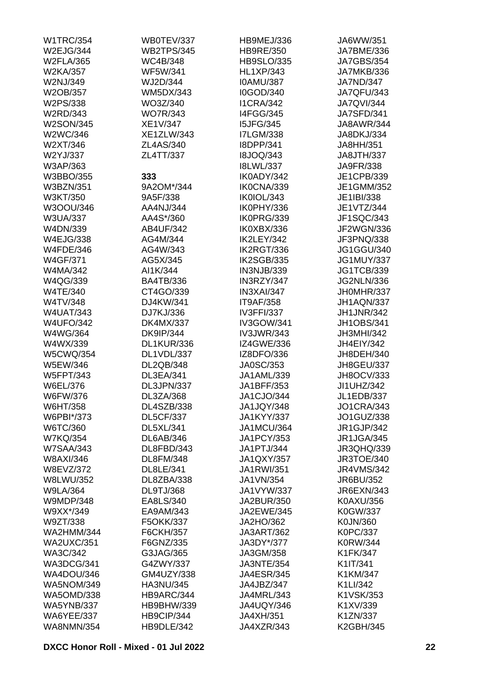| <b>W1TRC/354</b>  | WB0TEV/337        | HB9MEJ/336        | JA6WW/351         |
|-------------------|-------------------|-------------------|-------------------|
| W2EJG/344         | <b>WB2TPS/345</b> | <b>HB9RE/350</b>  | JA7BME/336        |
| <b>W2FLA/365</b>  | WC4B/348          | <b>HB9SLO/335</b> | <b>JA7GBS/354</b> |
| W2KA/357          | <b>WF5W/341</b>   | <b>HL1XP/343</b>  | JA7MKB/336        |
| W2NJ/349          | WJ2D/344          | <b>IOAMU/387</b>  | JA7ND/347         |
| W2OB/357          | <b>WM5DX/343</b>  | I0GOD/340         | <b>JA7QFU/343</b> |
| W2PS/338          | WO3Z/340          | <b>I1CRA/342</b>  | <b>JA7QVI/344</b> |
| W2RD/343          | <b>WO7R/343</b>   | <b>I4FGG/345</b>  | <b>JA7SFD/341</b> |
| <b>W2SON/345</b>  | XE1V/347          | <b>I5JFG/345</b>  | JA8AWR/344        |
| W2WC/346          | <b>XE1ZLW/343</b> | <b>I7LGM/338</b>  | JA8DKJ/334        |
| W2XT/346          | ZL4AS/340         | I8DPP/341         | JA8HH/351         |
| W2YJ/337          | ZL4TT/337         | <b>I8JOQ/343</b>  | <b>JA8JTH/337</b> |
| W3AP/363          |                   | <b>I8LWL/337</b>  | JA9FR/338         |
| W3BBO/355         | 333               | IK0ADY/342        | JE1CPB/339        |
| <b>W3BZN/351</b>  | 9A2OM*/344        | IK0CNA/339        | JE1GMM/352        |
| W3KT/350          | 9A5F/338          | IK0IOL/343        | JE1IBI/338        |
| W3OOU/346         | AA4NJ/344         | IK0PHY/336        | JE1VTZ/344        |
|                   | AA4S*/360         | IK0PRG/339        |                   |
| <b>W3UA/337</b>   |                   |                   | JF1SQC/343        |
| W4DN/339          | AB4UF/342         | IK0XBX/336        | JF2WGN/336        |
| <b>W4EJG/338</b>  | AG4M/344          | IK2LEY/342        | JF3PNQ/338        |
| <b>W4FDE/346</b>  | AG4W/343          | IK2RGT/336        | JG1GGU/340        |
| <b>W4GF/371</b>   | AG5X/345          | IK2SGB/335        | <b>JG1MUY/337</b> |
| W4MA/342          | AI1K/344          | IN3NJB/339        | <b>JG1TCB/339</b> |
| W4QG/339          | <b>BA4TB/336</b>  | IN3RZY/347        | <b>JG2NLN/336</b> |
| <b>W4TE/340</b>   | CT4GO/339         | IN3XAI/347        | JH0MHR/337        |
| W4TV/348          | DJ4KW/341         | <b>IT9AF/358</b>  | JH1AQN/337        |
| <b>W4UAT/343</b>  | DJ7KJ/336         | <b>IV3FFI/337</b> | <b>JH1JNR/342</b> |
| <b>W4UFO/342</b>  | <b>DK4MX/337</b>  | IV3GOW/341        | <b>JH1OBS/341</b> |
| W4WG/364          | <b>DK9IP/344</b>  | <b>IV3JWR/343</b> | JH3MHI/342        |
| W4WX/339          | <b>DL1KUR/336</b> | <b>IZ4GWE/336</b> | JH4EIY/342        |
| <b>W5CWQ/354</b>  | DL1VDL/337        | IZ8DFO/336        | JH8DEH/340        |
| W5EW/346          | DL2QB/348         | JA0SC/353         | <b>JH8GEU/337</b> |
| <b>W5FPT/343</b>  | DL3EA/341         | JA1AML/339        | JH8OCV/333        |
| W6EL/376          | DL3JPN/337        | JA1BFF/353        | JI1UHZ/342        |
| W6FW/376          | DL3ZA/368         | JA1CJO/344        | <b>JL1EDB/337</b> |
| W6HT/358          | DL4SZB/338        | JA1JQY/348        | <b>JO1CRA/343</b> |
| W6PBI*/373        | <b>DL5CF/337</b>  | <b>JA1KYY/337</b> | JO1GUZ/338        |
| W6TC/360          | DL5XL/341         | <b>JA1MCU/364</b> | JR1GJP/342        |
| <b>W7KQ/354</b>   | <b>DL6AB/346</b>  | <b>JA1PCY/353</b> | <b>JR1JGA/345</b> |
| <b>W7SAA/343</b>  | DL8FBD/343        | JA1PTJ/344        | <b>JR3QHQ/339</b> |
| W8AXI/346         | DL8FM/348         | <b>JA1QXY/357</b> | JR3TOE/340        |
| W8EVZ/372         | DL8LE/341         | <b>JA1RWI/351</b> | <b>JR4VMS/342</b> |
| <b>W8LWU/352</b>  | DL8ZBA/338        | JA1VN/354         | JR6BU/352         |
| <b>W9LA/364</b>   | <b>DL9TJ/368</b>  | JA1VYW/337        | JR6EXN/343        |
| <b>W9MDP/348</b>  | EA8LS/340         | JA2BUR/350        | K0AXU/356         |
| W9XX*/349         | EA9AM/343         | JA2EWE/345        | K0GW/337          |
| W9ZT/338          | F5OKK/337         | JA2HO/362         | K0JN/360          |
| <b>WA2HMM/344</b> | F6CKH/357         | <b>JA3ART/362</b> | K0PC/337          |
|                   |                   |                   |                   |
| <b>WA2UXC/351</b> | F6GNZ/335         | JA3DY*/377        | K0RW/344          |
| WA3C/342          | G3JAG/365         | JA3GM/358         | K1FK/347          |
| WA3DCG/341        | G4ZWY/337         | JA3NTE/354        | K1IT/341          |
| WA4DOU/346        | GM4UZY/338        | <b>JA4ESR/345</b> | K1KM/347          |
| <b>WA5NOM/349</b> | HA3NU/345         | JA4JBZ/347        | K1LI/342          |
| <b>WA5OMD/338</b> | HB9ARC/344        | JA4MRL/343        | K1VSK/353         |
| <b>WA5YNB/337</b> | HB9BHW/339        | JA4UQY/346        | K1XV/339          |
| <b>WA6YEE/337</b> | HB9CIP/344        | JA4XH/351         | K1ZN/337          |
| <b>WA8NMN/354</b> | HB9DLE/342        | JA4XZR/343        | <b>K2GBH/345</b>  |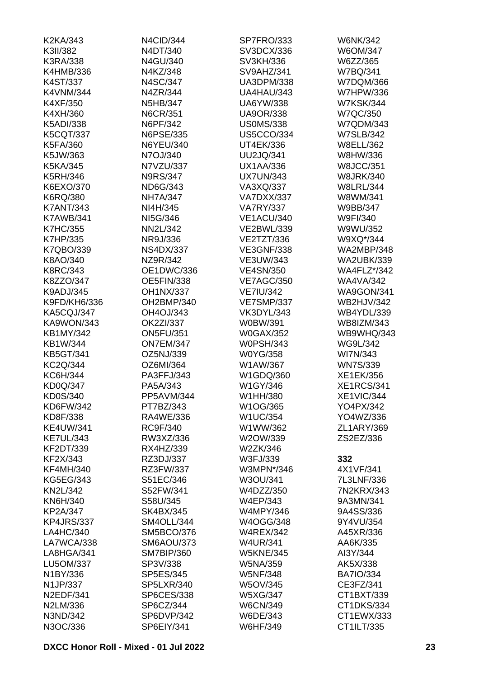| K2KA/343         | N4CID/344         | SP7FRO/333        | <b>W6NK/342</b>    |
|------------------|-------------------|-------------------|--------------------|
| K3II/382         | N4DT/340          | SV3DCX/336        | W6OM/347           |
| K3RA/338         | N4GU/340          | SV3KH/336         | W6ZZ/365           |
| K4HMB/336        | N4KZ/348          | SV9AHZ/341        | W7BQ/341           |
| K4ST/337         | N4SC/347          | <b>UA3DPM/338</b> | W7DQM/366          |
| <b>K4VNM/344</b> | N4ZR/344          | UA4HAU/343        | <b>W7HPW/336</b>   |
| K4XF/350         | N5HB/347          | <b>UA6YW/338</b>  | <b>W7KSK/344</b>   |
| K4XH/360         | <b>N6CR/351</b>   | <b>UA9OR/338</b>  | <b>W7QC/350</b>    |
| <b>K5ADI/338</b> | N6PF/342          | <b>US0MS/338</b>  | W7QDM/343          |
| <b>K5CQT/337</b> | N6PSE/335         | <b>US5CCO/334</b> | <b>W7SLB/342</b>   |
| K5FA/360         | N6YEU/340         | UT4EK/336         | <b>W8ELL/362</b>   |
| K5JW/363         | N7OJ/340          | <b>UU2JQ/341</b>  | W8HW/336           |
| K5KA/345         | N7VZU/337         | <b>UX1AA/336</b>  | <b>W8JCC/351</b>   |
| <b>K5RH/346</b>  | <b>N9RS/347</b>   | <b>UX7UN/343</b>  | <b>W8JRK/340</b>   |
| K6EXO/370        | ND6G/343          | VA3XQ/337         | <b>W8LRL/344</b>   |
| <b>K6RQ/380</b>  | <b>NH7A/347</b>   | VA7DXX/337        | W8WM/341           |
| <b>K7ANT/343</b> | NI4H/345          | <b>VA7RY/337</b>  | W9BB/347           |
| <b>K7AWB/341</b> | NI5G/346          | <b>VE1ACU/340</b> | W9FI/340           |
| <b>K7HC/355</b>  | <b>NN2L/342</b>   | <b>VE2BWL/339</b> | W9WU/352           |
| <b>K7HP/335</b>  | NR9J/336          | VE2TZT/336        | W9XQ*/344          |
| K7QBO/339        | <b>NS4DX/337</b>  | <b>VE3GNF/338</b> | <b>WA2MBP/348</b>  |
| K8AO/340         | NZ9R/342          | VE3UW/343         | <b>WA2UBK/339</b>  |
| <b>K8RC/343</b>  | OE1DWC/336        | <b>VE4SN/350</b>  | <b>WA4FLZ*/342</b> |
| K8ZZO/347        | <b>OE5FIN/338</b> | <b>VE7AGC/350</b> | <b>WA4VA/342</b>   |
| K9ADJ/345        | <b>OH1NX/337</b>  | <b>VE7IU/342</b>  | <b>WA9GON/341</b>  |
| K9FD/KH6/336     | OH2BMP/340        | <b>VE7SMP/337</b> | <b>WB2HJV/342</b>  |
| KA5CQJ/347       | OH4OJ/343         | VK3DYL/343        | WB4YDL/339         |
| KA9WON/343       | OK2ZI/337         | W0BW/391          | WB8IZM/343         |
| <b>KB1MY/342</b> | <b>ON5FU/351</b>  | <b>W0GAX/352</b>  | WB9WHQ/343         |
| KB1W/344         | <b>ON7EM/347</b>  | <b>W0PSH/343</b>  | <b>WG9L/342</b>    |
| <b>KB5GT/341</b> | OZ5NJ/339         | W0YG/358          | WI7N/343           |
| <b>KC2Q/344</b>  | OZ6MI/364         | W1AW/367          | <b>WN7S/339</b>    |
| KC6H/344         | PA3FFJ/343        | W1GDQ/360         | XE1EK/356          |
| <b>KD0Q/347</b>  | PA5A/343          | W1GY/346          | <b>XE1RCS/341</b>  |
| KD0S/340         | PP5AVM/344        | W1HH/380          | XE1VIC/344         |
| KD6FW/342        | PT7BZ/343         | W1OG/365          | YO4PX/342          |
| KD8F/338         | RA4WE/336         | <b>W1UC/354</b>   | YO4WZ/336          |
| <b>KE4UW/341</b> | RC9F/340          | W1WW/362          | ZL1ARY/369         |
| <b>KE7UL/343</b> | RW3XZ/336         | W2OW/339          | ZS2EZ/336          |
| KF2DT/339        | RX4HZ/339         | W2ZK/346          |                    |
| KF2X/343         | RZ3DJ/337         | W3FJ/339          | 332                |
| <b>KF4MH/340</b> | RZ3FW/337         | W3MPN*/346        | 4X1VF/341          |
| <b>KG5EG/343</b> | S51EC/346         | W3OU/341          | 7L3LNF/336         |
| <b>KN2L/342</b>  | S52FW/341         | W4DZZ/350         | 7N2KRX/343         |
| KN6H/340         | S58U/345          | W4EP/343          | 9A3MN/341          |
| KP2A/347         | <b>SK4BX/345</b>  | <b>W4MPY/346</b>  | 9A4SS/336          |
| KP4JRS/337       | SM4OLL/344        | W4OGG/348         | 9Y4VU/354          |
| LA4HC/340        | SM5BCO/376        | <b>W4REX/342</b>  | A45XR/336          |
| LA7WCA/338       | <b>SM6AOU/373</b> | <b>W4UR/341</b>   | AA6K/335           |
| LA8HGA/341       | SM7BIP/360        | <b>W5KNE/345</b>  | AI3Y/344           |
| LU5OM/337        | SP3V/338          | W5NA/359          | AK5X/338           |
| N1BY/336         | SP5ES/345         | <b>W5NF/348</b>   | <b>BA7IO/334</b>   |
| N1JP/337         | <b>SP5LXR/340</b> | W5OV/345          | CE3FZ/341          |
| <b>N2EDF/341</b> | <b>SP6CES/338</b> | <b>W5XG/347</b>   | CT1BXT/339         |
| N2LM/336         | SP6CZ/344         | <b>W6CN/349</b>   | CT1DKS/334         |
| N3ND/342         | SP6DVP/342        | W6DE/343          | CT1EWX/333         |
| N3OC/336         | SP6EIY/341        | W6HF/349          | CT1ILT/335         |
|                  |                   |                   |                    |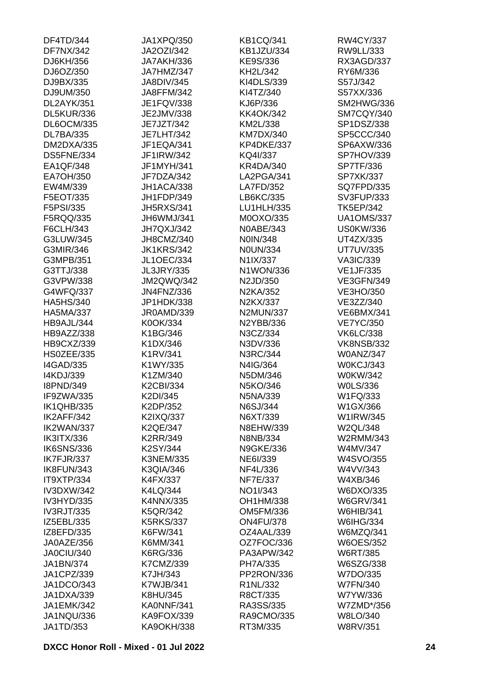| DF4TD/344         | JA1XPQ/350        | <b>KB1CQ/341</b>  | RW4CY/337         |
|-------------------|-------------------|-------------------|-------------------|
| <b>DF7NX/342</b>  | JA2OZI/342        | <b>KB1JZU/334</b> | RW9LL/333         |
| DJ6KH/356         | JA7AKH/336        | KE9S/336          | RX3AGD/337        |
| DJ6OZ/350         | JA7HMZ/347        | KH2L/342          | RY6M/336          |
| DJ9BX/335         | <b>JA8DIV/345</b> | KI4DLS/339        | S57J/342          |
| DJ9UM/350         | JA8FFM/342        | KI4TZ/340         | S57XX/336         |
| DL2AYK/351        | JE1FQV/338        | KJ6P/336          | SM2HWG/336        |
| DL5KUR/336        | JE2JMV/338        | <b>KK4OK/342</b>  | SM7CQY/340        |
| <b>DL6OCM/335</b> | JE7JZT/342        | KM2L/338          | SP1DSZ/338        |
| <b>DL7BA/335</b>  | <b>JE7LHT/342</b> | <b>KM7DX/340</b>  | SP5CCC/340        |
| DM2DXA/335        | JF1EQA/341        | KP4DKE/337        | SP6AXW/336        |
| DS5FNE/334        | JF1IRW/342        | KQ4I/337          | SP7HOV/339        |
| EA1QF/348         | JF1MYH/341        | <b>KR4DA/340</b>  | SP7TF/336         |
| EA7OH/350         | JF7DZA/342        | LA2PGA/341        | SP7XK/337         |
| EW4M/339          | JH1ACA/338        | LA7FD/352         | <b>SQ7FPD/335</b> |
| F5EOT/335         | JH1FDP/349        | LB6KC/335         | SV3FUP/333        |
| F5PSI/335         | <b>JH5RXS/341</b> | LU1HLH/335        | <b>TK5EP/342</b>  |
|                   |                   | M0OXO/335         |                   |
| F5RQQ/335         | JH6WMJ/341        |                   | <b>UA1OMS/337</b> |
| F6CLH/343         | JH7QXJ/342        | N0ABE/343         | <b>US0KW/336</b>  |
| G3LUW/345         | JH8CMZ/340        | N0IN/348          | UT4ZX/335         |
| G3MIR/346         | <b>JK1KRS/342</b> | <b>N0UN/334</b>   | <b>UT7UV/335</b>  |
| G3MPB/351         | <b>JL1OEC/334</b> | N1IX/337          | <b>VA3IC/339</b>  |
| G3TTJ/338         | <b>JL3JRY/335</b> | N1WON/336         | <b>VE1JF/335</b>  |
| G3VPW/338         | <b>JM2QWQ/342</b> | N2JD/350          | <b>VE3GFN/349</b> |
| G4WFQ/337         | <b>JN4FNZ/336</b> | N2KA/352          | VE3HO/350         |
| <b>HA5HS/340</b>  | JP1HDK/338        | N2KX/337          | VE3ZZ/340         |
| <b>HA5MA/337</b>  | JR0AMD/339        | <b>N2MUN/337</b>  | <b>VE6BMX/341</b> |
| HB9AJL/344        | K0OK/334          | N2YBB/336         | <b>VE7YC/350</b>  |
| HB9AZZ/338        | K1BG/346          | N3CZ/334          | <b>VK6LC/338</b>  |
| HB9CXZ/339        | K1DX/346          | N3DV/336          | <b>VK8NSB/332</b> |
| HS0ZEE/335        | K1RV/341          | N3RC/344          | <b>W0ANZ/347</b>  |
| <b>I4GAD/335</b>  | K1WY/335          | N4IG/364          | W0KCJ/343         |
| I4KDJ/339         | K1ZM/340          | N5DM/346          | W0KW/342          |
| <b>I8PND/349</b>  | <b>K2CBI/334</b>  | N5KO/346          | <b>WOLS/336</b>   |
| IF9ZWA/335        | K2DI/345          | N5NA/339          | W1FQ/333          |
| <b>IK1QHB/335</b> | K2DP/352          | N6SJ/344          | W1GX/366          |
| IK2AFF/342        | K2IXQ/337         | N6XT/339          | W1IRW/345         |
| IK2WAN/337        | <b>K2QE/347</b>   | N8EHW/339         | W2QL/348          |
| <b>IK3ITX/336</b> | K2RR/349          | N8NB/334          | W2RMM/343         |
| <b>IK6SNS/336</b> | K2SY/344          | <b>N9GKE/336</b>  | W4MV/347          |
| IK7FJR/337        | <b>K3NEM/335</b>  | NE6I/339          | W4SVO/355         |
| IK8FUN/343        | <b>K3QIA/346</b>  | NF4L/336          | W4VV/343          |
| IT9XTP/334        | K4FX/337          | NF7E/337          | W4XB/346          |
| <b>IV3DXW/342</b> | K4LQ/344          | NO1I/343          | W6DXO/335         |
| IV3HYD/335        | K4NNX/335         | OH1HM/338         | <b>W6GRV/341</b>  |
| <b>IV3RJT/335</b> | <b>K5QR/342</b>   | OM5FM/336         | W6HIB/341         |
| IZ5EBL/335        | <b>K5RKS/337</b>  | <b>ON4FU/378</b>  | W6IHG/334         |
| IZ8EFD/335        | K6FW/341          | OZ4AAL/339        | W6MZQ/341         |
| JA0AZE/356        | K6MM/341          | OZ7FOC/336        | <b>W6OES/352</b>  |
| JA0CIU/340        | K6RG/336          | PA3APW/342        | <b>W6RT/385</b>   |
|                   |                   |                   |                   |
| JA1BN/374         | K7CMZ/339         | PH7A/335          | W6SZG/338         |
| JA1CPZ/339        | K7JH/343          | PP2RON/336        | W7DO/335          |
| JA1DCO/343        | K7WJB/341         | R1NL/332          | <b>W7FN/340</b>   |
| JA1DXA/339        | K8HU/345          | R8CT/335          | W7YW/336          |
| JA1EMK/342        | KA0NNF/341        | RA3SS/335         | W7ZMD*/356        |
| JA1NQU/336        | KA9FOX/339        | RA9CMO/335        | W8LO/340          |
| JA1TD/353         | <b>KA9OKH/338</b> | RT3M/335          | <b>W8RV/351</b>   |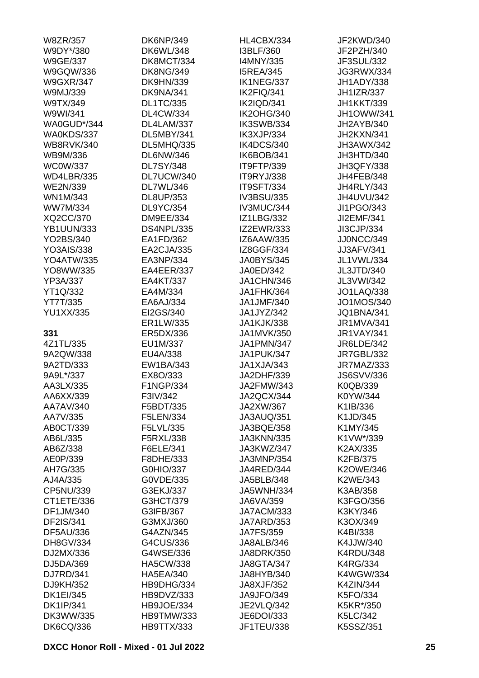| W8ZR/357          | <b>DK6NP/349</b>  | HL4CBX/334        | JF2KWD/340        |
|-------------------|-------------------|-------------------|-------------------|
| W9DY*/380         | <b>DK6WL/348</b>  | I3BLF/360         | JF2PZH/340        |
| <b>W9GE/337</b>   | DK8MCT/334        | I4MNY/335         | JF3SUL/332        |
| W9GQW/336         | <b>DK8NG/349</b>  | <b>I5REA/345</b>  | JG3RWX/334        |
| <b>W9GXR/347</b>  | <b>DK9HN/339</b>  | IK1NEG/337        | JH1ADY/338        |
| W9MJ/339          | DK9NA/341         | IK2FIQ/341        | <b>JH1IZR/337</b> |
| W9TX/349          | <b>DL1TC/335</b>  | IK2IQD/341        | <b>JH1KKT/339</b> |
| W9WI/341          | <b>DL4CW/334</b>  | <b>IK2OHG/340</b> | JH1OWW/341        |
| WA0GUD*/344       | DL4LAM/337        | IK3SWB/334        | JH2AYB/340        |
| WA0KDS/337        | DL5MBY/341        | IK3XJP/334        | JH2KXN/341        |
| <b>WB8RVK/340</b> | <b>DL5MHQ/335</b> | IK4DCS/340        | JH3AWX/342        |
| WB9M/336          | <b>DL6NW/346</b>  | IK6BOB/341        | JH3HTD/340        |
| <b>WC0W/337</b>   | <b>DL7SY/348</b>  | IT9FTP/339        | JH3QFY/338        |
| <b>WD4LBR/335</b> | DL7UCW/340        | IT9RYJ/338        | JH4FEB/348        |
| <b>WE2N/339</b>   | DL7WL/346         | IT9SFT/334        | <b>JH4RLY/343</b> |
| WN1M/343          | DL8UP/353         | IV3BSU/335        | JH4UVU/342        |
| <b>WW7M/334</b>   | DL9YC/354         | IV3MUC/344        | JI1PGO/343        |
|                   |                   |                   |                   |
| XQ2CC/370         | <b>DM9EE/334</b>  | <b>IZ1LBG/332</b> | JI2EMF/341        |
| <b>YB1UUN/333</b> | <b>DS4NPL/335</b> | <b>IZ2EWR/333</b> | JI3CJP/334        |
| YO2BS/340         | EA1FD/362         | IZ6AAW/335        | JJ0NCC/349        |
| <b>YO3AIS/338</b> | EA2CJA/335        | IZ8GGF/334        | <b>JJ3AFV/341</b> |
| <b>YO4ATW/335</b> | EA3NP/334         | <b>JA0BYS/345</b> | JL1VWL/334        |
| YO8WW/335         | EA4EER/337        | JA0ED/342         | JL3JTD/340        |
| YP3A/337          | EA4KT/337         | JA1CHN/346        | JL3VWI/342        |
| YT1Q/332          | EA4M/334          | JA1FHK/364        | <b>JO1LAQ/338</b> |
| YT7T/335          | EA6AJ/334         | JA1JMF/340        | JO1MOS/340        |
| <b>YU1XX/335</b>  | EI2GS/340         | JA1JYZ/342        | <b>JQ1BNA/341</b> |
|                   | ER1LW/335         | <b>JA1KJK/338</b> | <b>JR1MVA/341</b> |
| 331               | ER5DX/336         | JA1MVK/350        | <b>JR1VAY/341</b> |
| 4Z1TL/335         | EU1M/337          | <b>JA1PMN/347</b> | JR6LDE/342        |
| 9A2QW/338         | EU4A/338          | JA1PUK/347        | <b>JR7GBL/332</b> |
| 9A2TD/333         | EW1BA/343         | JA1XJA/343        | JR7MAZ/333        |
| 9A9L*/337         | EX8O/333          | JA2DHF/339        | <b>JS6SVV/336</b> |
| AA3LX/335         | F1NGP/334         | JA2FMW/343        | K0QB/339          |
| AA6XX/339         | F3IV/342          | JA2QCX/344        | K0YW/344          |
| AA7AV/340         | F5BDT/335         | JA2XW/367         | K1IB/336          |
| AA7V/335          | F5LEN/334         | JA3AUQ/351        | K1JD/345          |
| AB0CT/339         | F5LVL/335         | JA3BQE/358        | K1MY/345          |
| AB6L/335          | F5RXL/338         | <b>JA3KNN/335</b> | K1VW*/339         |
| AB6Z/338          | F6ELE/341         | JA3KWZ/347        | K2AX/335          |
| AE0P/339          | F8DHE/333         | JA3MNP/354        | K2FB/375          |
| AH7G/335          | G0HIO/337         | JA4RED/344        | <b>K2OWE/346</b>  |
| AJ4A/335          | G0VDE/335         | JA5BLB/348        | K2WE/343          |
| CP5NU/339         | G3EKJ/337         | <b>JA5WNH/334</b> | K3AB/358          |
| CT1ETE/336        | G3HCT/379         | JA6VA/359         | K3FGO/356         |
| DF1JM/340         | G3IFB/367         | JA7ACM/333        | K3KY/346          |
|                   |                   |                   |                   |
| DF2IS/341         | G3MXJ/360         | <b>JA7ARD/353</b> | K3OX/349          |
| <b>DF5AU/336</b>  | G4AZN/345         | <b>JA7FS/359</b>  | K4BI/338          |
| DH8GV/334         | G4CUS/336         | JA8ALB/346        | K4JJW/340         |
| DJ2MX/336         | G4WSE/336         | JA8DRK/350        | <b>K4RDU/348</b>  |
| DJ5DA/369         | <b>HA5CW/338</b>  | JA8GTA/347        | <b>K4RG/334</b>   |
| DJ7RD/341         | <b>HA5EA/340</b>  | JA8HYB/340        | <b>K4WGW/334</b>  |
| DJ9KH/352         | HB9DHG/334        | JA8XJF/352        | <b>K4ZIN/344</b>  |
| <b>DK1EI/345</b>  | HB9DVZ/333        | JA9JFO/349        | K5FO/334          |
| <b>DK1IP/341</b>  | HB9JOE/334        | <b>JE2VLQ/342</b> | K5KR*/350         |
| DK3WW/335         | <b>HB9TMW/333</b> | JE6DOI/333        | K5LC/342          |
| <b>DK6CQ/336</b>  | HB9TTX/333        | JF1TEU/338        | K5SSZ/351         |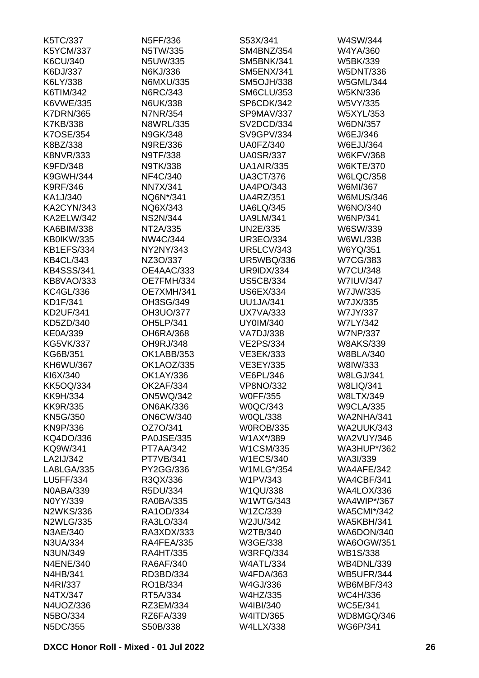| K5TC/337          | N5FF/336          | S53X/341          | W4SW/344           |
|-------------------|-------------------|-------------------|--------------------|
| <b>K5YCM/337</b>  | N5TW/335          | SM4BNZ/354        | W4YA/360           |
| K6CU/340          | N5UW/335          | SM5BNK/341        | W5BK/339           |
| K6DJ/337          | N6KJ/336          | <b>SM5ENX/341</b> | <b>W5DNT/336</b>   |
| K6LY/338          | N6MXU/335         | <b>SM5OJH/338</b> | <b>W5GML/344</b>   |
| K6TIM/342         | N6RC/343          | <b>SM6CLU/353</b> | <b>W5KN/336</b>    |
| K6VWE/335         | <b>N6UK/338</b>   | SP6CDK/342        | W5VY/335           |
| <b>K7DRN/365</b>  | <b>N7NR/354</b>   | SP9MAV/337        | W5XYL/353          |
| K7KB/338          | <b>N8WRL/335</b>  | SV2DCD/334        | W6DN/357           |
| K7OSE/354         | N9GK/348          | SV9GPV/334        | W6EJ/346           |
| K8BZ/338          | N9RE/336          | <b>UA0FZ/340</b>  | <b>W6EJJ/364</b>   |
| <b>K8NVR/333</b>  | N9TF/338          | <b>UA0SR/337</b>  | <b>W6KFV/368</b>   |
| K9FD/348          | N9TK/338          | <b>UA1AIR/335</b> | <b>W6KTE/370</b>   |
| K9GWH/344         | NF4C/340          | <b>UA3CT/376</b>  | <b>W6LQC/358</b>   |
| <b>K9RF/346</b>   | <b>NN7X/341</b>   | <b>UA4PO/343</b>  | W6MI/367           |
| KA1J/340          | NQ6N*/341         | <b>UA4RZ/351</b>  | <b>W6MUS/346</b>   |
| <b>KA2CYN/343</b> | NQ6X/343          | <b>UA6LQ/345</b>  | W6NO/340           |
| <b>KA2ELW/342</b> | <b>NS2N/344</b>   | <b>UA9LM/341</b>  | W6NP/341           |
| KA6BIM/338        | NT2A/335          | UN2E/335          | W6SW/339           |
| KB0IKW/335        | NW4C/344          | <b>UR3EO/334</b>  | W6WL/338           |
| <b>KB1EFS/334</b> | NY2NY/343         | <b>UR5LCV/343</b> | W6YQ/351           |
| <b>KB4CL/343</b>  | NZ3O/337          | <b>UR5WBQ/336</b> | <b>W7CG/383</b>    |
| <b>KB4SSS/341</b> |                   |                   |                    |
|                   | OE4AAC/333        | <b>UR9IDX/334</b> | <b>W7CU/348</b>    |
| KB8VAO/333        | OE7FMH/334        | <b>US5CB/334</b>  | <b>W7IUV/347</b>   |
| <b>KC4GL/336</b>  | OE7XMH/341        | <b>US6EX/334</b>  | W7JW/335           |
| KD1F/341          | OH3SG/349         | <b>UU1JA/341</b>  | W7JX/335           |
| <b>KD2UF/341</b>  | OH3UO/377         | <b>UX7VA/333</b>  | W7JY/337           |
| KD5ZD/340         | OH5LP/341         | <b>UY0IM/340</b>  | <b>W7LY/342</b>    |
| <b>KE0A/339</b>   | <b>OH6RA/368</b>  | <b>VA7DJ/338</b>  | <b>W7NP/337</b>    |
| <b>KG5VK/337</b>  | OH9RJ/348         | <b>VE2PS/334</b>  | <b>W8AKS/339</b>   |
| KG6B/351          | OK1ABB/353        | VE3EK/333         | <b>W8BLA/340</b>   |
| KH6WU/367         | OK1AOZ/335        | VE3EY/335         | W8IW/333           |
| KI6X/340          | OK1AY/336         | <b>VE6PL/346</b>  | <b>W8LGJ/341</b>   |
| <b>KK5OQ/334</b>  | <b>OK2AF/334</b>  | <b>VP8NO/332</b>  | <b>W8LIQ/341</b>   |
| <b>KK9H/334</b>   | <b>ON5WQ/342</b>  | <b>W0FF/355</b>   | <b>W8LTX/349</b>   |
| <b>KK9R/335</b>   | <b>ON6AK/336</b>  | <b>W0QC/343</b>   | <b>W9CLA/335</b>   |
| <b>KN5G/350</b>   | <b>ON6CW/340</b>  | W0QL/338          | <b>WA2NHA/341</b>  |
| KN9P/336          | OZ7O/341          | <b>WOROB/335</b>  | <b>WA2UUK/343</b>  |
| KQ4DO/336         | <b>PA0JSE/335</b> | W1AX*/389         | <b>WA2VUY/346</b>  |
| KQ9W/341          | <b>PT7AA/342</b>  | W1CSM/335         | <b>WA3HUP*/362</b> |
| LA2IJ/342         | <b>PT7VB/341</b>  | <b>W1ECS/340</b>  | WA3I/339           |
| LA8LGA/335        | PY2GG/336         | W1MLG*/354        | WA4AFE/342         |
| LU5FF/334         | R3QX/336          | W1PV/343          | WA4CBF/341         |
| <b>N0ABA/339</b>  | R5DU/334          | W1QU/338          | <b>WA4LOX/336</b>  |
| N0YY/339          | <b>RA0BA/335</b>  | <b>W1WTG/343</b>  | <b>WA4WIP*/367</b> |
| <b>N2WKS/336</b>  | RA1OD/334         | W1ZC/339          | <b>WA5CMI*/342</b> |
| <b>N2WLG/335</b>  | RA3LO/334         | W2JU/342          | <b>WA5KBH/341</b>  |
| N3AE/340          | RA3XDX/333        | W2TB/340          | WA6DON/340         |
| N3UA/334          | RA4FEA/335        | W3GE/338          | <b>WA6OGW/351</b>  |
| N3UN/349          | <b>RA4HT/335</b>  | <b>W3RFQ/334</b>  | <b>WB1S/338</b>    |
| <b>N4ENE/340</b>  | RA6AF/340         | <b>W4ATL/334</b>  | <b>WB4DNL/339</b>  |
| N4HB/341          | RD3BD/334         | <b>W4FDA/363</b>  | <b>WB5UFR/344</b>  |
| N4RI/337          | RO1B/334          | W4GJ/336          | WB6MBF/343         |
| N4TX/347          | RT5A/334          | W4HZ/335          | WC4H/336           |
| N4UOZ/336         | RZ3EM/334         | W4IBI/340         | <b>WC5E/341</b>    |
| N5BO/334          | RZ6FA/339         | W4ITD/365         | WD8MGQ/346         |
| N5DC/355          | S50B/338          | <b>W4LLX/338</b>  | WG6P/341           |
|                   |                   |                   |                    |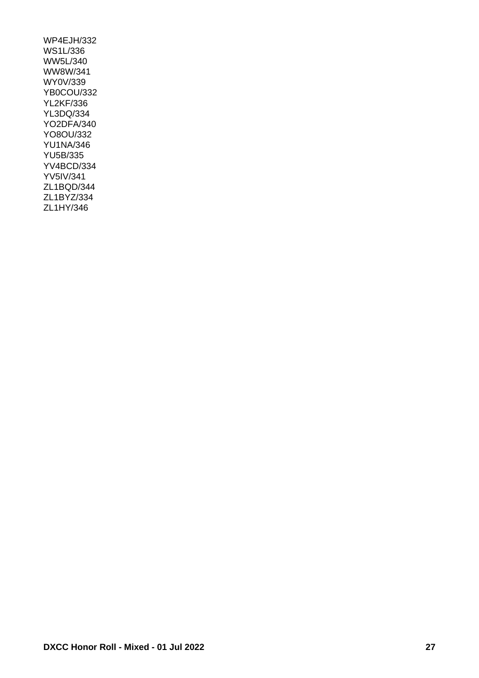WP4EJH/332 WS1L/336 WW5L/340 WW8W/341 WY0V/339 YB0COU/332 YL2KF/336 YL3DQ/334 YO2DFA/340 YO8OU/332 YU1NA/346 YU5B/335 YV4BCD/334 YV5IV/341 ZL1BQD/344 ZL1BYZ/334 ZL1HY/346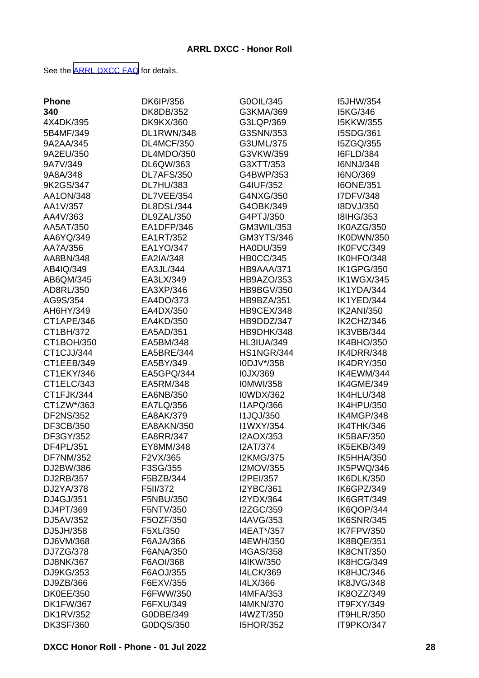See the [ARRL DXCC FAQ](http://www.arrl.org/dxcc-faq/) for details.

| <b>Phone</b>           | <b>DK6IP/356</b>        | G0OIL/345                     | <b>I5JHW/354</b>         |
|------------------------|-------------------------|-------------------------------|--------------------------|
| 340                    | DK8DB/352               | G3KMA/369                     | I5KG/346                 |
| 4X4DK/395              | <b>DK9KX/360</b>        | G3LQP/369                     | <b>I5KKW/355</b>         |
| 5B4MF/349              | DL1RWN/348              | G3SNN/353                     | I5SDG/361                |
| 9A2AA/345              | <b>DL4MCF/350</b>       | G3UML/375                     | I5ZGQ/355                |
| 9A2EU/350              | DL4MDO/350              | G3VKW/359                     | <b>I6FLD/384</b>         |
| 9A7V/349               | DL6QW/363               | G3XTT/353                     | I6NNJ/348                |
| 9A8A/348               | DL7AFS/350              | G4BWP/353                     | I6NO/369                 |
| 9K2GS/347              | <b>DL7HU/383</b>        | G4IUF/352                     | <b>I6ONE/351</b>         |
| AA1ON/348              | DL7VEE/354              | G4NXG/350                     | I7DFV/348                |
| AA1V/357               | DL8DSL/344              | G4OBK/349                     | I8DVJ/350                |
| AA4V/363               | DL9ZAL/350              | G4PTJ/350                     | <b>I8IHG/353</b>         |
| AA5AT/350              | EA1DFP/346              | GM3WIL/353                    | IK0AZG/350               |
| AA6YQ/349              | EA1RT/352               | GM3YTS/346                    | IK0DWN/350               |
| AA7A/356               | EA1YO/347               | HA0DU/359                     | IK0FVC/349               |
| AA8BN/348              | EA2IA/348               | <b>HB0CC/345</b>              | IK0HFO/348               |
| AB4IQ/349              | EA3JL/344               | HB9AAA/371                    | <b>IK1GPG/350</b>        |
| AB6QM/345              | EA3LX/349               | HB9AZO/353                    | IK1WGX/345               |
| AD8RL/350              | EA3XP/346               | <b>HB9BGV/350</b>             | IK1YDA/344               |
| AG9S/354               | EA4DO/373               | HB9BZA/351                    | IK1YED/344               |
| AH6HY/349              | EA4DX/350               | HB9CEX/348                    | <b>IK2ANI/350</b>        |
| CT1APE/346             | EA4KD/350               | HB9DDZ/347                    | IK2CHZ/346               |
| CT1BH/372              | EA5AD/351               | HB9DHK/348                    | IK3VBB/344               |
| CT1BOH/350             | EA5BM/348               | <b>HL3IUA/349</b>             | IK4BHO/350               |
| CT1CJJ/344             | EA5BRE/344              | <b>HS1NGR/344</b>             | IK4DRR/348               |
| CT1EEB/349             | EA5BY/349               | I0DJV*/358                    | IK4DRY/350               |
| CT1EKY/346             | EA5GPQ/344              | I0JX/369                      | IK4EWM/344               |
| CT1ELC/343             | EA5RM/348               | <b>IOMWI/358</b>              | IK4GME/349               |
| CT1FJK/344             | EA6NB/350               | <b>I0WDX/362</b>              | IK4HLU/348               |
| CT1ZW*/363             | EA7LQ/356               | <b>I1APQ/366</b>              | IK4HPU/350               |
| <b>DF2NS/352</b>       | EA8AK/379               | <b>I1JQJ/350</b>              | IK4MGP/348               |
|                        |                         |                               | IK4THK/346               |
| DF3CB/350<br>DF3GY/352 | EA8AKN/350<br>EA8RR/347 | I1WXY/354<br>I2AOX/353        | <b>IK5BAF/350</b>        |
| DF4PL/351              | EY8MM/348               | <b>I2AT/374</b>               | IK5EKB/349               |
| <b>DF7NM/352</b>       | F2VX/365                |                               |                          |
|                        |                         | <b>I2KMG/375</b>              | IK5HHA/350<br>IK5PWQ/346 |
| DJ2BW/386              | F3SG/355                | I2MOV/355                     |                          |
| DJ2RB/357<br>DJ2YA/378 | F5BZB/344<br>F5II/372   | I2PEI/357<br><b>I2YBC/361</b> | IK6DLK/350<br>IK6GPZ/349 |
|                        |                         |                               |                          |
| DJ4GJ/351              | F5NBU/350               | <b>I2YDX/364</b>              | IK6GRT/349               |
| DJ4PT/369              | F5NTV/350               | <b>I2ZGC/359</b>              | IK6QOP/344               |
| DJ5AV/352              | F5OZF/350               | <b>I4AVG/353</b>              | <b>IK6SNR/345</b>        |
| DJ5JH/358              | F5XL/350                | I4EAT*/357                    | <b>IK7FPV/350</b>        |
| DJ6VM/368              | F6AJA/366               | I4EWH/350                     | IK8BQE/351               |
| DJ7ZG/378              | F6ANA/350               | <b>I4GAS/358</b>              | <b>IK8CNT/350</b>        |
| DJ8NK/367              | F6AOI/368               | I4IKW/350                     | IK8HCG/349               |
| DJ9KG/353              | F6AOJ/355               | <b>I4LCK/369</b>              | IK8HJC/346               |
| DJ9ZB/366              | F6EXV/355               | I4LX/366                      | IK8JVG/348               |
| <b>DK0EE/350</b>       | F6FWW/350               | <b>I4MFA/353</b>              | IK8OZZ/349               |
| <b>DK1FW/367</b>       | F6FXU/349               | <b>I4MKN/370</b>              | IT9FXY/349               |
| <b>DK1RV/352</b>       | G0DBE/349               | I4WZT/350                     | IT9HLR/350               |
| <b>DK3SF/360</b>       | G0DQS/350               | <b>I5HOR/352</b>              | IT9PKO/347               |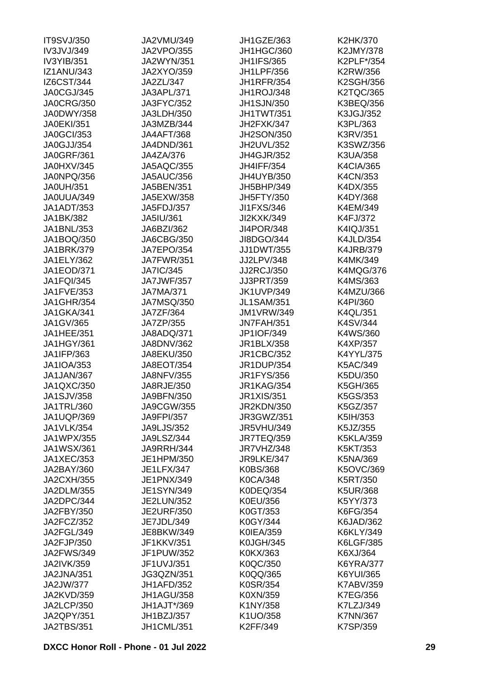| <b>IT9SVJ/350</b> | JA2VMU/349        | <b>JH1GZE/363</b> | K2HK/370         |
|-------------------|-------------------|-------------------|------------------|
| IV3JVJ/349        | <b>JA2VPO/355</b> | JH1HGC/360        | K2JMY/378        |
| IV3YIB/351        | <b>JA2WYN/351</b> | <b>JH1IFS/365</b> | K2PLF*/354       |
| <b>IZ1ANU/343</b> | <b>JA2XYO/359</b> | <b>JH1LPF/356</b> | K2RW/356         |
| IZ6CST/344        | JA2ZL/347         | <b>JH1RFR/354</b> | <b>K2SGH/356</b> |
| JA0CGJ/345        | JA3APL/371        | JH1ROJ/348        | <b>K2TQC/365</b> |
| <b>JA0CRG/350</b> | JA3FYC/352        | <b>JH1SJN/350</b> | K3BEQ/356        |
| JA0DWY/358        | JA3LDH/350        | JH1TWT/351        | K3JGJ/352        |
| <b>JA0EKI/351</b> | JA3MZB/344        | JH2FXK/347        | K3PL/363         |
| <b>JA0GCI/353</b> | <b>JA4AFT/368</b> | <b>JH2SON/350</b> | K3RV/351         |
| JA0GJJ/354        | JA4DND/361        | JH2UVL/352        | K3SWZ/356        |
| <b>JA0GRF/361</b> | JA4ZA/376         | <b>JH4GJR/352</b> | K3UA/358         |
| JA0HXV/345        | <b>JA5AQC/355</b> | <b>JH4IFF/354</b> | <b>K4CIA/365</b> |
| JA0NPQ/356        | <b>JA5AUC/356</b> | <b>JH4UYB/350</b> | K4CN/353         |
| <b>JA0UH/351</b>  | JA5BEN/351        | JH5BHP/349        | K4DX/355         |
| JA0UUA/349        | JA5EXW/358        | JH5FTY/350        | K4DY/368         |
| JA1ADT/353        | JA5FDJ/357        | JI1FXS/346        | K4EM/349         |
| JA1BK/382         | JA5IU/361         | JI2KXK/349        | K4FJ/372         |
| JA1BNL/353        | JA6BZI/362        | <b>JI4POR/348</b> | K4IQJ/351        |
| JA1BOQ/350        | JA6CBG/350        | JI8DGO/344        | <b>K4JLD/354</b> |
| <b>JA1BRK/379</b> | <b>JA7EPO/354</b> | <b>JJ1DWT/355</b> | <b>K4JRB/379</b> |
|                   | <b>JA7FWR/351</b> | JJ2LPV/348        | K4MK/349         |
| JA1ELY/362        |                   |                   |                  |
| JA1EOD/371        | <b>JA7IC/345</b>  | <b>JJ2RCJ/350</b> | <b>K4MQG/376</b> |
| <b>JA1FQI/345</b> | <b>JA7JWF/357</b> | JJ3PRT/359        | K4MS/363         |
| JA1FVE/353        | <b>JA7MA/371</b>  | <b>JK1UVP/349</b> | K4MZU/366        |
| <b>JA1GHR/354</b> | <b>JA7MSQ/350</b> | <b>JL1SAM/351</b> | K4PI/360         |
| JA1GKA/341        | JA7ZF/364         | <b>JM1VRW/349</b> | K4QL/351         |
| JA1GV/365         | JA7ZP/355         | <b>JN7FAH/351</b> | K4SV/344         |
| JA1HEE/351        | JA8ADQ/371        | JP1IOF/349        | K4WS/360         |
| JA1HGY/361        | <b>JA8DNV/362</b> | JR1BLX/358        | K4XP/357         |
| JA1IFP/363        | JA8EKU/350        | <b>JR1CBC/352</b> | K4YYL/375        |
| JA1IOA/353        | <b>JA8EOT/354</b> | <b>JR1DUP/354</b> | K5AC/349         |
| JA1JAN/367        | <b>JA8NFV/355</b> | <b>JR1FYS/356</b> | K5DU/350         |
| <b>JA1QXC/350</b> | JA8RJE/350        | <b>JR1KAG/354</b> | K5GH/365         |
| JA1SJV/358        | JA9BFN/350        | JR1XIS/351        | K5GS/353         |
| JA1TRL/360        | JA9CGW/355        | <b>JR2KDN/350</b> | K5GZ/357         |
| JA1UQP/369        | <b>JA9FPI/357</b> | JR3GWZ/351        | K5IH/353         |
| <b>JA1VLK/354</b> | <b>JA9LJS/352</b> | <b>JR5VHU/349</b> | K5JZ/355         |
| <b>JA1WPX/355</b> | JA9LSZ/344        | <b>JR7TEQ/359</b> | <b>K5KLA/359</b> |
| <b>JA1WSX/361</b> | <b>JA9RRH/344</b> | JR7VHZ/348        | K5KT/353         |
| JA1XEC/353        | JE1HPM/350        | JR9LKE/347        | K5NA/369         |
| JA2BAY/360        | <b>JE1LFX/347</b> | K0BS/368          | K5OVC/369        |
| <b>JA2CXH/355</b> | JE1PNX/349        | <b>K0CA/348</b>   | K5RT/350         |
| JA2DLM/355        | <b>JE1SYN/349</b> | K0DEQ/354         | <b>K5UR/368</b>  |
| JA2DPC/344        | <b>JE2LUN/352</b> | K0EU/356          | K5YY/373         |
| JA2FBY/350        | <b>JE2URF/350</b> | K0GT/353          | K6FG/354         |
| JA2FCZ/352        | JE7JDL/349        | K0GY/344          | K6JAD/362        |
| JA2FGL/349        | JE8BKW/349        | <b>K0IEA/359</b>  | K6KLY/349        |
| JA2FJP/350        | JF1KKV/351        | <b>K0JGH/345</b>  | K6LGF/385        |
| <b>JA2FWS/349</b> | JF1PUW/352        | K0KX/363          | K6XJ/364         |
| JA2IVK/359        | JF1UVJ/351        | K0QC/350          | <b>K6YRA/377</b> |
| JA2JNA/351        | JG3QZN/351        | K0QQ/365          | K6YUI/365        |
| JA2JW/377         | JH1AFD/352        | K0SR/354          | <b>K7ABV/359</b> |
| JA2KVD/359        | <b>JH1AGU/358</b> | K0XN/359          | K7EG/356         |
| <b>JA2LCP/350</b> | JH1AJT*/369       | K1NY/358          | K7LZJ/349        |
| JA2QPY/351        | JH1BZJ/357        | K1UO/358          | K7NN/367         |
| <b>JA2TBS/351</b> | JH1CML/351        | K2FF/349          | K7SP/359         |
|                   |                   |                   |                  |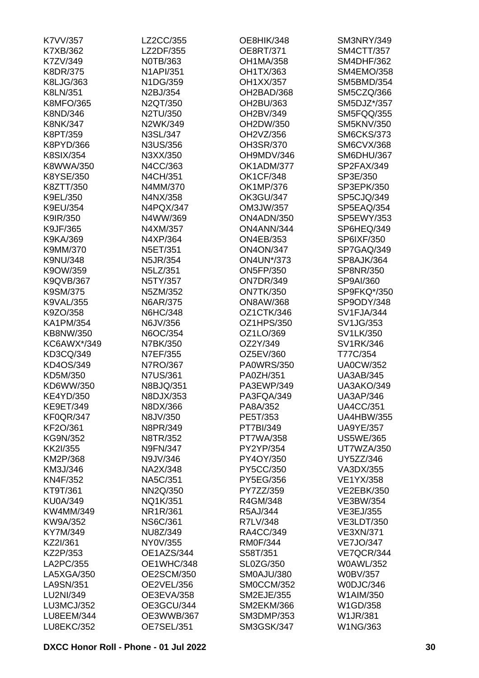| K7VV/357          | LZ2CC/355         | OE8HIK/348        | SM3NRY/349        |
|-------------------|-------------------|-------------------|-------------------|
| K7XB/362          | LZ2DF/355         | OE8RT/371         | SM4CTT/357        |
| K7ZV/349          | NOTB/363          | <b>OH1MA/358</b>  | <b>SM4DHF/362</b> |
| <b>K8DR/375</b>   | <b>N1API/351</b>  | OH1TX/363         | <b>SM4EMO/358</b> |
| K8LJG/363         | N1DG/359          | OH1XX/357         | SM5BMD/354        |
| K8LN/351          | N2BJ/354          | OH2BAD/368        | SM5CZQ/366        |
| <b>K8MFO/365</b>  | N2QT/350          | OH2BU/363         | SM5DJZ*/357       |
| K8ND/346          | N2TU/350          | OH2BV/349         | SM5FQQ/355        |
| <b>K8NK/347</b>   | N2WK/349          | OH2DW/350         | <b>SM5KNV/350</b> |
| K8PT/359          | N3SL/347          | OH2VZ/356         | <b>SM6CKS/373</b> |
| K8PYD/366         | N3US/356          | OH3SR/370         | <b>SM6CVX/368</b> |
| <b>K8SIX/354</b>  | N3XX/350          | OH9MDV/346        | SM6DHU/367        |
| K8WWA/350         | N4CC/363          | OK1ADM/377        | SP2FAX/349        |
| K8YSE/350         | N4CH/351          | <b>OK1CF/348</b>  | SP3E/350          |
|                   |                   |                   |                   |
| K8ZTT/350         | N4MM/370          | OK1MP/376         | SP3EPK/350        |
| K9EL/350          | N4NX/358          | <b>OK3GU/347</b>  | SP5CJQ/349        |
| K9EU/354          | N4PQX/347         | OM3JW/357         | SP5EAQ/354        |
| K9IR/350          | N4WW/369          | ON4ADN/350        | <b>SP5EWY/353</b> |
| K9JF/365          | N4XM/357          | ON4ANN/344        | SP6HEQ/349        |
| K9KA/369          | N4XP/364          | <b>ON4EB/353</b>  | SP6IXF/350        |
| K9MM/370          | N5ET/351          | <b>ON4ON/347</b>  | SP7GAQ/349        |
| K9NU/348          | <b>N5JR/354</b>   | <b>ON4UN*/373</b> | SP8AJK/364        |
| K9OW/359          | N5LZ/351          | <b>ON5FP/350</b>  | SP8NR/350         |
| <b>K9QVB/367</b>  | N5TY/357          | <b>ON7DR/349</b>  | SP9AI/360         |
| K9SM/375          | N5ZM/352          | <b>ON7TK/350</b>  | SP9FKQ*/350       |
| <b>K9VAL/355</b>  | <b>N6AR/375</b>   | <b>ON8AW/368</b>  | SP9ODY/348        |
| K9ZO/358          | <b>N6HC/348</b>   | OZ1CTK/346        | SV1FJA/344        |
| <b>KA1PM/354</b>  | N6JV/356          | OZ1HPS/350        | SV1JG/353         |
| KB8NW/350         | N6OC/354          | OZ1LO/369         | SV1LK/350         |
| KC6AWX*/349       | N7BK/350          | OZ2Y/349          | SV1RK/346         |
| KD3CQ/349         | N7EF/355          | OZ5EV/360         | T77C/354          |
| KD4OS/349         | N7RO/367          | <b>PA0WRS/350</b> | <b>UA0CW/352</b>  |
| KD5M/350          | <b>N7US/361</b>   | PA0ZH/351         | <b>UA3AB/345</b>  |
| KD6WW/350         | N8BJQ/351         | PA3EWP/349        | <b>UA3AKO/349</b> |
| <b>KE4YD/350</b>  | N8DJX/353         | PA3FQA/349        | <b>UA3AP/346</b>  |
| <b>KE9ET/349</b>  | N8DX/366          | PA8A/352          | <b>UA4CC/351</b>  |
| <b>KF0QR/347</b>  | N8JV/350          | PE5T/353          | <b>UA4HBW/355</b> |
| KF2O/361          | N8PR/349          | PT7BI/349         | <b>UA9YE/357</b>  |
| KG9N/352          | N8TR/352          | <b>PT7WA/358</b>  | <b>US5WE/365</b>  |
| KK2I/355          | <b>N9FN/347</b>   | PY2YP/354         | UT7WZA/350        |
|                   |                   |                   |                   |
| KM2P/368          | N9JV/346          | PY4OY/350         | UY5ZZ/346         |
| KM3J/346          | NA2X/348          | PY5CC/350         | VA3DX/355         |
| KN4F/352          | NA5C/351          | PY5EG/356         | <b>VE1YX/358</b>  |
| KT9T/361          | NN2Q/350          | PY7ZZ/359         | <b>VE2EBK/350</b> |
| <b>KU0A/349</b>   | NQ1K/351          | R4GM/348          | <b>VE3BW/354</b>  |
| KW4MM/349         | NR1R/361          | R5AJ/344          | VE3EJ/355         |
| KW9A/352          | <b>NS6C/361</b>   | R7LV/348          | <b>VE3LDT/350</b> |
| KY7M/349          | NU8Z/349          | RA4CC/349         | <b>VE3XN/371</b>  |
| KZ2I/361          | NY0V/355          | <b>RM0F/344</b>   | <b>VE7JO/347</b>  |
| KZ2P/353          | OE1AZS/344        | S58T/351          | VE7QCR/344        |
| LA2PC/355         | OE1WHC/348        | SL0ZG/350         | <b>W0AWL/352</b>  |
| LA5XGA/350        | <b>OE2SCM/350</b> | SM0AJU/380        | <b>W0BV/357</b>   |
| LA9SN/351         | OE2VEL/356        | SM0CCM/352        | W0DJC/346         |
| LU2NI/349         | OE3EVA/358        | <b>SM2EJE/355</b> | W1AIM/350         |
| LU3MCJ/352        | OE3GCU/344        | <b>SM2EKM/366</b> | W1GD/358          |
| LU8EEM/344        | OE3WWB/367        | <b>SM3DMP/353</b> | W1JR/381          |
| <b>LU8EKC/352</b> | OE7SEL/351        | <b>SM3GSK/347</b> | W1NG/363          |
|                   |                   |                   |                   |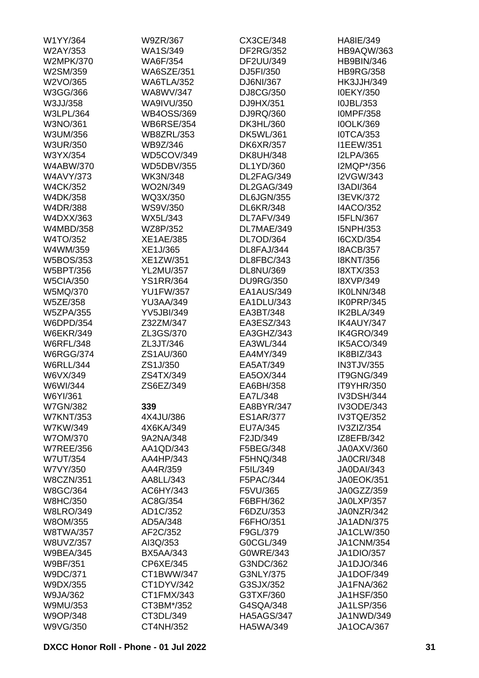| W1YY/364         | W9ZR/367          | CX3CE/348         | HA8IE/349         |
|------------------|-------------------|-------------------|-------------------|
| W2AY/353         | WA1S/349          | <b>DF2RG/352</b>  | HB9AQW/363        |
| <b>W2MPK/370</b> | <b>WA6F/354</b>   | DF2UU/349         | HB9BIN/346        |
| W2SM/359         | <b>WA6SZE/351</b> | DJ5FI/350         | <b>HB9RG/358</b>  |
| W2VO/365         | <b>WA6TLA/352</b> | DJ6NI/367         | <b>HK3JJH/349</b> |
| W3GG/366         | WA8WV/347         | DJ8CG/350         | <b>I0EKY/350</b>  |
| W3JJ/358         | WA9IVU/350        | DJ9HX/351         | I0JBL/353         |
| <b>W3LPL/364</b> | <b>WB4OSS/369</b> | DJ9RQ/360         | <b>IOMPF/358</b>  |
| W3NO/361         | <b>WB6RSE/354</b> | DK3HL/360         | <b>IOOLK/369</b>  |
| W3UM/356         | <b>WB8ZRL/353</b> | DK5WL/361         | <b>IOTCA/353</b>  |
| <b>W3UR/350</b>  | WB9Z/346          | <b>DK6XR/357</b>  | <b>I1EEW/351</b>  |
| W3YX/354         | WD5COV/349        | <b>DK8UH/348</b>  | <b>I2LPA/365</b>  |
| <b>W4ABW/370</b> | <b>WD5DBV/355</b> | DL1YD/360         | I2MQP*/356        |
| <b>W4AVY/373</b> | <b>WK3N/348</b>   | DL2FAG/349        | <b>I2VGW/343</b>  |
| <b>W4CK/352</b>  | WO2N/349          | DL2GAG/349        | I3ADI/364         |
| W4DK/358         | WQ3X/350          | DL6JGN/355        | <b>I3EVK/372</b>  |
| W4DR/388         | WS9V/350          | <b>DL6KR/348</b>  | <b>I4ACO/352</b>  |
|                  |                   |                   | <b>I5FLN/367</b>  |
| W4DXX/363        | WX5L/343          | DL7AFV/349        |                   |
| W4MBD/358        | WZ8P/352          | DL7MAE/349        | I5NPH/353         |
| W4TO/352         | <b>XE1AE/385</b>  | DL7OD/364         | I6CXD/354         |
| W4WM/359         | XE1J/365          | DL8FAJ/344        | <b>I8ACB/357</b>  |
| W5BOS/353        | XE1ZW/351         | DL8FBC/343        | <b>I8KNT/356</b>  |
| W5BPT/356        | <b>YL2MU/357</b>  | DL8NU/369         | <b>I8XTX/353</b>  |
| <b>W5CIA/350</b> | <b>YS1RR/364</b>  | <b>DU9RG/350</b>  | <b>I8XVP/349</b>  |
| W5MQ/370         | <b>YU1FW/357</b>  | EA1AUS/349        | IK0LNN/348        |
| <b>W5ZE/358</b>  | <b>YU3AA/349</b>  | EA1DLU/343        | IK0PRP/345        |
| <b>W5ZPA/355</b> | <b>YV5JBI/349</b> | EA3BT/348         | IK2BLA/349        |
| W6DPD/354        | Z32ZM/347         | EA3ESZ/343        | IK4AUY/347        |
| <b>W6EKR/349</b> | ZL3GS/370         | EA3GHZ/343        | IK4GRO/349        |
| <b>W6RFL/348</b> | ZL3JT/346         | EA3WL/344         | IK5ACO/349        |
| <b>W6RGG/374</b> | ZS1AU/360         | EA4MY/349         | IK8BIZ/343        |
| <b>W6RLL/344</b> | ZS1J/350          | EA5AT/349         | <b>IN3TJV/355</b> |
| W6VX/349         | ZS4TX/349         | EA5OX/344         | IT9GNG/349        |
| W6WI/344         | ZS6EZ/349         | EA6BH/358         | <b>IT9YHR/350</b> |
| W6YI/361         |                   | FA71 /348         | <b>IV3DSH/344</b> |
| <b>W7GN/382</b>  | 339               | EA8BYR/347        | <b>IV3ODE/343</b> |
| <b>W7KNT/353</b> | 4X4JU/386         | <b>ES1AR/377</b>  | IV3TQE/352        |
| W7KW/349         | 4X6KA/349         | EU7A/345          | IV3ZIZ/354        |
| W7OM/370         | 9A2NA/348         | F2JD/349          | IZ8EFB/342        |
| <b>W7REE/356</b> | AA1QD/343         | F5BEG/348         | JA0AXV/360        |
| <b>W7UT/354</b>  | AA4HP/343         | F5HNQ/348         | <b>JA0CRI/348</b> |
| W7VY/350         | AA4R/359          | F5IL/349          | <b>JA0DAI/343</b> |
| <b>W8CZN/351</b> | AA8LL/343         | F5PAC/344         | <b>JA0EOK/351</b> |
| W8GC/364         | AC6HY/343         | F5VU/365          | JA0GZZ/359        |
| <b>W8HC/350</b>  | AC8G/354          | F6BFH/362         | JA0LXP/357        |
| <b>W8LRO/349</b> | AD1C/352          | F6DZU/353         | JA0NZR/342        |
| W8OM/355         | AD5A/348          | F6FHO/351         | <b>JA1ADN/375</b> |
|                  |                   |                   |                   |
| <b>W8TWA/357</b> | AF2C/352          | F9GL/379          | JA1CLW/350        |
| W8UVZ/357        | AI3Q/353          | G0CGL/349         | <b>JA1CNM/354</b> |
| <b>W9BEA/345</b> | <b>BX5AA/343</b>  | G0WRE/343         | JA1DIO/357        |
| W9BF/351         | CP6XE/345         | G3NDC/362         | JA1DJO/346        |
| W9DC/371         | CT1BWW/347        | G3NLY/375         | <b>JA1DOF/349</b> |
| W9DX/355         | CT1DYV/342        | G3SJX/352         | JA1FNA/362        |
| W9JA/362         | CT1FMX/343        | G3TXF/360         | <b>JA1HSF/350</b> |
| W9MU/353         | CT3BM*/352        | G4SQA/348         | <b>JA1LSP/356</b> |
| W9OP/348         | CT3DL/349         | <b>HA5AGS/347</b> | JA1NWD/349        |
| W9VG/350         | CT4NH/352         | HA5WA/349         | <b>JA1OCA/367</b> |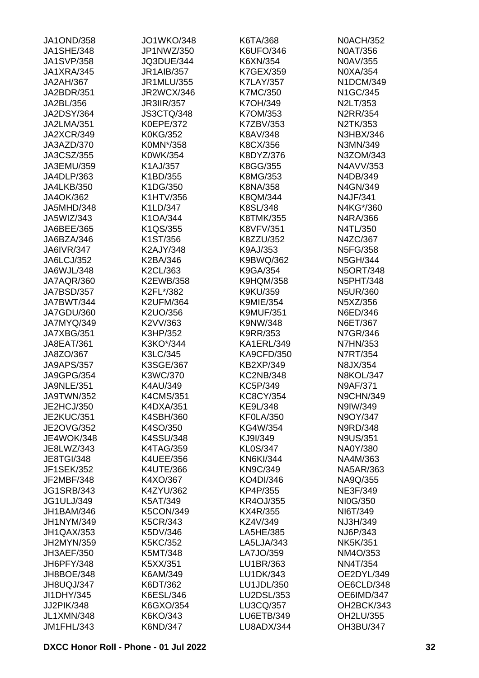| <b>JA1OND/358</b> | <b>JO1WKO/348</b> | K6TA/368          | <b>N0ACH/352</b> |
|-------------------|-------------------|-------------------|------------------|
| <b>JA1SHE/348</b> | JP1NWZ/350        | K6UFO/346         | <b>N0AT/356</b>  |
| <b>JA1SVP/358</b> | JQ3DUE/344        | K6XN/354          | N0AV/355         |
| JA1XRA/345        | <b>JR1AIB/357</b> | K7GEX/359         | N0XA/354         |
| <b>JA2AH/367</b>  | JR1MLU/355        | <b>K7LAY/357</b>  | N1DCM/349        |
| JA2BDR/351        | <b>JR2WCX/346</b> | <b>K7MC/350</b>   | N1GC/345         |
| JA2BL/356         | <b>JR3IIR/357</b> | K7OH/349          | N2LT/353         |
| <b>JA2DSY/364</b> | <b>JS3CTQ/348</b> | K7OM/353          | <b>N2RR/354</b>  |
| JA2LMA/351        | <b>K0EPE/372</b>  | K7ZBV/353         | N2TK/353         |
| JA2XCR/349        | <b>K0KG/352</b>   | K8AV/348          | N3HBX/346        |
| JA3AZD/370        | K0MN*/358         | K8CX/356          | N3MN/349         |
| JA3CSZ/355        | K0WK/354          | K8DYZ/376         | N3ZOM/343        |
| JA3EMU/359        | K1AJ/357          | K8GG/355          | N4AVV/353        |
| JA4DLP/363        | K1BD/355          | K8MG/353          | N4DB/349         |
| <b>JA4LKB/350</b> | K1DG/350          | K8NA/358          | N4GN/349         |
| JA4OK/362         | K1HTV/356         | K8QM/344          | N4JF/341         |
| JA5MHD/348        | K1LD/347          | K8SL/348          | N4KG*/360        |
| JA5WIZ/343        | K1OA/344          | <b>K8TMK/355</b>  | N4RA/366         |
| JA6BEE/365        | K1QS/355          | <b>K8VFV/351</b>  | N4TL/350         |
| JA6BZA/346        |                   | K8ZZU/352         |                  |
|                   | K1ST/356          |                   | N4ZC/367         |
| <b>JA6IVR/347</b> | K2AJY/348         | K9AJ/353          | N5FG/358         |
| JA6LCJ/352        | K2BA/346          | K9BWQ/362         | N5GH/344         |
| JA6WJL/348        | K2CL/363          | K9GA/354          | <b>N5ORT/348</b> |
| JA7AQR/360        | K2EWB/358         | <b>K9HQM/358</b>  | <b>N5PHT/348</b> |
| JA7BSD/357        | K2FL*/382         | K9KU/359          | <b>N5UR/360</b>  |
| JA7BWT/344        | <b>K2UFM/364</b>  | <b>K9MIE/354</b>  | N5XZ/356         |
| JA7GDU/360        | K2UO/356          | <b>K9MUF/351</b>  | N6ED/346         |
| JA7MYQ/349        | K2VV/363          | K9NW/348          | N6ET/367         |
| JA7XBG/351        | K3HP/352          | K9RR/353          | N7GR/346         |
| JA8EAT/361        | K3KO*/344         | KA1ERL/349        | <b>N7HN/353</b>  |
| JA8ZO/367         | K3LC/345          | <b>KA9CFD/350</b> | N7RT/354         |
| <b>JA9APS/357</b> | K3SGE/367         | <b>KB2XP/349</b>  | N8JX/354         |
| <b>JA9GPG/354</b> | K3WC/370          | <b>KC2NB/348</b>  | <b>N8KOL/347</b> |
| <b>JA9NLE/351</b> | K4AU/349          | KC5P/349          | <b>N9AF/371</b>  |
| JA9TWN/352        | <b>K4CMS/351</b>  | KC8CY/354         | <b>N9CHN/349</b> |
| JE2HCJ/350        | K4DXA/351         | KE9L/348          | N9IW/349         |
| <b>JE2KUC/351</b> | K4SBH/360         | <b>KF0LA/350</b>  | N9OY/347         |
| <b>JE2OVG/352</b> | K4SO/350          | KG4W/354          | N9RD/348         |
| <b>JE4WOK/348</b> | K4SSU/348         | KJ9I/349          | <b>N9US/351</b>  |
| JE8LWZ/343        | <b>K4TAG/359</b>  | <b>KL0S/347</b>   | NA0Y/380         |
| <b>JE8TGI/348</b> | <b>K4UEE/356</b>  | <b>KN6KI/344</b>  | NA4M/363         |
| <b>JF1SEK/352</b> | K4UTE/366         | <b>KN9C/349</b>   | <b>NA5AR/363</b> |
| JF2MBF/348        | K4XO/367          | KO4DI/346         | NA9Q/355         |
| <b>JG1SRB/343</b> | K4ZYU/362         | KP4P/355          | <b>NE3F/349</b>  |
| <b>JG1ULJ/349</b> | K5AT/349          | <b>KR4OJ/355</b>  | NI0G/350         |
| <b>JH1BAM/346</b> | <b>K5CON/349</b>  | KX4R/355          | NI6T/349         |
| JH1NYM/349        | <b>K5CR/343</b>   | KZ4V/349          | NJ3H/349         |
| JH1QAX/353        | K5DV/346          | LA5HE/385         | NJ6P/343         |
| JH2MYN/359        | <b>K5KC/352</b>   | LA5LJA/343        | <b>NK5K/351</b>  |
| JH3AEF/350        | K5MT/348          | LA7JO/359         | NM4O/353         |
| JH6PFY/348        | K5XX/351          | LU1BR/363         | <b>NN4T/354</b>  |
| JH8BOE/348        | K6AM/349          | LU1DK/343         | OE2DYL/349       |
| JH8UQJ/347        | K6DT/362          | LU1JDL/350        | OE6CLD/348       |
| JI1DHY/345        | K6ESL/346         | LU2DSL/353        | OE6IMD/347       |
| JJ2PIK/348        | K6GXO/354         | LU3CQ/357         | OH2BCK/343       |
| <b>JL1XMN/348</b> | K6KO/343          | <b>LU6ETB/349</b> | OH2LU/355        |
| JM1FHL/343        | K6ND/347          | LU8ADX/344        | OH3BU/347        |
|                   |                   |                   |                  |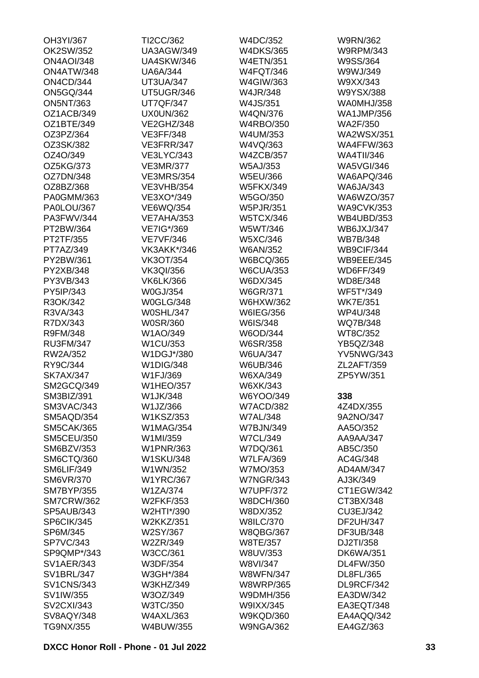| OH3YI/367         | TI2CC/362         | W4DC/352         | W9RN/362          |
|-------------------|-------------------|------------------|-------------------|
| OK2SW/352         | <b>UA3AGW/349</b> | <b>W4DKS/365</b> | <b>W9RPM/343</b>  |
| <b>ON4AOI/348</b> | <b>UA4SKW/346</b> | <b>W4ETN/351</b> | W9SS/364          |
| ON4ATW/348        | <b>UA6A/344</b>   | <b>W4FQT/346</b> | W9WJ/349          |
| <b>ON4CD/344</b>  | <b>UT3UA/347</b>  | W4GIW/363        | W9XX/343          |
| <b>ON5GQ/344</b>  | UT5UGR/346        | W4JR/348         | W9YSX/388         |
| <b>ON5NT/363</b>  | <b>UT7QF/347</b>  | W4JS/351         | WA0MHJ/358        |
| OZ1ACB/349        | <b>UX0UN/362</b>  | W4QN/376         | <b>WA1JMP/356</b> |
| OZ1BTE/349        | VE2GHZ/348        | <b>W4RBO/350</b> | <b>WA2F/350</b>   |
| OZ3PZ/364         | <b>VE3FF/348</b>  | W4UM/353         | <b>WA2WSX/351</b> |
| OZ3SK/382         | VE3FRR/347        | W4VQ/363         | <b>WA4FFW/363</b> |
| OZ4O/349          | <b>VE3LYC/343</b> | <b>W4ZCB/357</b> | <b>WA4TII/346</b> |
| OZ5KG/373         | <b>VE3MR/377</b>  | <b>W5AJ/353</b>  | <b>WA5VGI/346</b> |
| OZ7DN/348         | <b>VE3MRS/354</b> | W5EU/366         | WA6APQ/346        |
| OZ8BZ/368         | <b>VE3VHB/354</b> | <b>W5FKX/349</b> | <b>WA6JA/343</b>  |
| PA0GMM/363        | VE3XO*/349        | W5GO/350         | WA6WZO/357        |
| PA0LOU/367        | <b>VE6WQ/354</b>  | <b>W5PJR/351</b> | <b>WA9CVK/353</b> |
| PA3FWV/344        | <b>VE7AHA/353</b> | <b>W5TCX/346</b> | <b>WB4UBD/353</b> |
| PT2BW/364         | VE7IG*/369        | W5WT/346         | <b>WB6JXJ/347</b> |
| PT2TF/355         | <b>VE7VF/346</b>  | W5XC/346         | <b>WB7B/348</b>   |
| PT7AZ/349         | VK3AKK*/346       | <b>W6AN/352</b>  | WB9CIF/344        |
| PY2BW/361         | <b>VK3OT/354</b>  | <b>W6BCQ/365</b> | <b>WB9EEE/345</b> |
| PY2XB/348         | <b>VK3QI/356</b>  | <b>W6CUA/353</b> | <b>WD6FF/349</b>  |
| PY3VB/343         | <b>VK6LK/366</b>  | W6DX/345         | WD8E/348          |
| PY5IP/343         | W0GJ/354          |                  | WF5T*/349         |
|                   |                   | W6GR/371         |                   |
| R3OK/342          | <b>W0GLG/348</b>  | W6HXW/362        | <b>WK7E/351</b>   |
| R3VA/343          | <b>W0SHL/347</b>  | W6IEG/356        | <b>WP4U/348</b>   |
| R7DX/343          | <b>W0SR/360</b>   | W6IS/348         | WQ7B/348          |
| R9FM/348          | W1AO/349          | W6OD/344         | WT8C/352          |
| <b>RU3FM/347</b>  | W1CU/353          | <b>W6SR/358</b>  | YB5QZ/348         |
| RW2A/352          | W1DGJ*/380        | <b>W6UA/347</b>  | <b>YV5NWG/343</b> |
| RY9C/344          | <b>W1DIG/348</b>  | W6UB/346         | ZL2AFT/359        |
| <b>SK7AX/347</b>  | W1FJ/369          | W6XA/349         | ZP5YW/351         |
| SM2GCQ/349        | <b>W1HEO/357</b>  | W6XK/343         |                   |
| SM3BIZ/391        | W1JK/348          | W6YOO/349        | 338               |
| SM3VAC/343        | W1JZ/366          | <b>W7ACD/382</b> | 4Z4DX/355         |
| SM5AQD/354        | W1KSZ/353         | <b>W7AL/348</b>  | 9A2NO/347         |
| <b>SM5CAK/365</b> | <b>W1MAG/354</b>  | <b>W7BJN/349</b> | AA5O/352          |
| <b>SM5CEU/350</b> | W1MI/359          | <b>W7CL/349</b>  | AA9AA/347         |
| SM6BZV/353        | <b>W1PNR/363</b>  | W7DQ/361         | AB5C/350          |
| SM6CTQ/360        | <b>W1SKU/348</b>  | <b>W7LFA/369</b> | AC4G/348          |
| SM6LIF/349        | W1WN/352          | W7MO/353         | AD4AM/347         |
| <b>SM6VR/370</b>  | <b>W1YRC/367</b>  | <b>W7NGR/343</b> | AJ3K/349          |
| <b>SM7BYP/355</b> | W1ZA/374          | <b>W7UPF/372</b> | CT1EGW/342        |
| <b>SM7CRW/362</b> | <b>W2FKF/353</b>  | <b>W8DCH/360</b> | CT3BX/348         |
| SP5AUB/343        | W2HTI*/390        | W8DX/352         | CU3EJ/342         |
| SP6CIK/345        | <b>W2KKZ/351</b>  | <b>W8ILC/370</b> | <b>DF2UH/347</b>  |
| SP6M/345          | W2SY/367          | <b>W8QBG/367</b> | DF3UB/348         |
| <b>SP7VC/343</b>  | W2ZR/349          | W8TE/357         | DJ2TI/358         |
| SP9QMP*/343       | W3CC/361          | W8UV/353         | <b>DK6WA/351</b>  |
| <b>SV1AER/343</b> | W3DF/354          | W8VI/347         | DL4FW/350         |
| <b>SV1BRL/347</b> | W3GH*/384         | <b>W8WFN/347</b> | DL8FL/365         |
| <b>SV1CNS/343</b> | W3KHZ/349         | <b>W8WRP/365</b> | DL9RCF/342        |
| SV1IW/355         | W3OZ/349          | W9DMH/356        | EA3DW/342         |
| <b>SV2CXI/343</b> | W3TC/350          | W9IXX/345        | EA3EQT/348        |
| SV8AQY/348        | <b>W4AXL/363</b>  | <b>W9KQD/360</b> | EA4AQQ/342        |
| TG9NX/355         | W4BUW/355         | <b>W9NGA/362</b> | EA4GZ/363         |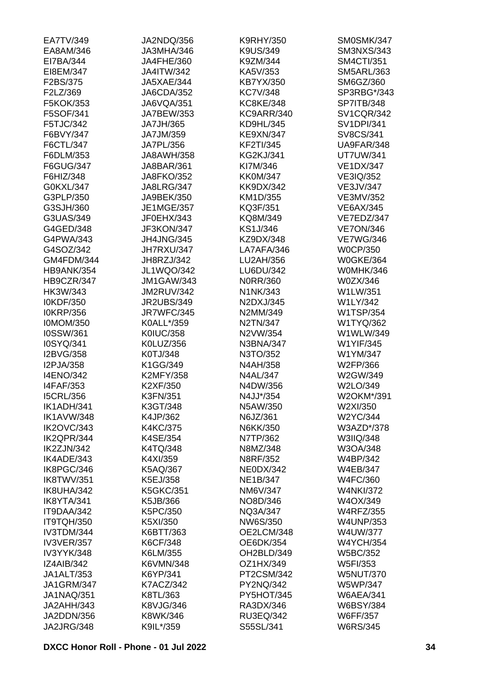| EA7TV/349         | JA2NDQ/356        | <b>K9RHY/350</b>        | SM0SMK/347        |
|-------------------|-------------------|-------------------------|-------------------|
| EA8AM/346         | JA3MHA/346        | K9US/349                | <b>SM3NXS/343</b> |
| EI7BA/344         | JA4FHE/360        | K9ZM/344                | <b>SM4CTI/351</b> |
| EI8EM/347         | <b>JA4ITW/342</b> | KA5V/353                | <b>SM5ARL/363</b> |
| F2BS/375          | JA5XAE/344        | KB7YX/350               | SM6GZ/360         |
| F2LZ/369          | JA6CDA/352        | <b>KC7V/348</b>         | SP3RBG*/343       |
| F5KOK/353         | JA6VQA/351        | <b>KC8KE/348</b>        | <b>SP7ITB/348</b> |
| F5SOF/341         | JA7BEW/353        | KC9ARR/340              | <b>SV1CQR/342</b> |
| F5TJC/342         | JA7JH/365         | KD9HL/345               | <b>SV1DPI/341</b> |
| F6BVY/347         | JA7JM/359         | <b>KE9XN/347</b>        | SV8CS/341         |
| F6CTL/347         | JA7PL/356         | <b>KF2TI/345</b>        | UA9FAR/348        |
| F6DLM/353         | <b>JA8AWH/358</b> | <b>KG2KJ/341</b>        | <b>UT7UW/341</b>  |
| F6GUG/347         | JA8BAR/361        | KI7M/346                | <b>VE1DX/347</b>  |
| F6HIZ/348         | <b>JA8FKO/352</b> | <b>KK0M/347</b>         | VE3IQ/352         |
| G0KXL/347         | <b>JA8LRG/347</b> | <b>KK9DX/342</b>        | <b>VE3JV/347</b>  |
| G3PLP/350         | JA9BEK/350        | KM1D/355                | VE3MV/352         |
| G3SJH/360         | <b>JE1MGE/357</b> | KQ3F/351                | <b>VE6AX/345</b>  |
| G3UAS/349         | JF0EHX/343        | KQ8M/349                | VE7EDZ/347        |
| G4GED/348         | JF3KON/347        | KS1J/346                | <b>VE7ON/346</b>  |
| G4PWA/343         | <b>JH4JNG/345</b> |                         |                   |
|                   |                   | KZ9DX/348<br>LA7AFA/346 | <b>VE7WG/346</b>  |
| G4SOZ/342         | JH7RXU/347        |                         | <b>W0CP/350</b>   |
| GM4FDM/344        | JH8RZJ/342        | LU2AH/356               | <b>W0GKE/364</b>  |
| HB9ANK/354        | <b>JL1WQO/342</b> | LU6DU/342               | W0MHK/346         |
| HB9CZR/347        | <b>JM1GAW/343</b> | N0RR/360                | W0ZX/346          |
| HK3W/343          | <b>JM2RUV/342</b> | N1NK/343                | W1LW/351          |
| I0KDF/350         | <b>JR2UBS/349</b> | N2DXJ/345               | W1LY/342          |
| <b>I0KRP/356</b>  | JR7WFC/345        | N2MM/349                | <b>W1TSP/354</b>  |
| <b>I0MOM/350</b>  | K0ALL*/359        | N2TN/347                | W1TYQ/362         |
| I0SSW/361         | <b>K0IUC/358</b>  | N2VW/354                | W1WLW/349         |
| I0SYQ/341         | K0LUZ/356         | N3BNA/347               | <b>W1YIF/345</b>  |
| I2BVG/358         | K0TJ/348          | N3TO/352                | W1YM/347          |
| I2PJA/358         | K1GG/349          | N4AH/358                | W2FP/366          |
| <b>I4ENO/342</b>  | <b>K2MFY/358</b>  | <b>N4AL/347</b>         | W2GW/349          |
| <b>I4FAF/353</b>  | K2XF/350          | N4DW/356                | W2LO/349          |
| <b>I5CRL/356</b>  | K3FN/351          | N4JJ*/354               | W2OKM*/391        |
| IK1ADH/341        | K3GT/348          | N5AW/350                | W2XI/350          |
| <b>IK1AVW/348</b> | K4JP/362          | N6JZ/361                | W2YC/344          |
| <b>IK2OVC/343</b> | <b>K4KC/375</b>   | N6KK/350                | W3AZD*/378        |
| IK2QPR/344        | K4SE/354          | N7TP/362                | W3IIQ/348         |
| IK2ZJN/342        | K4TQ/348          | N8MZ/348                | W3OA/348          |
| IK4ADE/343        | K4XI/359          | N8RF/352                | W4BP/342          |
| IK8PGC/346        | K5AQ/367          | <b>NE0DX/342</b>        | <b>W4EB/347</b>   |
| IK8TWV/351        | K5EJ/358          | NE1B/347                | <b>W4FC/360</b>   |
| IK8UHA/342        | <b>K5GKC/351</b>  | NM6V/347                | <b>W4NKI/372</b>  |
| IK8YTA/341        | K5JB/366          | NO8D/346                | W4OX/349          |
| IT9DAA/342        | K5PC/350          | NQ3A/347                | <b>W4RFZ/355</b>  |
| IT9TQH/350        | K5XI/350          | NW6S/350                | <b>W4UNP/353</b>  |
| IV3TDM/344        | K6BTT/363         | OE2LCM/348              | <b>W4UW/377</b>   |
| <b>IV3VER/357</b> | K6CF/348          | OE6DK/354               | <b>W4YCH/354</b>  |
| IV3YYK/348        | K6LM/355          | OH2BLD/349              | <b>W5BC/352</b>   |
| <b>IZ4AIB/342</b> | K6VMN/348         | OZ1HX/349               | W5FI/353          |
| JA1ALT/353        | K6YP/341          | PT2CSM/342              | <b>W5NUT/370</b>  |
| <b>JA1GRM/347</b> | <b>K7ACZ/342</b>  | PY2NQ/342               | <b>W5WP/347</b>   |
| <b>JA1NAQ/351</b> | K8TL/363          | PY5HOT/345              | <b>W6AEA/341</b>  |
| JA2AHH/343        | K8VJG/346         | RA3DX/346               | <b>W6BSY/384</b>  |
| JA2DDN/356        | K8WK/346          | RU3EQ/342               | <b>W6FF/357</b>   |
| JA2JRG/348        | K9IL*/359         | S55SL/341               | <b>W6RS/345</b>   |
|                   |                   |                         |                   |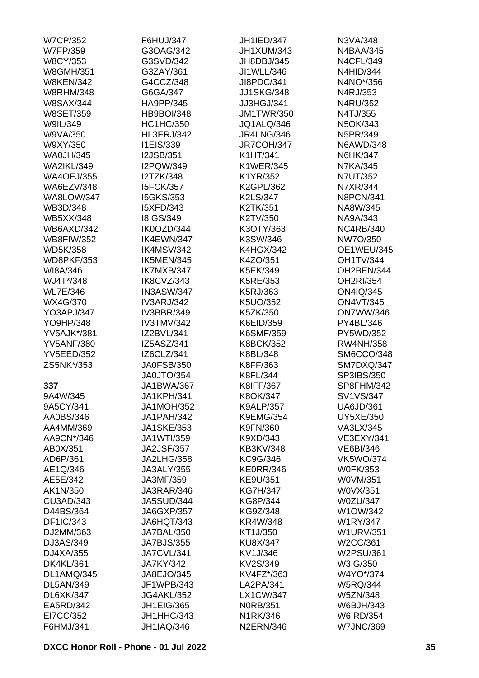| <b>W7CP/352</b>                | F6HUJ/347         | <b>JH1IED/347</b> | N3VA/348          |
|--------------------------------|-------------------|-------------------|-------------------|
| <b>W7FP/359</b>                | G3OAG/342         | JH1XUM/343        | <b>N4BAA/345</b>  |
| <b>W8CY/353</b>                | G3SVD/342         | JH8DBJ/345        | <b>N4CFL/349</b>  |
| <b>W8GMH/351</b>               | G3ZAY/361         | JI1WLL/346        | <b>N4HID/344</b>  |
| <b>W8KEN/342</b>               | G4CCZ/348         | JI8PDC/341        | N4NO*/356         |
| <b>W8RHM/348</b>               | G6GA/347          | <b>JJ1SKG/348</b> | N4RJ/353          |
| <b>W8SAX/344</b>               | HA9PP/345         | JJ3HGJ/341        | N4RU/352          |
| <b>W8SET/359</b>               | <b>HB9BOI/348</b> | <b>JM1TWR/350</b> | N4TJ/355          |
| W9IL/349                       | <b>HC1HC/350</b>  | JQ1ALQ/346        | N5OK/343          |
| W9VA/350                       | <b>HL3ERJ/342</b> | <b>JR4LNG/346</b> | N5PR/349          |
| W9XY/350                       | I1EIS/339         | JR7COH/347        | <b>N6AWD/348</b>  |
| <b>WA0JH/345</b>               | <b>I2JSB/351</b>  | K1HT/341          | N6HK/347          |
| <b>WA2IKL/349</b>              | I2PQW/349         | <b>K1WER/345</b>  | <b>N7KA/345</b>   |
| <b>WA4OEJ/355</b>              | <b>I2TZK/348</b>  | K1YR/352          | N7UT/352          |
| WA6EZV/348                     | <b>I5FCK/357</b>  | K2GPL/362         | N7XR/344          |
| <b>WA8LOW/347</b>              | <b>I5GKS/353</b>  | K2LS/347          | <b>N8PCN/341</b>  |
| WB3D/348                       | I5XFD/343         | K2TK/351          | NA8W/345          |
|                                | <b>I8IGS/349</b>  |                   |                   |
| <b>WB5XX/348</b><br>WB6AXD/342 |                   | K2TV/350          | NA9A/343          |
|                                | IK0OZD/344        | K3OTY/363         | <b>NC4RB/340</b>  |
| <b>WB8FIW/352</b>              | IK4EWN/347        | K3SW/346          | NW7O/350          |
| <b>WD5K/358</b>                | IK4MSV/342        | <b>K4HGX/342</b>  | <b>OE1WEU/345</b> |
| <b>WD8PKF/353</b>              | IK5MEN/345        | K4ZO/351          | <b>OH1TV/344</b>  |
| WI8A/346                       | IK7MXB/347        | K5EK/349          | OH2BEN/344        |
| WJ4T*/348                      | IK8CVZ/343        | K5RE/353          | OH2RI/354         |
| <b>WL7E/346</b>                | IN3ASW/347        | K5RJ/363          | ON4IQ/345         |
| WX4G/370                       | <b>IV3ARJ/342</b> | K5UO/352          | <b>ON4VT/345</b>  |
| YO3APJ/347                     | <b>IV3BBR/349</b> | K5ZK/350          | <b>ON7WW/346</b>  |
| YO9HP/348                      | <b>IV3TMV/342</b> | K6EID/359         | PY4BL/346         |
| <b>YV5AJK*/381</b>             | IZ2BVL/341        | K6SMF/359         | PY5WD/352         |
| <b>YV5ANF/380</b>              | IZ5ASZ/341        | <b>K8BCK/352</b>  | <b>RW4NH/358</b>  |
| <b>YV5EED/352</b>              | IZ6CLZ/341        | K8BL/348          | SM6CCO/348        |
| ZS5NK*/353                     | <b>JA0FSB/350</b> | K8FF/363          | SM7DXQ/347        |
|                                | JA0JTO/354        | K8FL/344          | SP3IBS/350        |
| 337                            | <b>JA1BWA/367</b> | K8IFF/367         | SP8FHM/342        |
| 9A4W/345                       | JA1KPH/341        | K8OK/347          | SV1VS/347         |
| 9A5CY/341                      | <b>JA1MOH/352</b> | <b>K9ALP/357</b>  | <b>UA6JD/361</b>  |
| AA0BS/346                      | JA1PAH/342        | <b>K9EMG/354</b>  | <b>UY5XE/350</b>  |
| AA4MM/369                      | <b>JA1SKE/353</b> | K9FN/360          | VA3LX/345         |
| AA9CN*/346                     | JA1WTI/359        | K9XD/343          | <b>VE3EXY/341</b> |
| AB0X/351                       | <b>JA2JSF/357</b> | <b>KB3KV/348</b>  | <b>VE6BI/346</b>  |
| AD6P/361                       | <b>JA2LHG/358</b> | KC9G/346          | <b>VK5WO/374</b>  |
| AE1Q/346                       | <b>JA3ALY/355</b> | <b>KE0RR/346</b>  | <b>W0FK/353</b>   |
| AE5E/342                       | JA3MF/359         | KE9U/351          | W0VM/351          |
| AK1N/350                       | JA3RAR/346        | <b>KG7H/347</b>   | W0VX/351          |
| CU3AD/343                      | <b>JA5SUD/344</b> | KG8P/344          | <b>W0ZU/347</b>   |
| D44BS/364                      | <b>JA6GXP/357</b> | KG9Z/348          | W1OW/342          |
| DF1IC/343                      | JA6HQT/343        | KR4W/348          | <b>W1RY/347</b>   |
| DJ2MM/363                      | JA7BAL/350        | KT1J/350          | <b>W1URV/351</b>  |
| DJ3AS/349                      | <b>JA7BJS/355</b> | <b>KU8X/347</b>   | W2CC/361          |
| DJ4XA/355                      | JA7CVL/341        | KV1J/346          | W2PSU/361         |
| <b>DK4KL/361</b>               | <b>JA7KY/342</b>  | KV2S/349          | W3IG/350          |
| DL1AMQ/345                     | JA8EJO/345        | KV4FZ*/363        | W4YO*/374         |
| DL5AN/349                      | JF1WPB/343        | LA2PA/341         | <b>W5RQ/344</b>   |
| DL6XK/347                      | <b>JG4AKL/352</b> | <b>LX1CW/347</b>  | <b>W5ZN/348</b>   |
| EA5RD/342                      | <b>JH1EIG/365</b> | <b>N0RB/351</b>   | W6BJH/343         |
| EI7CC/352                      | JH1HHC/343        | N1RK/346          | <b>W6IRD/354</b>  |
| F6HMJ/341                      | <b>JH1IAQ/346</b> | <b>N2ERN/346</b>  | <b>W7JNC/369</b>  |
|                                |                   |                   |                   |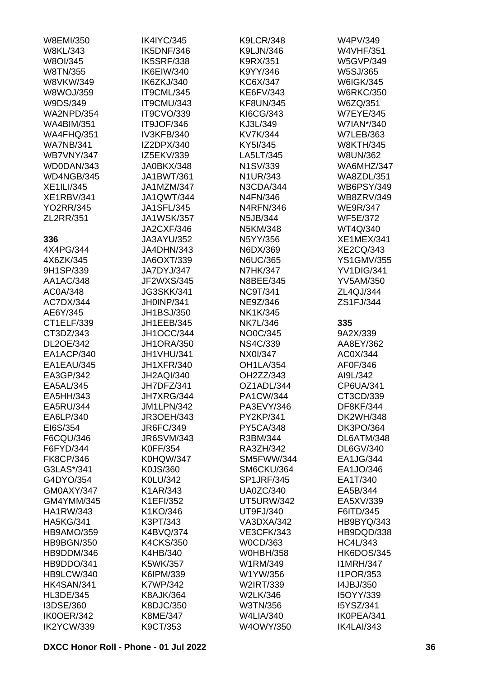| W8EMI/350         | IK4IYC/345        | <b>K9LCR/348</b>  | W4PV/349          |
|-------------------|-------------------|-------------------|-------------------|
| <b>W8KL/343</b>   | IK5DNF/346        | K9LJN/346         | <b>W4VHF/351</b>  |
| W8OI/345          | <b>IK5SRF/338</b> | K9RX/351          | <b>W5GVP/349</b>  |
| W8TN/355          | IK6EIW/340        | K9YY/346          | W5SJ/365          |
| W8VKW/349         | IK6ZKJ/340        | KC6X/347          | <b>W6IGK/345</b>  |
| <b>W8WOJ/359</b>  | IT9CML/345        | <b>KE6FV/343</b>  | <b>W6RKC/350</b>  |
| W9DS/349          | IT9CMU/343        | <b>KF8UN/345</b>  | W6ZQ/351          |
| <b>WA2NPD/354</b> | IT9CVO/339        | KI6CG/343         | <b>W7EYE/345</b>  |
| <b>WA4BIM/351</b> | IT9JOF/346        | KJ3L/349          | W7IAN*/340        |
| <b>WA4FHQ/351</b> | IV3KFB/340        | KV7K/344          | <b>W7LEB/363</b>  |
| <b>WA7NB/341</b>  | IZ2DPX/340        | KY5I/345          | <b>W8KTH/345</b>  |
| <b>WB7VNY/347</b> | IZ5EKV/339        | LA5LT/345         | W8UN/362          |
| WD0DAN/343        | JA0BKX/348        | N1SV/339          | WA6MHZ/347        |
| WD4NGB/345        | JA1BWT/361        | N1UR/343          | <b>WA8ZDL/351</b> |
| <b>XE1ILI/345</b> | JA1MZM/347        | N3CDA/344         | <b>WB6PSY/349</b> |
| <b>XE1RBV/341</b> | <b>JA1QWT/344</b> | N4FN/346          | <b>WB8ZRV/349</b> |
|                   | <b>JA1SFL/345</b> |                   |                   |
| <b>YO2RR/345</b>  |                   | <b>N4RFN/346</b>  | <b>WE9R/347</b>   |
| ZL2RR/351         | <b>JA1WSK/357</b> | N5JB/344          | <b>WF5E/372</b>   |
|                   | <b>JA2CXF/346</b> | N5KM/348          | WT4Q/340          |
| 336               | JA3AYU/352        | N5YY/356          | <b>XE1MEX/341</b> |
| 4X4PG/344         | JA4DHN/343        | N6DX/369          | <b>XE2CQ/343</b>  |
| 4X6ZK/345         | JA6OXT/339        | <b>N6UC/365</b>   | <b>YS1GMV/355</b> |
| 9H1SP/339         | JA7DYJ/347        | <b>N7HK/347</b>   | YV1DIG/341        |
| AA1AC/348         | JF2WXS/345        | N8BEE/345         | <b>YV5AM/350</b>  |
| AC0A/348          | <b>JG3SKK/341</b> | <b>NC9T/341</b>   | ZL4QJ/344         |
| AC7DX/344         | JH0INP/341        | NE9Z/346          | ZS1FJ/344         |
| AE6Y/345          | JH1BSJ/350        | NK1K/345          |                   |
| CT1ELF/339        | JH1EEB/345        | <b>NK7L/346</b>   | 335               |
| CT3DZ/343         | JH1OCC/344        | NO0C/345          | 9A2X/339          |
| DL2OE/342         | <b>JH1ORA/350</b> | <b>NS4C/339</b>   | AA8EY/362         |
| EA1ACP/340        | JH1VHU/341        | NX0I/347          | AC0X/344          |
| EA1EAU/345        | <b>JH1XFR/340</b> | <b>OH1LA/354</b>  | AF0F/346          |
| EA3GP/342         | <b>JH2AQI/340</b> | OH2ZZ/343         | AI9L/342          |
| EA5AL/345         | JH7DFZ/341        | OZ1ADL/344        | CP6UA/341         |
| EA5HH/343         | JH7XRG/344        | PA1CW/344         | CT3CD/339         |
| EA5RU/344         | <b>JM1LPN/342</b> | PA3EVY/346        | <b>DF8KF/344</b>  |
| EA6LP/340         | <b>JR3OEH/343</b> | PY2KP/341         | <b>DK2WH/348</b>  |
| EI6S/354          | JR6FC/349         | <b>PY5CA/348</b>  | <b>DK3PO/364</b>  |
| F6CQU/346         | <b>JR6SVM/343</b> | R3BM/344          | DL6ATM/348        |
| F6FYD/344         | <b>K0FF/354</b>   | RA3ZH/342         | DL6GV/340         |
| <b>FK8CP/346</b>  | <b>K0HQW/347</b>  | SM5FWW/344        | EA1JG/344         |
| G3LAS*/341        | K0JS/360          | SM6CKU/364        | EA1JO/346         |
| G4DYO/354         | K0LU/342          | <b>SP1JRF/345</b> | EA1T/340          |
| GM0AXY/347        | K1AR/343          | <b>UA0ZC/340</b>  | EA5B/344          |
| GM4YMM/345        |                   |                   |                   |
|                   | K1EFI/352         | <b>UT5URW/342</b> | EA5XV/339         |
| <b>HA1RW/343</b>  | K1KO/346          | UT9FJ/340         | F6ITD/345         |
| <b>HA5KG/341</b>  | K3PT/343          | VA3DXA/342        | HB9BYQ/343        |
| <b>HB9AMO/359</b> | K4BVQ/374         | <b>VE3CFK/343</b> | HB9DQD/338        |
| <b>HB9BGN/350</b> | <b>K4CKS/350</b>  | W0CD/363          | <b>HC4L/343</b>   |
| HB9DDM/346        | K4HB/340          | <b>W0HBH/358</b>  | HK6DOS/345        |
| HB9DDO/341        | K5WK/357          | W1RM/349          | <b>I1MRH/347</b>  |
| HB9LCW/340        | K6IPM/339         | W1YW/356          | <b>I1POR/353</b>  |
| HK4SAN/341        | K7WP/342          | W2IRT/339         | 14JBJ/350         |
| <b>HL3DE/345</b>  | <b>K8AJK/364</b>  | W2LK/346          | I5OYY/339         |
| I3DSE/360         | K8DJC/350         | W3TN/356          | I5YSZ/341         |
| IK0OER/342        | K8ME/347          | <b>W4LIA/340</b>  | IK0PEA/341        |
| IK2YCW/339        | K9CT/353          | W4OWY/350         | <b>IK4LAI/343</b> |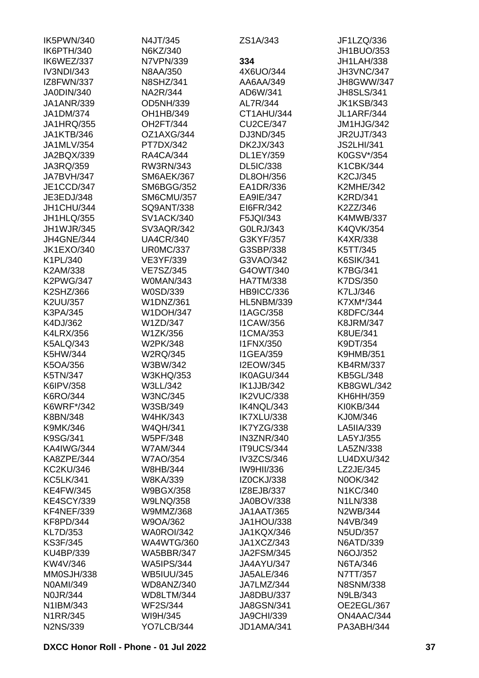| IK5PWN/340        | N4JT/345          | ZS1A/343          | JF1LZQ/336                   |
|-------------------|-------------------|-------------------|------------------------------|
| IK6PTH/340        | N6KZ/340          |                   | JH1BUO/353                   |
| IK6WEZ/337        | N7VPN/339         | 334               | JH1LAH/338                   |
| IV3NDI/343        | N8AA/350          | 4X6UO/344         | <b>JH3VNC/347</b>            |
| IZ8FWN/337        | <b>N8SHZ/341</b>  | AA6AA/349         | JH8GWW/347                   |
| JA0DIN/340        | NA2R/344          | AD6W/341          | <b>JH8SLS/341</b>            |
| <b>JA1ANR/339</b> | OD5NH/339         | AL7R/344          | <b>JK1KSB/343</b>            |
| JA1DM/374         | OH1HB/349         | CT1AHU/344        | <b>JL1ARF/344</b>            |
| <b>JA1HRQ/355</b> | OH2FT/344         | <b>CU2CE/347</b>  | JM1HJG/342                   |
| <b>JA1KTB/346</b> | OZ1AXG/344        | DJ3ND/345         | <b>JR2UJT/343</b>            |
| JA1MLV/354        | PT7DX/342         | DK2JX/343         | <b>JS2LHI/341</b>            |
| JA2BQX/339        | <b>RA4CA/344</b>  | DL1EY/359         | K0GSV*/354                   |
| JA3RQ/359         | RW3RN/343         | <b>DL5IC/338</b>  | K1CBK/344                    |
| JA7BVH/347        | SM6AEK/367        | DL8OH/356         | K2CJ/345                     |
| JE1CCD/347        | <b>SM6BGG/352</b> | EA1DR/336         | <b>K2MHE/342</b>             |
| JE3EDJ/348        | <b>SM6CMU/357</b> | EA9IE/347         | <b>K2RD/341</b>              |
| JH1CHU/344        | SQ9ANT/338        | EI6FR/342         | K2ZZ/346                     |
| JH1HLQ/355        | <b>SV1ACK/340</b> | F5JQI/343         | <b>K4MWB/337</b>             |
| JH1WJR/345        | SV3AQR/342        | G0LRJ/343         | K4QVK/354                    |
| JH4GNE/344        | <b>UA4CR/340</b>  | G3KYF/357         | K4XR/338                     |
| <b>JK1EXO/340</b> | <b>UR0MC/337</b>  | G3SBP/338         |                              |
| K1PL/340          |                   | G3VAO/342         | K5TT/345<br><b>K6SIK/341</b> |
|                   | VE3YF/339         |                   |                              |
| K2AM/338          | <b>VE7SZ/345</b>  | G4OWT/340         | K7BG/341                     |
| <b>K2PWG/347</b>  | W0MAN/343         | <b>HA7TM/338</b>  | K7DS/350                     |
| K2SHZ/366         | W0SD/339          | HB9ICC/336        | K7LJ/346                     |
| K2UU/357          | <b>W1DNZ/361</b>  | <b>HL5NBM/339</b> | K7XM*/344                    |
| K3PA/345          | <b>W1DOH/347</b>  | <b>I1AGC/358</b>  | <b>K8DFC/344</b>             |
| K4DJ/362          | W1ZD/347          | <b>I1CAW/356</b>  | <b>K8JRM/347</b>             |
| <b>K4LRX/356</b>  | W1ZK/356          | <b>I1CMA/353</b>  | K8UE/341                     |
| <b>K5ALQ/343</b>  | W2PK/348          | <b>I1FNX/350</b>  | K9DT/354                     |
| K5HW/344          | <b>W2RQ/345</b>   | <b>I1GEA/359</b>  | <b>K9HMB/351</b>             |
| K5OA/356          | W3BW/342          | <b>I2EOW/345</b>  | <b>KB4RM/337</b>             |
| K5TN/347          | <b>W3KHQ/353</b>  | IK0AGU/344        | <b>KB5GL/348</b>             |
| K6IPV/358         | W3LL/342          | <b>IK1JJB/342</b> | KB8GWL/342                   |
| K6RO/344          | <b>W3NC/345</b>   | IK2VUC/338        | KH6HH/359                    |
| K6WRF*/342        | W3SB/349          | IK4NQL/343        | KI0KB/344                    |
| K8BN/348          | <b>W4HK/343</b>   | IK7XLU/338        | KJ0M/346                     |
| K9MK/346          | <b>W4QH/341</b>   | IK7YZG/338        | LA5IIA/339                   |
| K9SG/341          | <b>W5PF/348</b>   | <b>IN3ZNR/340</b> | LA5YJ/355                    |
| <b>KA4IWG/344</b> | <b>W7AM/344</b>   | IT9UCS/344        | LA5ZN/338                    |
| KA8ZPE/344        | <b>W7AO/354</b>   | IV3ZCS/346        | LU4DXU/342                   |
| <b>KC2KU/346</b>  | W8HB/344          | <b>IW9HII/336</b> | LZ2JE/345                    |
| <b>KC5LK/341</b>  | <b>W8KA/339</b>   | <b>IZ0CKJ/338</b> | N0OK/342                     |
| <b>KE4FW/345</b>  | <b>W9BGX/358</b>  | IZ8EJB/337        | N1KC/340                     |
| <b>KE4SCY/339</b> | <b>W9LNQ/358</b>  | <b>JA0BOV/338</b> | N1LN/338                     |
| KF4NEF/339        | W9MMZ/368         | <b>JA1AAT/365</b> | N2WB/344                     |
| <b>KF8PD/344</b>  | W9OA/362          | JA1HOU/338        | N4VB/349                     |
| KL7D/353          | WA0ROI/342        | JA1KQX/346        | <b>N5UD/357</b>              |
| <b>KS3F/345</b>   | <b>WA4WTG/360</b> | JA1XCZ/343        | <b>N6ATD/339</b>             |
| KU4BP/339         | <b>WA5BBR/347</b> | <b>JA2FSM/345</b> | N6OJ/352                     |
| KW4V/346          | <b>WA5IPS/344</b> | JA4AYU/347        | N6TA/346                     |
| MM0SJH/338        | <b>WB5IUU/345</b> | <b>JA5ALE/346</b> | N7TT/357                     |
| N0AMI/349         | WD8ANZ/340        | JA7LMZ/344        | <b>N8SNM/338</b>             |
| <b>N0JR/344</b>   | WD8LTM/344        | JA8DBU/337        | N9LB/343                     |
| N1IBM/343         | <b>WF2S/344</b>   | <b>JA8GSN/341</b> | OE2EGL/367                   |
| N1RR/345          | WI9H/345          | <b>JA9CHI/339</b> | ON4AAC/344                   |
| <b>N2NS/339</b>   | YO7LCB/344        | JD1AMA/341        | PA3ABH/344                   |
|                   |                   |                   |                              |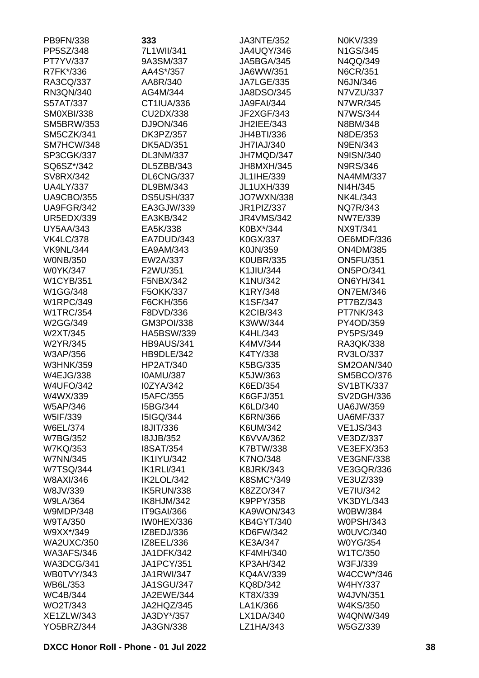| PB9FN/338                     | 333                                  | <b>JA3NTE/352</b>    | N0KV/339                        |
|-------------------------------|--------------------------------------|----------------------|---------------------------------|
| PP5SZ/348                     | 7L1WII/341                           | <b>JA4UQY/346</b>    | N1GS/345                        |
| PT7YV/337                     | 9A3SM/337                            | <b>JA5BGA/345</b>    | N4QQ/349                        |
| R7FK*/336                     | AA4S*/357                            | JA6WW/351            | <b>N6CR/351</b>                 |
| RA3CQ/337                     | AA8R/340                             | <b>JA7LGE/335</b>    | N6JN/346                        |
| RN3QN/340                     | AG4M/344                             | JA8DSO/345           | N7VZU/337                       |
| S57AT/337                     | CT1IUA/336                           | <b>JA9FAI/344</b>    | N7WR/345                        |
| <b>SM0XBI/338</b>             | CU2DX/338                            | JF2XGF/343           | N7WS/344                        |
| <b>SM5BRW/353</b>             | DJ9ON/346                            | JH2IEE/343           | N8BM/348                        |
| SM5CZK/341                    | DK3PZ/357                            | JH4BTI/336           | N8DE/353                        |
| SM7HCW/348                    | <b>DK5AD/351</b>                     | JH7IAJ/340           | N9EN/343                        |
| SP3CGK/337                    | DL3NM/337                            | JH7MQD/347           | N9ISN/340                       |
| SQ6SZ*/342                    | DL5ZBB/343                           | JH8MXH/345           | <b>N9RS/346</b>                 |
| SV8RX/342                     | DL6CNG/337                           | JL1IHE/339           | <b>NA4MM/337</b>                |
| <b>UA4LY/337</b>              | DL9BM/343                            | <b>JL1UXH/339</b>    | NI4H/345                        |
| <b>UA9CBO/355</b>             | DS5USH/337                           | <b>JO7WXN/338</b>    | NK4L/343                        |
| UA9FGR/342                    | EA3GJW/339                           | JR1PIZ/337           | NQ7R/343                        |
| <b>UR5EDX/339</b>             | EA3KB/342                            | <b>JR4VMS/342</b>    | <b>NW7E/339</b>                 |
| <b>UY5AA/343</b>              | EA5K/338                             | K0BX*/344            | NX9T/341                        |
| <b>VK4LC/378</b>              | EA7DUD/343                           | K0GX/337             | OE6MDF/336                      |
| <b>VK9NL/344</b>              | EA9AM/343                            | K0JN/359             | <b>ON4DM/385</b>                |
| <b>WONB/350</b>               | EW2A/337                             | <b>K0UBR/335</b>     | <b>ON5FU/351</b>                |
| W0YK/347                      | F2WU/351                             | K1JIU/344            | <b>ON5PO/341</b>                |
| <b>W1CYB/351</b>              | F5NBX/342                            | K1NU/342             | <b>ON6YH/341</b>                |
| W1GG/348                      | F5OKK/337                            | K1RY/348             | <b>ON7EM/346</b>                |
| <b>W1RPC/349</b>              | F6CKH/356                            | K1SF/347             | PT7BZ/343                       |
| <b>W1TRC/354</b>              | F8DVD/336                            | <b>K2CIB/343</b>     | PT7NK/343                       |
| W2GG/349                      | GM3POI/338                           | K3WW/344             | PY4OD/359                       |
| W2XT/345                      | HA5BSW/339                           | K4HL/343             | PY5PS/349                       |
| W2YR/345                      | <b>HB9AUS/341</b>                    | K4MV/344             | RA3QK/338                       |
| W3AP/356                      | HB9DLE/342                           | K4TY/338             | RV3LO/337                       |
| <b>W3HNK/359</b><br>W4EJG/338 | <b>HP2AT/340</b><br><b>IOAMU/387</b> | K5BG/335             | SM2OAN/340<br><b>SM5BCO/376</b> |
| <b>W4UFO/342</b>              | I0ZYA/342                            | K5JW/363<br>K6ED/354 | <b>SV1BTK/337</b>               |
| W4WX/339                      | <b>I5AFC/355</b>                     | K6GFJ/351            | SV2DGH/336                      |
| W5AP/346                      | I5BG/344                             | K6LD/340             | <b>UA6JW/359</b>                |
| W5IF/339                      | <b>I5IGQ/344</b>                     | K6RN/366             | <b>UA6MF/337</b>                |
| W6EL/374                      | <b>18JIT/336</b>                     | K6UM/342             | <b>VE1JS/343</b>                |
| <b>W7BG/352</b>               | <b>I8JJB/352</b>                     | K6VVA/362            | VE3DZ/337                       |
| <b>W7KQ/353</b>               | <b>I8SAT/354</b>                     | K7BTW/338            | <b>VE3EFX/353</b>               |
| <b>W7NN/345</b>               | <b>IK1IYU/342</b>                    | <b>K7NO/348</b>      | <b>VE3GNF/338</b>               |
| <b>W7TSQ/344</b>              | <b>IK1RLI/341</b>                    | <b>K8JRK/343</b>     | <b>VE3GQR/336</b>               |
| W8AXI/346                     | IK2LOL/342                           | K8SMC*/349           | VE3UZ/339                       |
| W8JV/339                      | IK5RUN/338                           | K8ZZO/347            | <b>VE7IU/342</b>                |
| <b>W9LA/364</b>               | IK8HJM/342                           | K9PPY/358            | <b>VK3DYL/343</b>               |
| <b>W9MDP/348</b>              | IT9GAI/366                           | KA9WON/343           | W0BW/384                        |
| W9TA/350                      | IW0HEX/336                           | <b>KB4GYT/340</b>    | <b>W0PSH/343</b>                |
| W9XX*/349                     | IZ8EDJ/336                           | KD6FW/342            | <b>W0UVC/340</b>                |
| <b>WA2UXC/350</b>             | IZ8EEL/336                           | KE3A/347             | <b>W0YG/354</b>                 |
| <b>WA3AFS/346</b>             | <b>JA1DFK/342</b>                    | <b>KF4MH/340</b>     | W1TC/350                        |
| WA3DCG/341                    | <b>JA1PCY/351</b>                    | <b>KP3AH/342</b>     | W3FJ/339                        |
| WB0TVY/343                    | <b>JA1RWI/347</b>                    | <b>KQ4AV/339</b>     | W4CCW*/346                      |
| WB6L/353                      | <b>JA1SGU/347</b>                    | KQ8D/342             | W4HY/337                        |
| <b>WC4B/344</b>               | JA2EWE/344                           | KT8X/339             | W4JVN/351                       |
| WO2T/343                      | JA2HQZ/345                           | LA1K/366             | W4KS/350                        |
| XE1ZLW/343                    | JA3DY*/357                           | LX1DA/340            | <b>W4QNW/349</b>                |
| <b>YO5BRZ/344</b>             | JA3GN/338                            | LZ1HA/343            | W5GZ/339                        |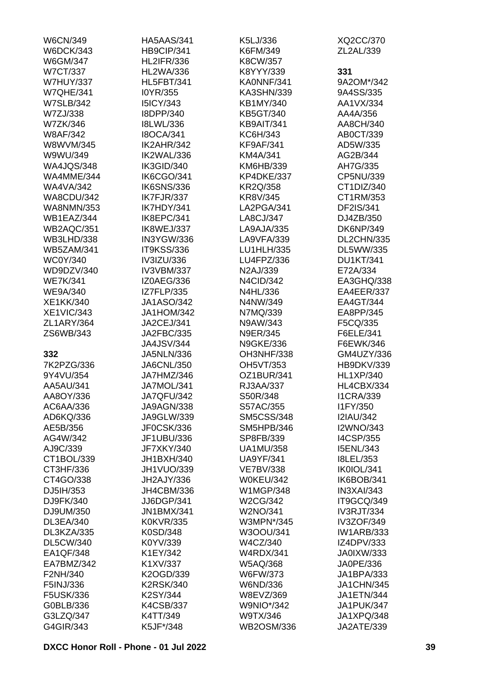| <b>W6CN/349</b>   | <b>HA5AAS/341</b> | K5LJ/336          | XQ2CC/370         |
|-------------------|-------------------|-------------------|-------------------|
| <b>W6DCK/343</b>  | HB9CIP/341        | K6FM/349          | ZL2AL/339         |
| W6GM/347          | <b>HL2IFR/336</b> | K8CW/357          |                   |
| <b>W7CT/337</b>   | <b>HL2WA/336</b>  | K8YYY/339         | 331               |
| <b>W7HUY/337</b>  | <b>HL5FBT/341</b> | KA0NNF/341        | 9A2OM*/342        |
| <b>W7QHE/341</b>  | I0YR/355          | KA3SHN/339        | 9A4SS/335         |
| <b>W7SLB/342</b>  | <b>I5ICY/343</b>  | KB1MY/340         | AA1VX/334         |
| W7ZJ/338          | I8DPP/340         | KB5GT/340         | AA4A/356          |
| W7ZK/346          | <b>I8LWL/336</b>  | KB9AIT/341        | AA8CH/340         |
| <b>W8AF/342</b>   | <b>I8OCA/341</b>  | KC6H/343          | AB0CT/339         |
| W8WVM/345         | IK2AHR/342        | <b>KF9AF/341</b>  | AD5W/335          |
| W9WU/349          | IK2WAL/336        | KM4A/341          | AG2B/344          |
| <b>WA4JQS/348</b> | IK3GID/340        | KM6HB/339         | AH7G/335          |
| WA4MME/344        | IK6CGO/341        | KP4DKE/337        | CP5NU/339         |
| <b>WA4VA/342</b>  | <b>IK6SNS/336</b> | <b>KR2Q/358</b>   | CT1DIZ/340        |
| <b>WA8CDU/342</b> | IK7FJR/337        | KR8V/345          | CT1RM/353         |
| <b>WA8NMN/353</b> | IK7HDY/341        | LA2PGA/341        | DF2IS/341         |
| WB1EAZ/344        | IK8EPC/341        | LA8CJ/347         | DJ4ZB/350         |
| WB2AQC/351        | IK8WEJ/337        | LA9AJA/335        | <b>DK6NP/349</b>  |
| <b>WB3LHD/338</b> | IN3YGW/336        | LA9VFA/339        | <b>DL2CHN/335</b> |
| <b>WB5ZAM/341</b> | <b>IT9KSS/336</b> | LU1HLH/335        | DL5WW/335         |
|                   |                   | LU4FPZ/336        |                   |
| <b>WC0Y/340</b>   | IV3IZU/336        |                   | <b>DU1KT/341</b>  |
| WD9DZV/340        | IV3VBM/337        | N2AJ/339          | E72A/334          |
| <b>WE7K/341</b>   | IZ0AEG/336        | <b>N4CID/342</b>  | EA3GHQ/338        |
| <b>WE9A/340</b>   | <b>IZ7FLP/335</b> | N4HL/336          | EA4EER/337        |
| XE1KK/340         | <b>JA1ASO/342</b> | N4NW/349          | EA4GT/344         |
| <b>XE1VIC/343</b> | <b>JA1HOM/342</b> | N7MQ/339          | EA8PP/345         |
| ZL1ARY/364        | JA2CEJ/341        | N9AW/343          | F5CQ/335          |
| ZS6WB/343         | JA2FBC/335        | <b>N9ER/345</b>   | F6ELE/341         |
|                   | <b>JA4JSV/344</b> | <b>N9GKE/336</b>  | F6EWK/346         |
| 332               | <b>JA5NLN/336</b> | OH3NHF/338        | GM4UZY/336        |
| 7K2PZG/336        | <b>JA6CNL/350</b> | OH5VT/353         | <b>HB9DKV/339</b> |
| 9Y4VU/354         | JA7HMZ/346        | OZ1BUR/341        | <b>HL1XP/340</b>  |
| AA5AU/341         | JA7MOL/341        | RJ3AA/337         | HL4CBX/334        |
| AA8OY/336         | <b>JA7QFU/342</b> | S50R/348          | <b>I1CRA/339</b>  |
| AC6AA/336         | JA9AGN/338        | S57AC/355         | I1FY/350          |
| AD6KQ/336         | JA9GLW/339        | <b>SM5CSS/348</b> | <b>I2IAU/342</b>  |
| AE5B/356          | JF0CSK/336        | SM5HPB/346        | <b>I2WNO/343</b>  |
| AG4W/342          | JF1UBU/336        | SP8FB/339         | <b>I4CSP/355</b>  |
| AJ9C/339          | JF7XKY/340        | <b>UA1MU/358</b>  | <b>I5ENL/343</b>  |
| CT1BOL/339        | JH1BXH/340        | <b>UA9YF/341</b>  | <b>I8LEL/353</b>  |
| CT3HF/336         | <b>JH1VUO/339</b> | <b>VE7BV/338</b>  | IK0IOL/341        |
| CT4GO/338         | JH2AJY/336        | <b>W0KEU/342</b>  | IK6BOB/341        |
| DJ5IH/353         | JH4CBM/336        | <b>W1MGP/348</b>  | IN3XAI/343        |
| DJ9FK/340         | JJ6DGP/341        | W2CG/342          | IT9GCQ/349        |
| DJ9UM/350         | <b>JN1BMX/341</b> | W2NO/341          | <b>IV3RJT/334</b> |
| DL3EA/340         | <b>K0KVR/335</b>  | W3MPN*/345        | <b>IV3ZOF/349</b> |
| DL3KZA/335        | K0SD/348          | W3OOU/341         | <b>IW1ARB/333</b> |
| <b>DL5CW/340</b>  | K0YV/339          | W4CZ/340          | IZ4DPV/333        |
| EA1QF/348         | K1EY/342          | <b>W4RDX/341</b>  | <b>JA0IXW/333</b> |
| EA7BMZ/342        | K1XV/337          | W5AQ/368          | JA0PE/336         |
| F2NH/340          | K2OGD/339         | W6FW/373          | JA1BPA/333        |
| F5INJ/336         | <b>K2RSK/340</b>  | W6ND/336          | <b>JA1CHN/345</b> |
| F5USK/336         | K2SY/344          | W8EVZ/369         | <b>JA1ETN/344</b> |
| G0BLB/336         | <b>K4CSB/337</b>  | <b>W9NIO*/342</b> | JA1PUK/347        |
| G3LZQ/347         | K4TT/349          | W9TX/346          | JA1XPQ/348        |
| G4GIR/343         | K5JF*/348         | WB2OSM/336        | <b>JA2ATE/339</b> |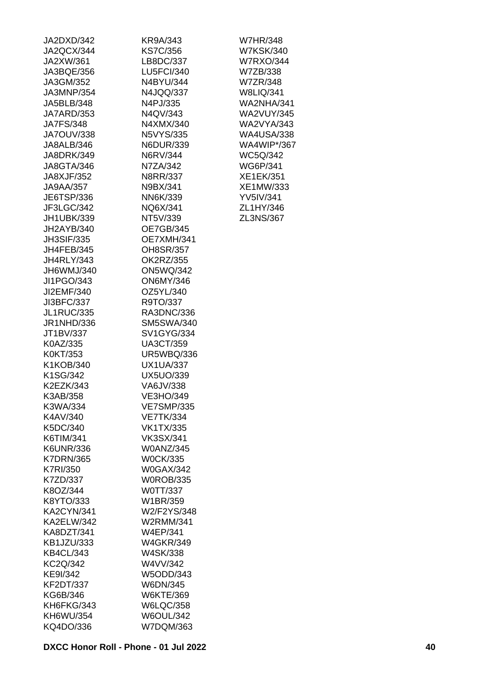| JA2DXD/342        | KR9A/343              |
|-------------------|-----------------------|
| JA2QCX/344        | <b>KS7C/356</b>       |
| JA2XW/361         | LB8DC/337             |
| JA3BQE/356        | <b>LU5FCI/340</b>     |
| JA3GM/352         | N4BYU/344             |
| JA3MNP/354        | N4JQQ/337             |
| JA5BLB/348        | N4PJ/335              |
| JA7ARD/353        | N4QV/343              |
| <b>JA7FS/348</b>  | N4XMX/340             |
| JA7OUV/338        | N5VYS/335             |
| JA8ALB/346        | N6DUR/339             |
| JA8DRK/349        | N6RV/344              |
| JA8GTA/346        | N7ZA/342              |
| JA8XJF/352        | N8RR/337              |
| JA9AA/357         | N9BX/341              |
| JE6TSP/336        | NN6K/339              |
| JF3LGC/342        | NQ6X/341              |
| JH1UBK/339        | NT5V/339              |
| JH2AYB/340        | <b>OE7GB/345</b>      |
| <b>JH3SIF/335</b> | OE7XMH/341            |
| JH4FEB/345        | OH8SR/357             |
| <b>JH4RLY/343</b> | OK2RZ/355             |
| JH6WMJ/340        | <b>ON5WQ/342</b>      |
| JI1PGO/343        | <b>ON6MY/346</b>      |
| JI2EMF/340        | OZ5YL/340             |
| JI3BFC/337        | R9TO/337              |
| JL1RUC/335        | RA3DNC/336            |
| JR1NHD/336        | <b>SM5SWA/340</b>     |
| JT1BV/337         | <b>SV1GYG/334</b>     |
| K0AZ/335          | <b>UA3CT/359</b>      |
| K0KT/353          | <b>UR5WBQ/336</b>     |
| K1KOB/340         | <b>UX1UA/337</b>      |
| K1SG/342          | <b>UX5UO/339</b>      |
| K2EZK/343         | VA6JV/338             |
| K3AB/358          | VE3HO/349             |
| K3WA/334          | <b>VE7SMP/335</b>     |
| K4AV/340          | <b>VE7TK/334</b>      |
| K5DC/340          | VK1TX/335             |
| K6TIM/341         | <b>VK3SX/341</b>      |
| K6UNR/336         | <b>W0ANZ/345</b>      |
| <b>K7DRN/365</b>  | <b>W0CK/335</b>       |
| K7RI/350          | <b>W0GAX/342</b>      |
| K7ZD/337          | <b>W0ROB/335</b>      |
| K8OZ/344          | W0TT/337              |
| K8YTO/333         | W1BR/359              |
| <b>KA2CYN/341</b> | W2/F2YS/348           |
| KA2ELW/342        | W2RMM/341             |
| KA8DZT/341        | W4EP/341              |
| KB1JZU/333        | <b>W4GKR/349</b>      |
| <b>KB4CL/343</b>  | W4SK/338              |
| KC2Q/342          | W4VV/342              |
| KE9I/342          |                       |
| <b>KF2DT/337</b>  | W5ODD/343<br>W6DN/345 |
| KG6B/346          | W6KTE/369             |
| KH6FKG/343        | <b>W6LQC/358</b>      |
| KH6WU/354         | <b>W6OUL/342</b>      |
| KQ4DO/336         | W7DQM/363             |
|                   |                       |

W7HR/348 W7KSK/340 W7RXO/344 W7ZB/338 W7ZR/348 W8LIQ/341 WA2NHA/341 WA2VUY/345 WA2VYA/343 WA4USA/338 WA4WIP\*/367 WC5Q/342 WG6P/341 XE1EK/351 XE1MW/333 YV5IV/341 ZL1HY/346 ZL3NS/367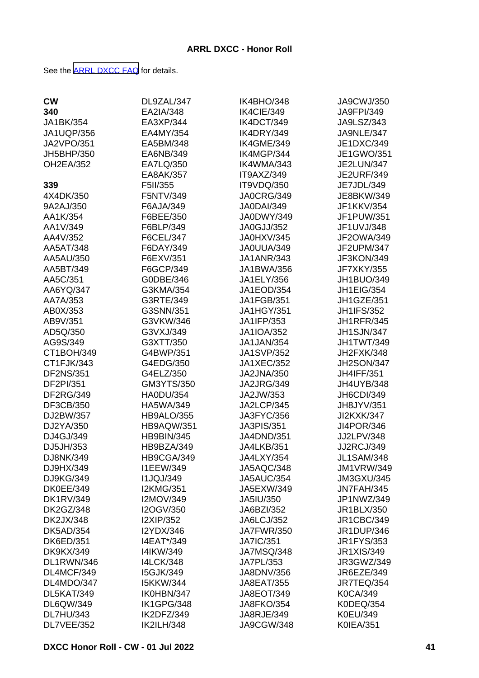See the [ARRL DXCC FAQ](http://www.arrl.org/dxcc-faq/) for details.

| <b>CW</b>         | DL9ZAL/347        | IK4BHO/348        | JA9CWJ/350        |
|-------------------|-------------------|-------------------|-------------------|
| 340               | EA2IA/348         | IK4CIE/349        | <b>JA9FPI/349</b> |
| JA1BK/354         | EA3XP/344         | IK4DCT/349        | JA9LSZ/343        |
| <b>JA1UQP/356</b> | EA4MY/354         | IK4DRY/349        | JA9NLE/347        |
| <b>JA2VPO/351</b> | EA5BM/348         | IK4GME/349        | JE1DXC/349        |
| JH5BHP/350        | EA6NB/349         | IK4MGP/344        | JE1GWO/351        |
| <b>OH2EA/352</b>  | EA7LQ/350         | IK4WMA/343        | <b>JE2LUN/347</b> |
|                   | EA8AK/357         | IT9AXZ/349        | <b>JE2URF/349</b> |
| 339               | F5II/355          | IT9VDQ/350        | JE7JDL/349        |
| 4X4DK/350         | F5NTV/349         | <b>JA0CRG/349</b> | JE8BKW/349        |
| 9A2AJ/350         | F6AJA/349         | <b>JA0DAI/349</b> | JF1KKV/354        |
| AA1K/354          | F6BEE/350         | JA0DWY/349        | JF1PUW/351        |
| AA1V/349          | F6BLP/349         | <b>JA0GJJ/352</b> | JF1UVJ/348        |
| AA4V/352          | F6CEL/347         | JA0HXV/345        | JF2OWA/349        |
| AA5AT/348         | F6DAY/349         | JA0UUA/349        | JF2UPM/347        |
| AA5AU/350         | F6EXV/351         | <b>JA1ANR/343</b> | JF3KON/349        |
| AA5BT/349         | F6GCP/349         | JA1BWA/356        | <b>JF7XKY/355</b> |
| AA5C/351          | G0DBE/346         | JA1ELY/356        | JH1BUO/349        |
| AA6YQ/347         | G3KMA/354         | JA1EOD/354        | <b>JH1EIG/354</b> |
| AA7A/353          | G3RTE/349         | <b>JA1FGB/351</b> | JH1GZE/351        |
| AB0X/353          | G3SNN/351         | <b>JA1HGY/351</b> | <b>JH1IFS/352</b> |
| AB9V/351          | G3VKW/346         | JA1IFP/353        | <b>JH1RFR/345</b> |
| AD5Q/350          | G3VXJ/349         | <b>JA1IOA/352</b> | <b>JH1SJN/347</b> |
| AG9S/349          | G3XTT/350         | JA1JAN/354        | JH1TWT/349        |
| CT1BOH/349        | G4BWP/351         | <b>JA1SVP/352</b> | JH2FXK/348        |
| CT1FJK/343        | G4EDG/350         | <b>JA1XEC/352</b> | <b>JH2SON/347</b> |
| <b>DF2NS/351</b>  | G4ELZ/350         | <b>JA2JNA/350</b> | <b>JH4IFF/351</b> |
| DF2PI/351         | GM3YTS/350        | <b>JA2JRG/349</b> | JH4UYB/348        |
| <b>DF2RG/349</b>  | <b>HA0DU/354</b>  | JA2JW/353         | JH6CDI/349        |
| DF3CB/350         | HA5WA/349         | JA2LCP/345        | JH8JYV/351        |
| DJ2BW/357         | <b>HB9ALO/355</b> | JA3FYC/356        | <b>JI2KXK/347</b> |
| DJ2YA/350         | <b>HB9AQW/351</b> | <b>JA3PIS/351</b> | JI4POR/346        |
| DJ4GJ/349         | <b>HB9BIN/345</b> | <b>JA4DND/351</b> | JJ2LPV/348        |
| DJ5JH/353         | HB9BZA/349        | JA4LKB/351        | <b>JJ2RCJ/349</b> |
| DJ8NK/349         | HB9CGA/349        | JA4LXY/354        | <b>JL1SAM/348</b> |
| DJ9HX/349         | <b>I1EEW/349</b>  | JA5AQC/348        | <b>JM1VRW/349</b> |
| DJ9KG/349         | <b>I1JQJ/349</b>  | <b>JA5AUC/354</b> | <b>JM3GXU/345</b> |
| <b>DK0EE/349</b>  | <b>I2KMG/351</b>  | JA5EXW/349        | JN7FAH/345        |
| <b>DK1RV/349</b>  | I2MOV/349         | JA5IU/350         | JP1NWZ/349        |
| <b>DK2GZ/348</b>  | I2OGV/350         | JA6BZI/352        | JR1BLX/350        |
| <b>DK2JX/348</b>  | <b>I2XIP/352</b>  | <b>JA6LCJ/352</b> | <b>JR1CBC/349</b> |
| <b>DK5AD/354</b>  | I2YDX/346         | <b>JA7FWR/350</b> | <b>JR1DUP/346</b> |
| <b>DK6ED/351</b>  | I4EAT*/349        | <b>JA7IC/351</b>  | <b>JR1FYS/353</b> |
| <b>DK9KX/349</b>  | I4IKW/349         | <b>JA7MSQ/348</b> | <b>JR1XIS/349</b> |
| DL1RWN/346        | <b>I4LCK/348</b>  | JA7PL/353         | JR3GWZ/349        |
| DL4MCF/349        | <b>I5GJK/349</b>  | <b>JA8DNV/356</b> | JR6EZE/349        |
| DL4MDO/347        | <b>I5KKW/344</b>  | <b>JA8EAT/355</b> | JR7TEQ/354        |
| DL5KAT/349        | IK0HBN/347        | JA8EOT/349        | K0CA/349          |
| DL6QW/349         | IK1GPG/348        | <b>JA8FKO/354</b> | K0DEQ/354         |
| <b>DL7HU/343</b>  | IK2DFZ/349        | JA8RJE/349        | K0EU/349          |
| DL7VEE/352        | <b>IK2ILH/348</b> | JA9CGW/348        | <b>K0IEA/351</b>  |
|                   |                   |                   |                   |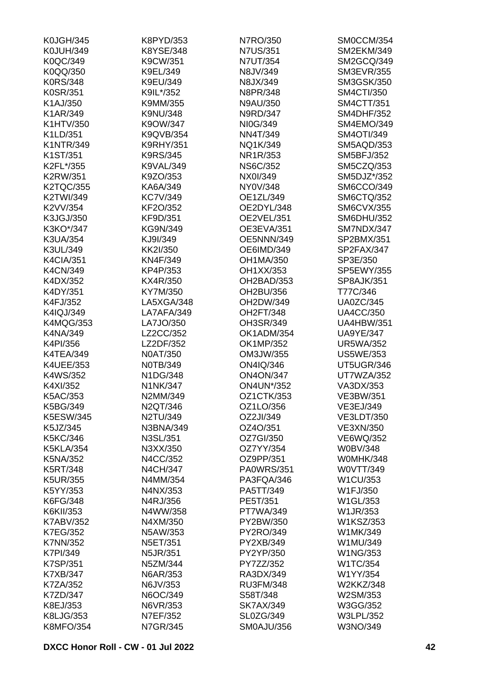| <b>K0JGH/345</b> | K8PYD/353        | N7RO/350          | SM0CCM/354        |
|------------------|------------------|-------------------|-------------------|
| <b>K0JUH/349</b> | K8YSE/348        | <b>N7US/351</b>   | <b>SM2EKM/349</b> |
| K0QC/349         | K9CW/351         | <b>N7UT/354</b>   | SM2GCQ/349        |
| K0QQ/350         | K9EL/349         | N8JV/349          | <b>SM3EVR/355</b> |
| <b>K0RS/348</b>  | K9EU/349         | N8JX/349          | <b>SM3GSK/350</b> |
| K0SR/351         | K9IL*/352        | N8PR/348          | <b>SM4CTI/350</b> |
| K1AJ/350         | K9MM/355         | N9AU/350          | <b>SM4CTT/351</b> |
| K1AR/349         | K9NU/348         | N9RD/347          | <b>SM4DHF/352</b> |
| K1HTV/350        | K9OW/347         | NI0G/349          | SM4EMO/349        |
| K1LD/351         | K9QVB/354        | NN4T/349          | <b>SM4OTI/349</b> |
| <b>K1NTR/349</b> | <b>K9RHY/351</b> | NQ1K/349          | SM5AQD/353        |
| K1ST/351         | <b>K9RS/345</b>  | NR1R/353          | <b>SM5BFJ/352</b> |
| K2FL*/355        | <b>K9VAL/349</b> | <b>NS6C/352</b>   | SM5CZQ/353        |
| <b>K2RW/351</b>  | K9ZO/353         | NX0I/349          | SM5DJZ*/352       |
| <b>K2TQC/355</b> | KA6A/349         | NY0V/348          | SM6CCO/349        |
| K2TWI/349        | <b>KC7V/349</b>  | OE1ZL/349         | <b>SM6CTQ/352</b> |
| K2VV/354         | KF2O/352         | OE2DYL/348        | <b>SM6CVX/355</b> |
|                  |                  | OE2VEL/351        | <b>SM6DHU/352</b> |
| K3JGJ/350        | KF9D/351         |                   |                   |
| K3KO*/347        | KG9N/349         | OE3EVA/351        | SM7NDX/347        |
| K3UA/354         | KJ9I/349         | OE5NNN/349        | SP2BMX/351        |
| K3UL/349         | KK2I/350         | OE6IMD/349        | SP2FAX/347        |
| <b>K4CIA/351</b> | KN4F/349         | OH1MA/350         | SP3E/350          |
| K4CN/349         | KP4P/353         | OH1XX/353         | SP5EWY/355        |
| K4DX/352         | KX4R/350         | OH2BAD/353        | <b>SP8AJK/351</b> |
| K4DY/351         | KY7M/350         | OH2BU/356         | T77C/346          |
| K4FJ/352         | LA5XGA/348       | OH2DW/349         | <b>UA0ZC/345</b>  |
| K4IQJ/349        | LA7AFA/349       | OH2FT/348         | <b>UA4CC/350</b>  |
| <b>K4MQG/353</b> | LA7JO/350        | OH3SR/349         | <b>UA4HBW/351</b> |
| K4NA/349         | LZ2CC/352        | OK1ADM/354        | <b>UA9YE/347</b>  |
| K4PI/356         | LZ2DF/352        | OK1MP/352         | <b>UR5WA/352</b>  |
| K4TEA/349        | <b>N0AT/350</b>  | OM3JW/355         | <b>US5WE/353</b>  |
| K4UEE/353        | N0TB/349         | ON4IQ/346         | UT5UGR/346        |
| K4WS/352         | N1DG/348         | <b>ON4ON/347</b>  | UT7WZA/352        |
| K4XI/352         | <b>N1NK/347</b>  | <b>ON4UN*/352</b> | VA3DX/353         |
| K5AC/353         | N2MM/349         | OZ1CTK/353        | VE3BW/351         |
| K5BG/349         | N2QT/346         | OZ1LO/356         | VE3EJ/349         |
| <b>K5ESW/345</b> | N2TU/349         | OZ2JI/349         | <b>VE3LDT/350</b> |
| K5JZ/345         | N3BNA/349        | OZ4O/351          | <b>VE3XN/350</b>  |
| K5KC/346         | N3SL/351         | OZ7GI/350         | VE6WQ/352         |
| <b>K5KLA/354</b> | N3XX/350         | OZ7YY/354         | <b>W0BV/348</b>   |
| K5NA/352         | N4CC/352         | OZ9PP/351         | W0MHK/348         |
| K5RT/348         | <b>N4CH/347</b>  | <b>PA0WRS/351</b> | W0VTT/349         |
| K5UR/355         | N4MM/354         | PA3FQA/346        | W1CU/353          |
| K5YY/353         | N4NX/353         | PA5TT/349         | W1FJ/350          |
| K6FG/348         | N4RJ/356         | PE5T/351          | W1GL/353          |
| K6KII/353        | N4WW/358         | PT7WA/349         | W1JR/353          |
| <b>K7ABV/352</b> | N4XM/350         | PY2BW/350         | W1KSZ/353         |
| <b>K7EG/352</b>  | N5AW/353         | PY2RO/349         | W1MK/349          |
| <b>K7NN/352</b>  | N5ET/351         | PY2XB/349         | W1MU/349          |
|                  |                  |                   |                   |
| K7PI/349         | N5JR/351         | PY2YP/350         | W1NG/353          |
| K7SP/351         | N5ZM/344         | PY7ZZ/352         | W1TC/354          |
| K7XB/347         | N6AR/353         | RA3DX/349         | W1YY/354          |
| K7ZA/352         | N6JV/353         | RU3FM/348         | W2KKZ/348         |
| K7ZD/347         | N6OC/349         | S58T/348          | W2SM/353          |
| K8EJ/353         | N6VR/353         | <b>SK7AX/349</b>  | W3GG/352          |
| K8LJG/353        | N7EF/352         | SL0ZG/349         | <b>W3LPL/352</b>  |
| <b>K8MFO/354</b> | N7GR/345         | <b>SM0AJU/356</b> | W3NO/349          |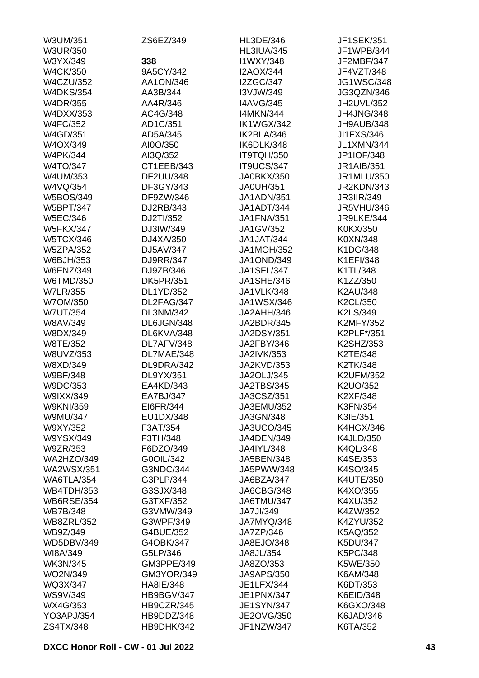| W3UM/351          | ZS6EZ/349         | <b>HL3DE/346</b>  | <b>JF1SEK/351</b> |
|-------------------|-------------------|-------------------|-------------------|
| <b>W3UR/350</b>   |                   | <b>HL3IUA/345</b> | JF1WPB/344        |
| W3YX/349          | 338               | I1WXY/348         | JF2MBF/347        |
| <b>W4CK/350</b>   | 9A5CY/342         | <b>I2AOX/344</b>  | JF4VZT/348        |
| <b>W4CZU/352</b>  | AA1ON/346         | <b>I2ZGC/347</b>  | <b>JG1WSC/348</b> |
| <b>W4DKS/354</b>  | AA3B/344          | I3VJW/349         | JG3QZN/346        |
| <b>W4DR/355</b>   | AA4R/346          | <b>I4AVG/345</b>  | JH2UVL/352        |
| <b>W4DXX/353</b>  | AC4G/348          | <b>I4MKN/344</b>  | JH4JNG/348        |
| <b>W4FC/352</b>   | AD1C/351          | IK1WGX/342        | JH9AUB/348        |
| W4GD/351          | AD5A/345          | IK2BLA/346        | JI1FXS/346        |
| W4OX/349          | AI0O/350          | IK6DLK/348        | <b>JL1XMN/344</b> |
| <b>W4PK/344</b>   | AI3Q/352          | IT9TQH/350        | JP1IOF/348        |
| W4TO/347          | CT1EEB/343        | IT9UCS/347        | <b>JR1AIB/351</b> |
| W4UM/353          | DF2UU/348         | JA0BKX/350        | JR1MLU/350        |
| W4VQ/354          | DF3GY/343         | <b>JA0UH/351</b>  | JR2KDN/343        |
| <b>W5BOS/349</b>  | DF9ZW/346         | <b>JA1ADN/351</b> | <b>JR3IIR/349</b> |
| <b>W5BPT/347</b>  | DJ2RB/343         | JA1ADT/344        | <b>JR5VHU/346</b> |
| <b>W5EC/346</b>   | DJ2TI/352         | <b>JA1FNA/351</b> | JR9LKE/344        |
| <b>W5FKX/347</b>  | DJ3IW/349         | JA1GV/352         | K0KX/350          |
| <b>W5TCX/346</b>  | DJ4XA/350         | <b>JA1JAT/344</b> | K0XN/348          |
|                   | DJ5AV/347         | <b>JA1MOH/352</b> | K1DG/348          |
| <b>W5ZPA/352</b>  | DJ9RR/347         |                   | K1EFI/348         |
| W6BJH/353         |                   | <b>JA1OND/349</b> |                   |
| <b>W6ENZ/349</b>  | DJ9ZB/346         | <b>JA1SFL/347</b> | K1TL/348          |
| W6TMD/350         | <b>DK5PR/351</b>  | <b>JA1SHE/346</b> | K1ZZ/350          |
| <b>W7LR/355</b>   | DL1YD/352         | <b>JA1VLK/348</b> | K2AU/348          |
| W7OM/350          | DL2FAG/347        | JA1WSX/346        | K2CL/350          |
| <b>W7UT/354</b>   | <b>DL3NM/342</b>  | JA2AHH/346        | K2LS/349          |
| <b>W8AV/349</b>   | DL6JGN/348        | JA2BDR/345        | <b>K2MFY/352</b>  |
| W8DX/349          | DL6KVA/348        | <b>JA2DSY/351</b> | K2PLF*/351        |
| W8TE/352          | DL7AFV/348        | JA2FBY/346        | K2SHZ/353         |
| W8UVZ/353         | DL7MAE/348        | <b>JA2IVK/353</b> | K2TE/348          |
| W8XD/349          | DL9DRA/342        | JA2KVD/353        | K2TK/348          |
| W9BF/348          | DL9YX/351         | <b>JA2OLJ/345</b> | <b>K2UFM/352</b>  |
| W9DC/353          | EA4KD/343         | <b>JA2TBS/345</b> | K2UO/352          |
| W9IXX/349         | EA7BJ/347         | JA3CSZ/351        | K2XF/348          |
| <b>W9KNI/359</b>  | EI6FR/344         | JA3EMU/352        | K3FN/354          |
| <b>W9MU/347</b>   | EU1DX/348         | JA3GN/348         | K3IE/351          |
| W9XY/352          | F3AT/354          | JA3UCO/345        | <b>K4HGX/346</b>  |
| W9YSX/349         | F3TH/348          | JA4DEN/349        | <b>K4JLD/350</b>  |
| W9ZR/353          | F6DZO/349         | JA4IYL/348        | <b>K4QL/348</b>   |
| <b>WA2HZO/349</b> | G0OIL/342         | JA5BEN/348        | K4SE/353          |
| <b>WA2WSX/351</b> | G3NDC/344         | JA5PWW/348        | K4SO/345          |
| WA6TLA/354        | G3PLP/344         | JA6BZA/347        | K4UTE/350         |
| <b>WB4TDH/353</b> | G3SJX/348         | JA6CBG/348        | K4XO/355          |
| <b>WB6RSE/354</b> | G3TXF/352         | JA6TMU/347        | K4XU/352          |
| <b>WB7B/348</b>   | G3VMW/349         | JA7JI/349         | K4ZW/352          |
| <b>WB8ZRL/352</b> | G3WPF/349         | JA7MYQ/348        | K4ZYU/352         |
| WB9Z/349          | G4BUE/352         | JA7ZP/346         | K5AQ/352          |
| <b>WD5DBV/349</b> | G4OBK/347         | JA8EJO/348        | K5DU/347          |
| WI8A/349          | G5LP/346          | JA8JL/354         | K5PC/348          |
| <b>WK3N/345</b>   | GM3PPE/349        | JA8ZO/353         | K5WE/350          |
| WO2N/349          | <b>GM3YOR/349</b> | JA9APS/350        | K6AM/348          |
| WQ3X/347          | HA8IE/348         | JE1LFX/344        | K6DT/353          |
| <b>WS9V/349</b>   | HB9BGV/347        | JE1PNX/347        | K6EID/348         |
| WX4G/353          | HB9CZR/345        | <b>JE1SYN/347</b> | K6GXO/348         |
| <b>YO3APJ/354</b> | HB9DDZ/348        | JE2OVG/350        | K6JAD/346         |
| ZS4TX/348         | HB9DHK/342        | JF1NZW/347        | K6TA/352          |
|                   |                   |                   |                   |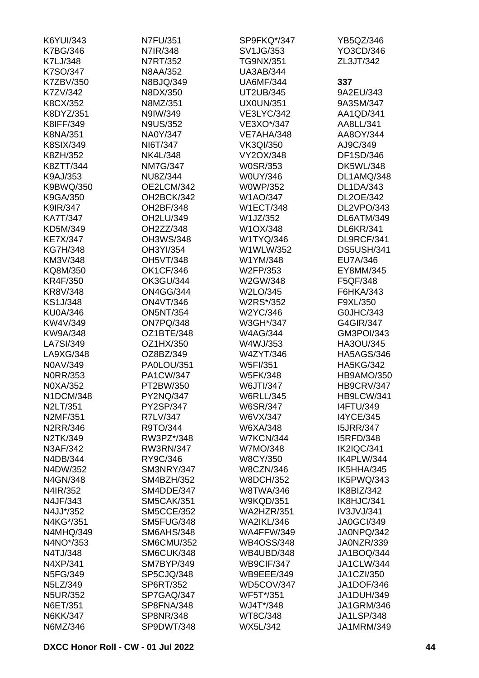| K6YUI/343        | N7FU/351          | SP9FKQ*/347       | YB5QZ/346         |
|------------------|-------------------|-------------------|-------------------|
| <b>K7BG/346</b>  | N7IR/348          | SV1JG/353         | YO3CD/346         |
| K7LJ/348         | N7RT/352          | <b>TG9NX/351</b>  | ZL3JT/342         |
| K7SO/347         | <b>N8AA/352</b>   | <b>UA3AB/344</b>  |                   |
| K7ZBV/350        | N8BJQ/349         | <b>UA6MF/344</b>  | 337               |
| K7ZV/342         | N8DX/350          | UT2UB/345         | 9A2EU/343         |
| K8CX/352         | N8MZ/351          | <b>UX0UN/351</b>  | 9A3SM/347         |
| K8DYZ/351        | N9IW/349          | <b>VE3LYC/342</b> | AA1QD/341         |
| K8IFF/349        | <b>N9US/352</b>   | VE3XO*/347        | AA8LL/341         |
| K8NA/351         | NA0Y/347          | VE7AHA/348        | AA8OY/344         |
| K8SIX/349        | NI6T/347          | <b>VK3QI/350</b>  | AJ9C/349          |
| K8ZH/352         | <b>NK4L/348</b>   | VY2OX/348         | DF1SD/346         |
| K8ZTT/344        | <b>NM7G/347</b>   | <b>W0SR/353</b>   | <b>DK5WL/348</b>  |
| K9AJ/353         | NU8Z/344          | <b>W0UY/346</b>   | DL1AMQ/348        |
| K9BWQ/350        | OE2LCM/342        | <b>W0WP/352</b>   | <b>DL1DA/343</b>  |
| K9GA/350         | OH2BCK/342        | W1AO/347          | DL2OE/342         |
|                  |                   | <b>W1ECT/348</b>  | DL2VPO/343        |
| K9IR/347         | OH2BF/348         |                   |                   |
| <b>KA7T/347</b>  | OH2LU/349         | W1JZ/352          | DL6ATM/349        |
| KD5M/349         | OH2ZZ/348         | W1OX/348          | <b>DL6KR/341</b>  |
| <b>KE7X/347</b>  | OH3WS/348         | W1TYQ/346         | DL9RCF/341        |
| <b>KG7H/348</b>  | OH3YI/354         | W1WLW/352         | <b>DS5USH/341</b> |
| KM3V/348         | <b>OH5VT/348</b>  | W1YM/348          | EU7A/346          |
| KQ8M/350         | <b>OK1CF/346</b>  | W2FP/353          | EY8MM/345         |
| <b>KR4F/350</b>  | <b>OK3GU/344</b>  | W2GW/348          | F5QF/348          |
| KR8V/348         | <b>ON4GG/344</b>  | W2LO/345          | F6HKA/343         |
| KS1J/348         | <b>ON4VT/346</b>  | W2RS*/352         | F9XL/350          |
| <b>KU0A/346</b>  | <b>ON5NT/354</b>  | W2YC/346          | G0JHC/343         |
| KW4V/349         | ON7PQ/348         | W3GH*/347         | G4GIR/347         |
| KW9A/348         | OZ1BTE/348        | <b>W4AG/344</b>   | GM3POI/343        |
| LA7SI/349        | OZ1HX/350         | W4WJ/353          | HA3OU/345         |
| LA9XG/348        | OZ8BZ/349         | W4ZYT/346         | <b>HA5AGS/346</b> |
| N0AV/349         | PA0LOU/351        | W5FI/351          | <b>HA5KG/342</b>  |
| <b>NORR/353</b>  | PA1CW/347         | <b>W5FK/348</b>   | HB9AMO/350        |
| N0XA/352         | PT2BW/350         | W6JTI/347         | HB9CRV/347        |
| N1DCM/348        | PY2NQ/347         | <b>W6RLL/345</b>  | HB9LCW/341        |
| N2LT/351         | PY2SP/347         | <b>W6SR/347</b>   | <b>I4FTU/349</b>  |
| N2MF/351         | R7LV/347          | W6VX/347          | <b>I4YCE/345</b>  |
| N2RR/346         | R9TO/344          | W6XA/348          | <b>I5JRR/347</b>  |
| N2TK/349         | RW3PZ*/348        | <b>W7KCN/344</b>  | <b>I5RFD/348</b>  |
| N3AF/342         | <b>RW3RN/347</b>  | W7MO/348          | IK2IQC/341        |
| N4DB/344         | RY9C/346          | <b>W8CY/350</b>   | IK4PLW/344        |
| N4DW/352         | SM3NRY/347        | <b>W8CZN/346</b>  | IK5HHA/345        |
| N4GN/348         | SM4BZH/352        | <b>W8DCH/352</b>  | IK5PWQ/343        |
| N4IR/352         | SM4DDE/347        | <b>W8TWA/346</b>  | IK8BIZ/342        |
| N4JF/343         | <b>SM5CAK/351</b> | <b>W9KQD/351</b>  | IK8HJC/341        |
| N4JJ*/352        | <b>SM5CCE/352</b> | <b>WA2HZR/351</b> | IV3JVJ/341        |
| N4KG*/351        | SM5FUG/348        | <b>WA2IKL/346</b> | <b>JA0GCI/349</b> |
| <b>N4MHQ/349</b> | <b>SM6AHS/348</b> | <b>WA4FFW/349</b> | JA0NPQ/342        |
| N4NO*/353        | <b>SM6CMU/352</b> | <b>WB4OSS/348</b> | JA0NZR/339        |
|                  |                   | WB4UBD/348        |                   |
| N4TJ/348         | SM6CUK/348        |                   | JA1BOQ/344        |
| N4XP/341         | SM7BYP/349        | WB9CIF/347        | <b>JA1CLW/344</b> |
| N5FG/349         | SP5CJQ/348        | <b>WB9EEE/349</b> | <b>JA1CZI/350</b> |
| N5LZ/349         | SP6RT/352         | WD5COV/347        | JA1DOF/346        |
| <b>N5UR/352</b>  | SP7GAQ/347        | WF5T*/351         | <b>JA1DUH/349</b> |
| N6ET/351         | SP8FNA/348        | WJ4T*/348         | <b>JA1GRM/346</b> |
| N6KK/347         | <b>SP8NR/348</b>  | WT8C/348          | <b>JA1LSP/348</b> |
| N6MZ/346         | SP9DWT/348        | WX5L/342          | JA1MRM/349        |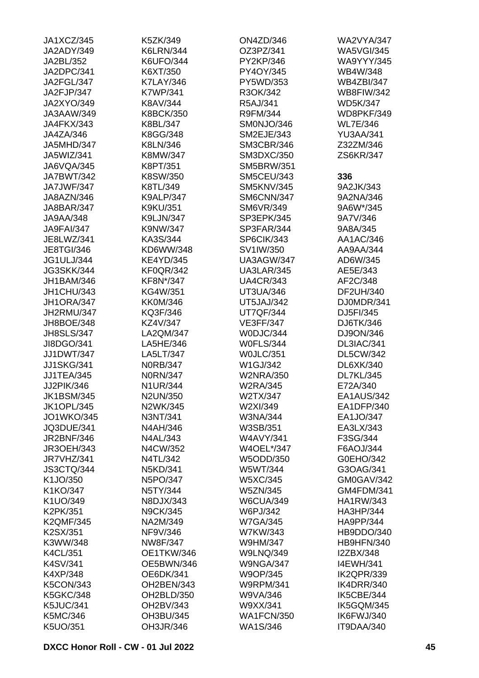| JA1XCZ/345        | K5ZK/349         | <b>ON4ZD/346</b>  | <b>WA2VYA/347</b> |
|-------------------|------------------|-------------------|-------------------|
| JA2ADY/349        | <b>K6LRN/344</b> | OZ3PZ/341         | <b>WA5VGI/345</b> |
| JA2BL/352         | <b>K6UFO/344</b> | PY2KP/346         | <b>WA9YYY/345</b> |
| JA2DPC/341        | K6XT/350         | PY4OY/345         | WB4W/348          |
| JA2FGL/347        | <b>K7LAY/346</b> | PY5WD/353         | <b>WB4ZBI/347</b> |
| JA2FJP/347        | <b>K7WP/341</b>  | R3OK/342          | <b>WB8FIW/342</b> |
| <b>JA2XYO/349</b> | K8AV/344         | R5AJ/341          | <b>WD5K/347</b>   |
| JA3AAW/349        | <b>K8BCK/350</b> | R9FM/344          | WD8PKF/349        |
| JA4FKX/343        | K8BL/347         | SM0NJO/346        | <b>WL7E/346</b>   |
| JA4ZA/346         | K8GG/348         | <b>SM2EJE/343</b> | <b>YU3AA/341</b>  |
| JA5MHD/347        | K8LN/346         | <b>SM3CBR/346</b> | Z32ZM/346         |
| JA5WIZ/341        | K8MW/347         | SM3DXC/350        | ZS6KR/347         |
| JA6VQA/345        | K8PT/351         | <b>SM5BRW/351</b> |                   |
| JA7BWT/342        | K8SW/350         | <b>SM5CEU/343</b> | 336               |
| JA7JWF/347        | K8TL/349         | <b>SM5KNV/345</b> | 9A2JK/343         |
| JA8AZN/346        | <b>K9ALP/347</b> | SM6CNN/347        | 9A2NA/346         |
| JA8BAR/347        | <b>K9KU/351</b>  | SM6VR/349         | 9A6W*/345         |
| JA9AA/348         | <b>K9LJN/347</b> | SP3EPK/345        | 9A7V/346          |
| <b>JA9FAI/347</b> | K9NW/347         | SP3FAR/344        | 9A8A/345          |
| JE8LWZ/341        | KA3S/344         | SP6CIK/343        | AA1AC/346         |
|                   | KD6WW/348        |                   | AA9AA/344         |
| <b>JE8TGI/346</b> |                  | SV1IW/350         | AD6W/345          |
| <b>JG1ULJ/344</b> | <b>KE4YD/345</b> | UA3AGW/347        |                   |
| <b>JG3SKK/344</b> | <b>KF0QR/342</b> | UA3LAR/345        | AE5E/343          |
| JH1BAM/346        | KF8N*/347        | <b>UA4CR/343</b>  | AF2C/348          |
| JH1CHU/343        | KG4W/351         | UT3UA/346         | DF2UH/340         |
| JH1ORA/347        | <b>KK0M/346</b>  | <b>UT5JAJ/342</b> | DJ0MDR/341        |
| JH2RMU/347        | KQ3F/346         | <b>UT7QF/344</b>  | DJ5FI/345         |
| JH8BOE/348        | KZ4V/347         | <b>VE3FF/347</b>  | DJ6TK/346         |
| <b>JH8SLS/347</b> | LA2QM/347        | W0DJC/344         | DJ9ON/346         |
| JI8DGO/341        | LA5HE/346        | <b>W0FLS/344</b>  | DL3IAC/341        |
| JJ1DWT/347        | LA5LT/347        | WOJLC/351         | <b>DL5CW/342</b>  |
| <b>JJ1SKG/341</b> | <b>NORB/347</b>  | W1GJ/342          | DL6XK/340         |
| <b>JJ1TEA/345</b> | <b>N0RN/347</b>  | <b>W2NRA/350</b>  | <b>DL7KL/345</b>  |
| JJ2PIK/346        | <b>N1UR/344</b>  | W2RA/345          | E72A/340          |
| <b>JK1BSM/345</b> | N2UN/350         | W2TX/347          | EA1AUS/342        |
| <b>JK1OPL/345</b> | N2WK/345         | W2XI/349          | EA1DFP/340        |
| <b>JO1WKO/345</b> | N3NT/341         | W3NA/344          | EA1JO/347         |
| <b>JQ3DUE/341</b> | N4AH/346         | W3SB/351          | EA3LX/343         |
| <b>JR2BNF/346</b> | <b>N4AL/343</b>  | <b>W4AVY/341</b>  | F3SG/344          |
| <b>JR3OEH/343</b> | N4CW/352         | W4OEL*/347        | F6AOJ/344         |
| JR7VHZ/341        | N4TL/342         | W5ODD/350         | G0EHO/342         |
| JS3CTQ/344        | N5KD/341         | W5WT/344          | G3OAG/341         |
| K1JO/350          | N5PO/347         | W5XC/345          | GM0GAV/342        |
| K1KO/347          | N5TY/344         | W5ZN/345          | GM4FDM/341        |
| K1UO/349          | N8DJX/343        | <b>W6CUA/349</b>  | <b>HA1RW/343</b>  |
| K2PK/351          | <b>N9CK/345</b>  | W6PJ/342          | HA3HP/344         |
| <b>K2QMF/345</b>  | NA2M/349         | <b>W7GA/345</b>   | HA9PP/344         |
| K2SX/351          | NF9V/346         | W7KW/343          | HB9DDO/340        |
| K3WW/348          | NW8F/347         | W9HM/347          | HB9HFN/340        |
| <b>K4CL/351</b>   | OE1TKW/346       | <b>W9LNQ/349</b>  | I2ZBX/348         |
| K4SV/341          | OE5BWN/346       | <b>W9NGA/347</b>  | <b>I4EWH/341</b>  |
| K4XP/348          | OE6DK/341        | W9OP/345          | IK2QPR/339        |
| <b>K5CON/343</b>  | OH2BEN/343       | <b>W9RPM/341</b>  | IK4DRR/340        |
| <b>K5GKC/348</b>  | OH2BLD/350       | W9VA/346          | IK5CBE/344        |
| <b>K5JUC/341</b>  | OH2BV/343        | W9XX/341          | IK5GQM/345        |
| K5MC/346          | OH3BU/345        | <b>WA1FCN/350</b> | IK6FWJ/340        |
|                   |                  |                   | IT9DAA/340        |
| K5UO/351          | OH3JR/346        | WA1S/346          |                   |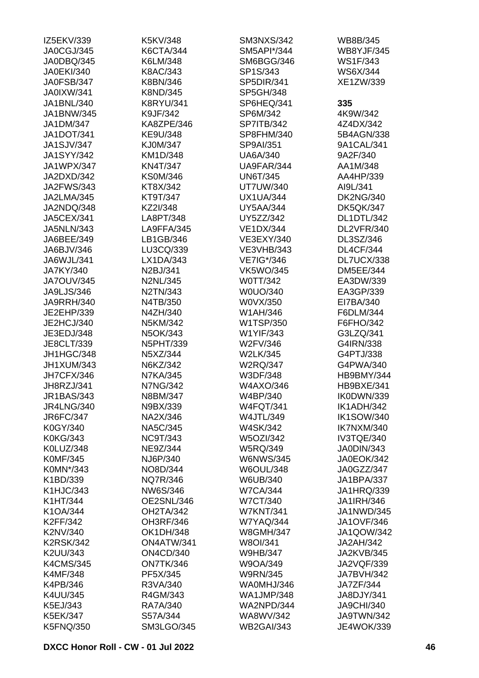| IZ5EKV/339        | K5KV/348          | <b>SM3NXS/342</b> | WB8B/345          |
|-------------------|-------------------|-------------------|-------------------|
| JA0CGJ/345        | <b>K6CTA/344</b>  | SM5API*/344       | <b>WB8YJF/345</b> |
| JA0DBQ/345        | K6LM/348          | SM6BGG/346        | WS1F/343          |
| <b>JA0EKI/340</b> | K8AC/343          | SP1S/343          | WS6X/344          |
| JA0FSB/347        | K8BN/346          | SP5DIR/341        | XE1ZW/339         |
| <b>JA0IXW/341</b> | K8ND/345          | SP5GH/348         |                   |
| JA1BNL/340        | <b>K8RYU/341</b>  | SP6HEQ/341        | 335               |
| JA1BNW/345        | K9JF/342          | SP6M/342          | 4K9W/342          |
| JA1DM/347         | KA8ZPE/346        | <b>SP7ITB/342</b> | 4Z4DX/342         |
| JA1DOT/341        | KE9U/348          | SP8FHM/340        | 5B4AGN/338        |
| <b>JA1SJV/347</b> | KJ0M/347          | SP9AI/351         | 9A1CAL/341        |
| <b>JA1SYY/342</b> | KM1D/348          | <b>UA6A/340</b>   | 9A2F/340          |
| JA1WPX/347        | <b>KN4T/347</b>   | UA9FAR/344        | AA1M/348          |
| JA2DXD/342        | <b>KS0M/346</b>   | <b>UN6T/345</b>   | AA4HP/339         |
| <b>JA2FWS/343</b> | KT8X/342          | <b>UT7UW/340</b>  | AI9L/341          |
| JA2LMA/345        | KT9T/347          | <b>UX1UA/344</b>  | <b>DK2NG/340</b>  |
| JA2NDQ/348        | KZ2I/348          | <b>UY5AA/344</b>  | <b>DK5QK/347</b>  |
| <b>JA5CEX/341</b> | LA8PT/348         | UY5ZZ/342         | DL1DTL/342        |
| <b>JA5NLN/343</b> | LA9FFA/345        | <b>VE1DX/344</b>  | DL2VFR/340        |
|                   |                   |                   |                   |
| JA6BEE/349        | LB1GB/346         | VE3EXY/340        | DL3SZ/346         |
| JA6BJV/346        | LU3CQ/339         | <b>VE3VHB/343</b> | <b>DL4CF/344</b>  |
| JA6WJL/341        | LX1DA/343         | VE7IG*/346        | DL7UCX/338        |
| JA7KY/340         | N2BJ/341          | <b>VK5WO/345</b>  | <b>DM5EE/344</b>  |
| <b>JA7OUV/345</b> | <b>N2NL/345</b>   | W0TT/342          | EA3DW/339         |
| JA9LJS/346        | N2TN/343          | W0UO/340          | EA3GP/339         |
| <b>JA9RRH/340</b> | N4TB/350          | W0VX/350          | EI7BA/340         |
| JE2EHP/339        | N4ZH/340          | W1AH/346          | F6DLM/344         |
| JE2HCJ/340        | N5KM/342          | W1TSP/350         | F6FHO/342         |
| JE3EDJ/348        | N5OK/343          | W1YIF/343         | G3LZQ/341         |
| JE8CLT/339        | <b>N5PHT/339</b>  | W2FV/346          | G4IRN/338         |
| JH1HGC/348        | N5XZ/344          | <b>W2LK/345</b>   | G4PTJ/338         |
| JH1XUM/343        | N6KZ/342          | <b>W2RQ/347</b>   | G4PWA/340         |
| JH7CFX/346        | <b>N7KA/345</b>   | W3DF/348          | HB9BMY/344        |
| JH8RZJ/341        | <b>N7NG/342</b>   | W4AXO/346         | HB9BXE/341        |
| <b>JR1BAS/343</b> | N8BM/347          | W4BP/340          | IK0DWN/339        |
| <b>JR4LNG/340</b> | N9BX/339          | <b>W4FQT/341</b>  | IK1ADH/342        |
| JR6FC/347         | NA2X/346          | <b>W4JTL/349</b>  | <b>IK1SOW/340</b> |
| K0GY/340          | <b>NA5C/345</b>   | <b>W4SK/342</b>   | IK7NXM/340        |
| <b>K0KG/343</b>   | <b>NC9T/343</b>   | <b>W5OZI/342</b>  | IV3TQE/340        |
| K0LUZ/348         | NE9Z/344          | <b>W5RQ/349</b>   | JA0DIN/343        |
| <b>K0MF/345</b>   | NJ6P/340          | <b>W6NWS/345</b>  | JA0EOK/342        |
| K0MN*/343         | NO8D/344          | <b>W6OUL/348</b>  | JA0GZZ/347        |
| K1BD/339          | <b>NQ7R/346</b>   | W6UB/340          | <b>JA1BPA/337</b> |
| K1HJC/343         | NW6S/346          | <b>W7CA/344</b>   | JA1HRQ/339        |
| K1HT/344          | OE2SNL/346        | <b>W7CT/340</b>   | <b>JA1IRH/346</b> |
| K1OA/344          | OH2TA/342         | <b>W7KNT/341</b>  | JA1NWD/345        |
| K2FF/342          | OH3RF/346         | <b>W7YAQ/344</b>  | <b>JA1OVF/346</b> |
| K2NV/340          | <b>OK1DH/348</b>  | <b>W8GMH/347</b>  | JA1QOW/342        |
| <b>K2RSK/342</b>  | ON4ATW/341        | W8OI/341          | JA2AH/342         |
| K2UU/343          | <b>ON4CD/340</b>  | <b>W9HB/347</b>   | <b>JA2KVB/345</b> |
| <b>K4CMS/345</b>  | ON7TK/346         | W9OA/349          | JA2VQF/339        |
|                   |                   |                   |                   |
| <b>K4MF/348</b>   | PF5X/345          | <b>W9RN/345</b>   | <b>JA7BVH/342</b> |
| K4PB/346          | R3VA/340          | WA0MHJ/346        | JA7ZF/344         |
| K4UU/345          | R4GM/343          | <b>WA1JMP/348</b> | JA8DJY/341        |
| K5EJ/343          | RA7A/340          | WA2NPD/344        | <b>JA9CHI/340</b> |
| <b>K5EK/347</b>   | S57A/344          | WA8WV/342         | JA9TWN/342        |
| K5FNQ/350         | <b>SM3LGO/345</b> | <b>WB2GAI/343</b> | <b>JE4WOK/339</b> |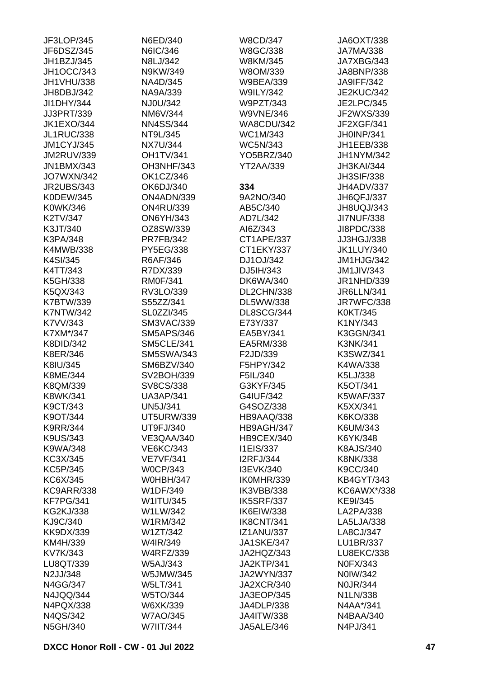| JF3LOP/345        | N6ED/340          | <b>W8CD/347</b>   | JA6OXT/338        |
|-------------------|-------------------|-------------------|-------------------|
| JF6DSZ/345        | N6IC/346          | W8GC/338          | <b>JA7MA/338</b>  |
| JH1BZJ/345        | N8LJ/342          | W8KM/345          | JA7XBG/343        |
|                   |                   |                   |                   |
| <b>JH1OCC/343</b> | N9KW/349          | W8OM/339          | JA8BNP/338        |
| JH1VHU/338        | NA4D/345          | <b>W9BEA/339</b>  | <b>JA9IFF/342</b> |
| JH8DBJ/342        | NA9A/339          | <b>W9ILY/342</b>  | <b>JE2KUC/342</b> |
| JI1DHY/344        | NJ0U/342          | W9PZT/343         | <b>JE2LPC/345</b> |
| JJ3PRT/339        | NM6V/344          | <b>W9VNE/346</b>  | JF2WXS/339        |
| <b>JK1EXO/344</b> | <b>NN4SS/344</b>  | <b>WA8CDU/342</b> | JF2XGF/341        |
| <b>JL1RUC/338</b> | NT9L/345          | WC1M/343          | JH0INP/341        |
| <b>JM1CYJ/345</b> | <b>NX7U/344</b>   | <b>WC5N/343</b>   | JH1EEB/338        |
| <b>JM2RUV/339</b> | <b>OH1TV/341</b>  | YO5BRZ/340        | JH1NYM/342        |
| <b>JN1BMX/343</b> | OH3NHF/343        | <b>YT2AA/339</b>  | JH3KAI/344        |
| <b>JO7WXN/342</b> | OK1CZ/346         |                   | <b>JH3SIF/338</b> |
| <b>JR2UBS/343</b> | OK6DJ/340         | 334               | JH4ADV/337        |
|                   |                   |                   |                   |
| K0DEW/345         | ON4ADN/339        | 9A2NO/340         | JH6QFJ/337        |
| K0WK/346          | <b>ON4RU/339</b>  | AB5C/340          | JH8UQJ/343        |
| K2TV/347          | <b>ON6YH/343</b>  | AD7L/342          | <b>JI7NUF/338</b> |
| K3JT/340          | OZ8SW/339         | AI6Z/343          | JI8PDC/338        |
| K3PA/348          | <b>PR7FB/342</b>  | CT1APE/337        | JJ3HGJ/338        |
| <b>K4MWB/338</b>  | PY5EG/338         | CT1EKY/337        | <b>JK1LUY/340</b> |
| K4SI/345          | R6AF/346          | DJ1OJ/342         | JM1HJG/342        |
| K4TT/343          | R7DX/339          | DJ5IH/343         | <b>JM1JIV/343</b> |
| K5GH/338          | <b>RM0F/341</b>   | <b>DK6WA/340</b>  | JR1NHD/339        |
| K5QX/343          | RV3LO/339         | DL2CHN/338        | <b>JR6LLN/341</b> |
| K7BTW/339         | S55ZZ/341         | DL5WW/338         | JR7WFC/338        |
| <b>K7NTW/342</b>  | <b>SL0ZZI/345</b> | DL8SCG/344        | K0KT/345          |
| K7VV/343          | <b>SM3VAC/339</b> | E73Y/337          | K1NY/343          |
| K7XM*/347         | <b>SM5APS/346</b> | EA5BY/341         | K3GGN/341         |
|                   |                   |                   |                   |
| <b>K8DID/342</b>  | <b>SM5CLE/341</b> | EA5RM/338         | <b>K3NK/341</b>   |
| K8ER/346          | <b>SM5SWA/343</b> | F2JD/339          | K3SWZ/341         |
| K8IU/345          | SM6BZV/340        | F5HPY/342         | K4WA/338          |
| K8ME/344          | SV2BOH/339        | F5IL/340          | K5LJ/338          |
| K8QM/339          | SV8CS/338         | G3KYF/345         | K5OT/341          |
| K8WK/341          | <b>UA3AP/341</b>  | G4IUF/342         | <b>K5WAF/337</b>  |
| K9CT/343          | <b>UN5J/341</b>   | G4SOZ/338         | K5XX/341          |
| K9OT/344          | <b>UT5URW/339</b> | HB9AAQ/338        | K6KO/338          |
| <b>K9RR/344</b>   | UT9FJ/340         | HB9AGH/347        | K6UM/343          |
| K9US/343          | VE3QAA/340        | HB9CEX/340        | K6YK/348          |
| K9WA/348          | <b>VE6KC/343</b>  | I1EIS/337         | K8AJS/340         |
| KC3X/345          | <b>VE7VF/341</b>  | <b>I2RFJ/344</b>  | K8NK/338          |
| KC5P/345          | <b>W0CP/343</b>   | I3EVK/340         | K9CC/340          |
| KC6X/345          | <b>W0HBH/347</b>  | IK0MHR/339        | <b>KB4GYT/343</b> |
| <b>KC9ARR/338</b> | W1DF/349          | IK3VBB/338        | KC6AWX*/338       |
| <b>KF7PG/341</b>  | W1ITU/345         | IK5SRF/337        | KE9I/345          |
|                   | W1LW/342          |                   |                   |
| <b>KG2KJ/338</b>  |                   | IK6EIW/338        | LA2PA/338         |
| KJ9C/340          | W1RM/342          | IK8CNT/341        | LA5LJA/338        |
| KK9DX/339         | W1ZT/342          | <b>IZ1ANU/337</b> | LA8CJ/347         |
| KM4H/339          | W4IR/349          | <b>JA1SKE/347</b> | LU1BR/337         |
| KV7K/343          | <b>W4RFZ/339</b>  | JA2HQZ/343        | LU8EKC/338        |
| LU8QT/339         | W5AJ/343          | JA2KTP/341        | N0FX/343          |
| N2JJ/348          | W5JMW/345         | <b>JA2WYN/337</b> | N0IW/342          |
| N4GG/347          | W5LT/341          | JA2XCR/340        | N0JR/344          |
| N4JQQ/344         | W5TO/344          | JA3EOP/345        | N1LN/338          |
| N4PQX/338         | W6XK/339          | JA4DLP/338        | N4AA*/341         |
| N4QS/342          | <b>W7AO/345</b>   | <b>JA4ITW/338</b> | N4BAA/340         |
| N5GH/340          | W7IIT/344         | JA5ALE/346        | N4PJ/341          |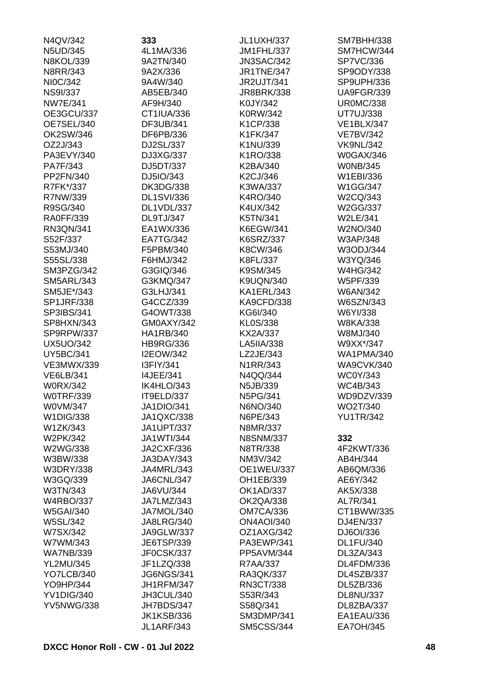| N4QV/342          | 333               | JL1UXH/337        | SM7BHH/338        |
|-------------------|-------------------|-------------------|-------------------|
| N5UD/345          | 4L1MA/336         | JM1FHL/337        | SM7HCW/344        |
| <b>N8KOL/339</b>  | 9A2TN/340         | <b>JN3SAC/342</b> | <b>SP7VC/336</b>  |
| N8RR/343          | 9A2X/336          | <b>JR1TNE/347</b> | SP9ODY/338        |
| NI0C/342          | 9A4W/340          | <b>JR2UJT/341</b> | SP9UPH/336        |
| <b>NS9I/337</b>   | AB5EB/340         | <b>JR8BRK/338</b> | <b>UA9FGR/339</b> |
| <b>NW7E/341</b>   | AF9H/340          | K0JY/342          | <b>UR0MC/338</b>  |
| OE3GCU/337        | CT1IUA/336        | K0RW/342          | <b>UT7UJ/338</b>  |
| OE7SEL/340        | DF3UB/341         | K1CP/338          | <b>VE1BLX/347</b> |
| OK2SW/346         | DF6PB/336         | K1FK/347          | <b>VE7BV/342</b>  |
| OZ2J/343          | DJ2SL/337         | K1NU/339          | <b>VK9NL/342</b>  |
| PA3EVY/340        | DJ3XG/337         | K1RO/338          | <b>W0GAX/346</b>  |
| PA7F/343          | DJ5DT/337         | K2BA/340          | <b>WONB/345</b>   |
| PP2FN/340         | DJ5IO/343         | K2CJ/346          | W1EBI/336         |
| R7FK*/337         | <b>DK3DG/338</b>  | K3WA/337          | W1GG/347          |
| R7NW/339          | <b>DL1SVI/336</b> | K4RO/340          | W2CQ/343          |
| R9SG/340          | DL1VDL/337        | K4UX/342          | W2GG/337          |
| <b>RA0FF/339</b>  | <b>DL9TJ/347</b>  | K5TN/341          | <b>W2LE/341</b>   |
| RN3QN/341         | EA1WX/336         | <b>K6EGW/341</b>  | W2NO/340          |
| S52F/337          | <b>EA7TG/342</b>  | <b>K6SRZ/337</b>  | W3AP/348          |
| S53MJ/340         | F5PBM/340         | K8CW/346          | W3ODJ/344         |
| S55SL/338         | F6HMJ/342         | K8FL/337          | W3YQ/346          |
| SM3PZG/342        | G3GIQ/346         | K9SM/345          | <b>W4HG/342</b>   |
| <b>SM5ARL/343</b> | G3KMQ/347         | <b>K9UQN/340</b>  | W5PF/339          |
| SM5JE*/343        | G3LHJ/341         | KA1ERL/343        | <b>W6AN/342</b>   |
| <b>SP1JRF/338</b> | G4CCZ/339         | <b>KA9CFD/338</b> | W6SZN/343         |
| SP3IBS/341        | G4OWT/338         | KG6I/340          | W6YI/338          |
| SP8HXN/343        | GM0AXY/342        | KL0S/338          | W8KA/338          |
|                   |                   |                   |                   |
| SP9RPW/337        | HA1RB/340         | KX2A/337          | W8MJ/340          |
| <b>UX5UO/342</b>  | <b>HB9RG/336</b>  | LA5IIA/338        | W9XX*/347         |
| <b>UY5BC/341</b>  | <b>I2EOW/342</b>  | LZ2JE/343         | <b>WA1PMA/340</b> |
| <b>VE3MWX/339</b> | I3FIY/341         | N1RR/343          | <b>WA9CVK/340</b> |
| <b>VE6LB/341</b>  | <b>I4JEE/341</b>  | N4QQ/344          | <b>WC0Y/343</b>   |
| <b>W0RX/342</b>   | IK4HLO/343        | N5JB/339          | WC4B/343          |
| <b>WOTRF/339</b>  | IT9ELD/337        | N5PG/341          | WD9DZV/339        |
| W0VM/347          | <b>JA1DIO/341</b> | N6NO/340          | WO2T/340          |
| W1DIG/338         | JA1QXC/338        | N6PE/343          | <b>YU1TR/342</b>  |
| W1ZK/343          | <b>JA1UPT/337</b> | N8MR/337          |                   |
| W2PK/342          | <b>JA1WTI/344</b> | <b>N8SNM/337</b>  | 332               |
| W2WG/338          | <b>JA2CXF/336</b> | N8TR/338          | 4F2KWT/336        |
| W3BW/338          | JA3DAY/343        | NM3V/342          | AB4H/344          |
| <b>W3DRY/338</b>  | JA4MRL/343        | <b>OE1WEU/337</b> | AB6QM/336         |
| W3GQ/339          | JA6CNL/347        | OH1EB/339         | AE6Y/342          |
| W3TN/343          | JA6VU/344         | <b>OK1AD/337</b>  | AK5X/338          |
| <b>W4RBO/337</b>  | JA7LMZ/343        | <b>OK2QA/338</b>  | AL7R/341          |
| <b>W5GAI/340</b>  | JA7MOL/340        | <b>OM7CA/336</b>  | CT1BWW/335        |
| W5SL/342          | <b>JA8LRG/340</b> | <b>ON4AOI/340</b> | DJ4EN/337         |
| W7SX/342          | <b>JA9GLW/337</b> | OZ1AXG/342        | DJ6OI/336         |
| W7WM/343          | JE6TSP/339        | PA3EWP/341        | <b>DL1FU/340</b>  |
| <b>WA7NB/339</b>  | JF0CSK/337        | PP5AVM/344        | DL3ZA/343         |
| <b>YL2MU/345</b>  | JF1LZQ/338        | R7AA/337          | DL4FDM/336        |
| YO7LCB/340        | <b>JG6NGS/341</b> | RA3QK/337         | DL4SZB/337        |
| YO9HP/344         | <b>JH1RFM/347</b> | RN3CT/338         | DL5ZB/336         |
| <b>YV1DIG/340</b> | JH3CUL/340        | S53R/343          | <b>DL8NU/337</b>  |
| <b>YV5NWG/338</b> | JH7BDS/347        | S58Q/341          | DL8ZBA/337        |
|                   | <b>JK1KSB/336</b> | <b>SM3DMP/341</b> | EA1EAU/336        |
|                   | <b>JL1ARF/343</b> | <b>SM5CSS/344</b> | <b>EA7OH/345</b>  |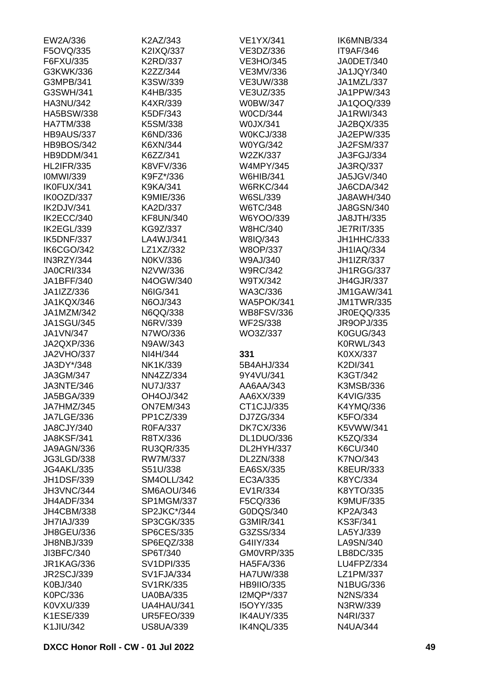| EW2A/336                 | K2AZ/343                              | <b>VE1YX/341</b>         | IK6MNB/334                  |
|--------------------------|---------------------------------------|--------------------------|-----------------------------|
| F5OVQ/335                | K2IXQ/337                             | VE3DZ/336                | IT9AF/346                   |
| F6FXU/335                | K2RD/337                              | <b>VE3HO/345</b>         | JA0DET/340                  |
| G3KWK/336                | K2ZZ/344                              | VE3MV/336                | JA1JQY/340                  |
| G3MPB/341                | K3SW/339                              | <b>VE3UW/338</b>         | JA1MZL/337                  |
| G3SWH/341                | K4HB/335                              | VE3UZ/335                | JA1PPW/343                  |
| <b>HA3NU/342</b>         | K4XR/339                              | W0BW/347                 | JA1QOQ/339                  |
| <b>HA5BSW/338</b>        | K5DF/343                              | <b>W0CD/344</b>          | JA1RWI/343                  |
| <b>HA7TM/338</b>         | K5SM/338                              | W0JX/341                 | JA2BQX/335                  |
| HB9AUS/337               | K6ND/336                              | W0KCJ/338                | JA2EPW/335                  |
| <b>HB9BOS/342</b>        | K6XN/344                              | <b>W0YG/342</b>          | <b>JA2FSM/337</b>           |
| HB9DDM/341               | K6ZZ/341                              | W2ZK/337                 | JA3FGJ/334                  |
| <b>HL2IFR/335</b>        | K8VFV/336                             | <b>W4MPY/345</b>         | JA3RQ/337                   |
| <b>IOMWI/339</b>         | K9FZ*/336                             | <b>W6HIB/341</b>         | JA5JGV/340                  |
| IK0FUX/341               | K9KA/341                              | <b>W6RKC/344</b>         | JA6CDA/342                  |
| IK0OZD/337               | K9MIE/336                             | W6SL/339                 | JA8AWH/340                  |
| IK2DJV/341               | KA2D/337                              | W6TC/348                 | JA8GSN/340                  |
| IK2ECC/340               | KF8UN/340                             | W6YOO/339                | <b>JA8JTH/335</b>           |
| IK2EGL/339               | KG9Z/337                              | <b>W8HC/340</b>          | <b>JE7RIT/335</b>           |
| IK5DNF/337               | LA4WJ/341                             | W8IQ/343                 | JH1HHC/333                  |
| <b>IK6CGO/342</b>        | LZ1XZ/332                             | W8OP/337                 | <b>JH1IAQ/334</b>           |
| IN3RZY/344               | N0KV/336                              | W9AJ/340                 | <b>JH1IZR/337</b>           |
| <b>JA0CRI/334</b>        | N2VW/336                              | <b>W9RC/342</b>          | JH1RGG/337                  |
| JA1BFF/340               | N4OGW/340                             | W9TX/342                 | JH4GJR/337                  |
| JA1IZZ/336               | N6IG/341                              | WA3C/336                 | <b>JM1GAW/341</b>           |
| JA1KQX/346               | N6OJ/343                              | <b>WA5POK/341</b>        | <b>JM1TWR/335</b>           |
| JA1MZM/342               | N6QQ/338                              | <b>WB8FSV/336</b>        | JR0EQQ/335                  |
| <b>JA1SGU/345</b>        | N6RV/339                              | <b>WF2S/338</b>          | JR9OPJ/335                  |
| JA1VN/347                | N7WO/336                              | WO3Z/337                 | K0GUG/343                   |
| JA2QXP/336               | N9AW/343                              |                          | <b>K0RWL/343</b>            |
| <b>JA2VHO/337</b>        | NI4H/344                              | 331                      | K0XX/337                    |
| JA3DY*/348               | NK1K/339                              | 5B4AHJ/334               | K2DI/341                    |
| JA3GM/347                |                                       |                          |                             |
| JA3NTE/346               | NN4ZZ/334<br><b>NU7J/337</b>          | 9Y4VU/341<br>AA6AA/343   | K3GT/342<br>K3MSB/336       |
|                          |                                       |                          |                             |
| JA5BGA/339               | OH4OJ/342                             | AA6XX/339                | K4VIG/335                   |
| JA7HMZ/345               | <b>ON7EM/343</b>                      | CT1CJJ/335               | K4YMQ/336                   |
| JA7LGE/336<br>JA8CJY/340 | PP1CZ/339                             | DJ7ZG/334                | K5FO/334                    |
|                          | R0FA/337                              | <b>DK7CX/336</b>         | K5VWW/341                   |
| <b>JA8KSF/341</b>        | R8TX/336                              | DL1DUO/336               | K5ZQ/334                    |
| JA9AGN/336               | <b>RU3QR/335</b>                      | DL2HYH/337               | K6CU/340                    |
| JG3LGD/338               | RW7M/337                              | DL2ZN/338                | K7NO/343                    |
| <b>JG4AKL/335</b>        | S51U/338                              | EA6SX/335                | K8EUR/333                   |
| <b>JH1DSF/339</b>        | SM4OLL/342                            | EC3A/335                 | K8YC/334                    |
| JH3VNC/344               | SM6AOU/346                            | EV1R/334                 | K8YTO/335                   |
| JH4ADF/334               | <b>SP1MGM/337</b>                     | F5CQ/336                 | <b>K9MUF/335</b>            |
| <b>JH4CBM/338</b>        | SP2JKC*/344                           | G0DQS/340                | KP2A/343                    |
| <b>JH7IAJ/339</b>        | SP3CGK/335                            | G3MIR/341                | <b>KS3F/341</b>             |
| JH8GEU/336               | <b>SP6CES/335</b>                     | G3ZSS/334                | LA5YJ/339                   |
| JH8NBJ/339               |                                       |                          |                             |
|                          | SP6EQZ/338                            | G4IIY/334                | LA9SN/340                   |
| JI3BFC/340               | SP6T/340                              | <b>GM0VRP/335</b>        | LB8DC/335                   |
| <b>JR1KAG/336</b>        | <b>SV1DPI/335</b>                     | HA5FA/336                | LU4FPZ/334                  |
| <b>JR2SCJ/339</b>        | <b>SV1FJA/334</b>                     | <b>HA7UW/338</b>         | LZ1PM/337                   |
| K0BJ/340                 | SV1RK/335                             | <b>HB9IIO/335</b>        | <b>N1BUG/336</b>            |
| K0PC/336                 | <b>UA0BA/335</b>                      | I2MQP*/337               | <b>N2NS/334</b>             |
| K0VXU/339                | UA4HAU/341                            | I5OYY/335                | N3RW/339                    |
| K1ESE/339<br>K1JIU/342   | <b>UR5FEO/339</b><br><b>US8UA/339</b> | IK4AUY/335<br>IK4NQL/335 | N4RI/337<br><b>N4UA/344</b> |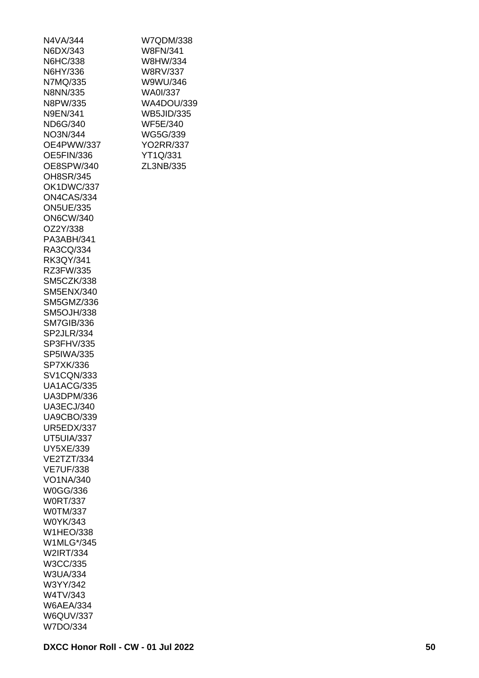| N4VA/344          |
|-------------------|
| N6DX/343          |
| N6HC/338          |
| N6HY/336          |
| N7MQ/335          |
| N8NN/335          |
| N8PW/335          |
| N9EN/341          |
| ND6G/340          |
| NO3N/344          |
| OE4PWW/337        |
| OE5FIN/336        |
|                   |
| OE8SPW/340        |
| OH8SR/345         |
| OK1DWC/337        |
| ON4CAS/334        |
| <b>ON5UE/335</b>  |
| <b>ON6CW/340</b>  |
| OZ2Y/338          |
| PA3ABH/341        |
| RA3CQ/334         |
| RK3QY/341         |
| RZ3FW/335         |
| SM5CZK/338        |
| <b>SM5ENX/340</b> |
| <b>SM5GMZ/336</b> |
| <b>SM5OJH/338</b> |
| <b>SM7GIB/336</b> |
| SP2JLR/334        |
| SP3FHV/335        |
| <b>SP5IWA/335</b> |
| SP7XK/336         |
| <b>SV1CQN/333</b> |
| <b>UA1ACG/335</b> |
| UA3DPM/336        |
| <b>UA3ECJ/340</b> |
| <b>UA9CBO/339</b> |
| <b>UR5EDX/337</b> |
|                   |
| <b>UT5UIA/337</b> |
| UY5XE/339         |
| VE2TZT/334        |
| <b>VE7UF/338</b>  |
| VO1NA/340         |
| W0GG/336          |
| <b>W0RT/337</b>   |
| <b>W0TM/337</b>   |
| W0YK/343          |
| <b>W1HEO/338</b>  |
| W1MLG*/345        |
| W2IRT/334         |
| W3CC/335          |
| W3UA/334          |
| W3YY/342          |
| W4TV/343          |
| <b>W6AEA/334</b>  |
| <b>W6QUV/337</b>  |
|                   |

| WA4DOU/339<br><b>WB5JID/335</b><br><b>WF5E/340</b><br>WG5G/339<br><b>YO2RR/337</b><br>YT1Q/331<br>ZL3NB/335 |
|-------------------------------------------------------------------------------------------------------------|
|                                                                                                             |
|                                                                                                             |
|                                                                                                             |
|                                                                                                             |
|                                                                                                             |

W7QDM/338 W8FN/341 W8HW/334 W8RV/337 W9WU/346 WA0I/337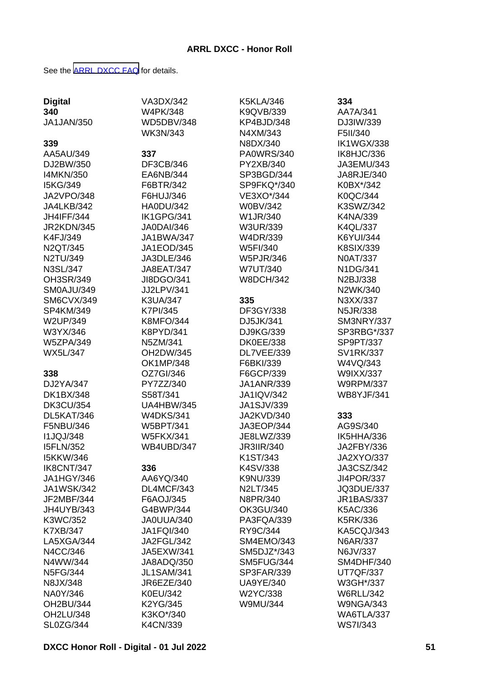See the [ARRL DXCC FAQ](http://www.arrl.org/dxcc-faq/) for details.

| <b>Digital</b>    | VA3DX/342         | <b>K5KLA/346</b>  | 334               |
|-------------------|-------------------|-------------------|-------------------|
| 340               | W4PK/348          | K9QVB/339         | AA7A/341          |
| <b>JA1JAN/350</b> | <b>WD5DBV/348</b> | KP4BJD/348        | DJ3IW/339         |
|                   | <b>WK3N/343</b>   | N4XM/343          | F5II/340          |
| 339               |                   | N8DX/340          | <b>IK1WGX/338</b> |
| AA5AU/349         | 337               | PA0WRS/340        | IK8HJC/336        |
|                   | DF3CB/346         | PY2XB/340         |                   |
| DJ2BW/350         |                   |                   | JA3EMU/343        |
| <b>I4MKN/350</b>  | EA6NB/344         | SP3BGD/344        | JA8RJE/340        |
| I5KG/349          | F6BTR/342         | SP9FKQ*/340       | K0BX*/342         |
| JA2VPO/348        | F6HUJ/346         | VE3XO*/344        | K0QC/344          |
| JA4LKB/342        | <b>HA0DU/342</b>  | <b>W0BV/342</b>   | K3SWZ/342         |
| <b>JH4IFF/344</b> | IK1GPG/341        | W1JR/340          | K4NA/339          |
| JR2KDN/345        | JA0DAI/346        | W3UR/339          | <b>K4QL/337</b>   |
| K4FJ/349          | JA1BWA/347        | W4DR/339          | <b>K6YUI/344</b>  |
| N2QT/345          | JA1EOD/345        | W5FI/340          | <b>K8SIX/339</b>  |
| N2TU/349          | JA3DLE/346        | <b>W5PJR/346</b>  | <b>N0AT/337</b>   |
| <b>N3SL/347</b>   | <b>JA8EAT/347</b> | W7UT/340          | N1DG/341          |
| OH3SR/349         | JI8DGO/341        | <b>W8DCH/342</b>  | N2BJ/338          |
| SM0AJU/349        | JJ2LPV/341        |                   | N2WK/340          |
| SM6CVX/349        | K3UA/347          | 335               | N3XX/337          |
| SP4KM/349         | K7PI/345          | DF3GY/338         | <b>N5JR/338</b>   |
| W2UP/349          | <b>K8MFO/344</b>  | DJ5JK/341         | SM3NRY/337        |
| W3YX/346          | K8PYD/341         | DJ9KG/339         | SP3RBG*/337       |
| <b>W5ZPA/349</b>  | N5ZM/341          | <b>DK0EE/338</b>  | SP9PT/337         |
| <b>WX5L/347</b>   | OH2DW/345         | DL7VEE/339        | <b>SV1RK/337</b>  |
|                   | OK1MP/348         | F6BKI/339         | W4VQ/343          |
| 338               | OZ7GI/346         | F6GCP/339         | W9IXX/337         |
| DJ2YA/347         | PY7ZZ/340         | <b>JA1ANR/339</b> | <b>W9RPM/337</b>  |
| DK1BX/348         | S58T/341          | <b>JA1IQV/342</b> | <b>WB8YJF/341</b> |
| <b>DK3CU/354</b>  | <b>UA4HBW/345</b> | <b>JA1SJV/339</b> |                   |
| DL5KAT/346        | <b>W4DKS/341</b>  | JA2KVD/340        | 333               |
| F5NBU/346         | <b>W5BPT/341</b>  | JA3EOP/344        | AG9S/340          |
| <b>I1JQJ/348</b>  | <b>W5FKX/341</b>  | JE8LWZ/339        | IK5HHA/336        |
| <b>I5FLN/352</b>  | WB4UBD/347        | <b>JR3IIR/340</b> | JA2FBY/336        |
| <b>I5KKW/346</b>  |                   | K1ST/343          | JA2XYO/337        |
| IK8CNT/347        | 336               | K4SV/338          | JA3CSZ/342        |
| <b>JA1HGY/346</b> | AA6YQ/340         | K9NU/339          | JI4POR/337        |
| <b>JA1WSK/342</b> | DL4MCF/343        | N2LT/345          | JQ3DUE/337        |
| JF2MBF/344        | F6AOJ/345         | N8PR/340          | <b>JR1BAS/337</b> |
| JH4UYB/343        | G4BWP/344         | OK3GU/340         | K5AC/336          |
| K3WC/352          | JA0UUA/340        | PA3FQA/339        | <b>K5RK/336</b>   |
| <b>K7XB/347</b>   | <b>JA1FQI/340</b> | RY9C/344          | KA5CQJ/343        |
| LA5XGA/344        | JA2FGL/342        | <b>SM4EMO/343</b> | N6AR/337          |
| N4CC/346          | JA5EXW/341        | SM5DJZ*/343       | N6JV/337          |
| N4WW/344          | JA8ADQ/350        | SM5FUG/344        | SM4DHF/340        |
| <b>N5FG/344</b>   | <b>JL1SAM/341</b> | SP3FAR/339        | <b>UT7QF/337</b>  |
| N8JX/348          | JR6EZE/340        | <b>UA9YE/340</b>  | W3GH*/337         |
| NA0Y/346          | K0EU/342          | W2YC/338          | <b>W6RLL/342</b>  |
| OH2BU/344         | K2YG/345          | W9MU/344          | <b>W9NGA/343</b>  |
| OH2LU/348         | K3KO*/340         |                   | WA6TLA/337        |
| <b>SL0ZG/344</b>  | K4CN/339          |                   | <b>WS7I/343</b>   |
|                   |                   |                   |                   |